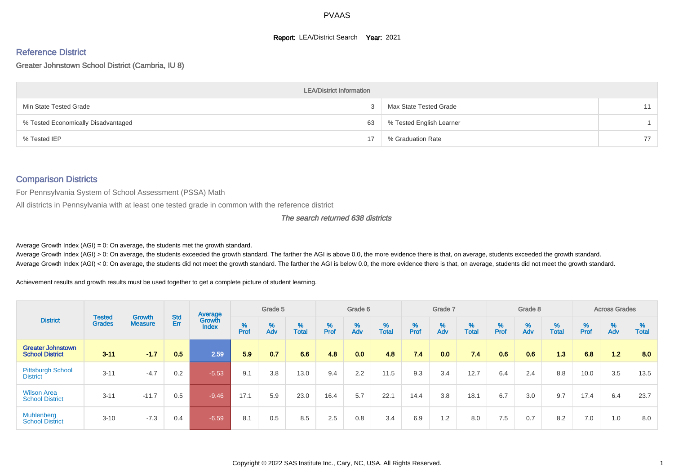#### **Report: LEA/District Search Year: 2021**

# Reference District

#### Greater Johnstown School District (Cambria, IU 8)

|                                     | <b>LEA/District Information</b> |                          |    |
|-------------------------------------|---------------------------------|--------------------------|----|
| Min State Tested Grade              |                                 | Max State Tested Grade   |    |
| % Tested Economically Disadvantaged | 63                              | % Tested English Learner |    |
| % Tested IEP                        |                                 | % Graduation Rate        | 77 |

#### Comparison Districts

For Pennsylvania System of School Assessment (PSSA) Math

All districts in Pennsylvania with at least one tested grade in common with the reference district

#### The search returned 638 districts

Average Growth Index  $(AGI) = 0$ : On average, the students met the growth standard.

Average Growth Index (AGI) > 0: On average, the students exceeded the growth standard. The farther the AGI is above 0.0, the more evidence there is that, on average, students exceeded the growth standard. Average Growth Index (AGI) < 0: On average, the students did not meet the growth standard. The farther the AGI is below 0.0, the more evidence there is that, on average, students did not meet the growth standard.

Achievement results and growth results must be used together to get a complete picture of student learning.

|                                                    |                                |                          |            | Average                |        | Grade 5  |                   |        | Grade 6  |                   |           | Grade 7  |                   |           | Grade 8                       |                   |          | <b>Across Grades</b> |                   |
|----------------------------------------------------|--------------------------------|--------------------------|------------|------------------------|--------|----------|-------------------|--------|----------|-------------------|-----------|----------|-------------------|-----------|-------------------------------|-------------------|----------|----------------------|-------------------|
| <b>District</b>                                    | <b>Tested</b><br><b>Grades</b> | Growth<br><b>Measure</b> | Std<br>Err | Growth<br><b>Index</b> | % Pref | %<br>Adv | %<br><b>Total</b> | % Pref | %<br>Adv | %<br><b>Total</b> | %<br>Prof | %<br>Adv | %<br><b>Total</b> | %<br>Prof | $\stackrel{\%}{\mathsf{Adv}}$ | %<br><b>Total</b> | $%$ Prof | %<br>Adv             | %<br><b>Total</b> |
| <b>Greater Johnstown</b><br><b>School District</b> | $3 - 11$                       | $-1.7$                   | 0.5        | 2.59                   | 5.9    | 0.7      | 6.6               | 4.8    | 0.0      | 4.8               | 7.4       | 0.0      | 7.4               | 0.6       | 0.6                           | 1.3               | 6.8      | 1.2                  | 8.0               |
| <b>Pittsburgh School</b><br><b>District</b>        | $3 - 11$                       | $-4.7$                   | 0.2        | $-5.53$                | 9.1    | 3.8      | 13.0              | 9.4    | 2.2      | 11.5              | 9.3       | 3.4      | 12.7              | 6.4       | 2.4                           | 8.8               | 10.0     | 3.5                  | 13.5              |
| <b>Wilson Area</b><br><b>School District</b>       | $3 - 11$                       | $-11.7$                  | 0.5        | $-9.46$                | 17.1   | 5.9      | 23.0              | 16.4   | 5.7      | 22.1              | 14.4      | 3.8      | 18.1              | 6.7       | 3.0                           | 9.7               | 17.4     | 6.4                  | 23.7              |
| Muhlenberg<br><b>School District</b>               | $3 - 10$                       | $-7.3$                   | 0.4        | $-6.59$                | 8.1    | 0.5      | 8.5               | 2.5    | 0.8      | 3.4               | 6.9       | 1.2      | 8.0               | 7.5       | 0.7                           | 8.2               | 7.0      | 1.0                  | 8.0               |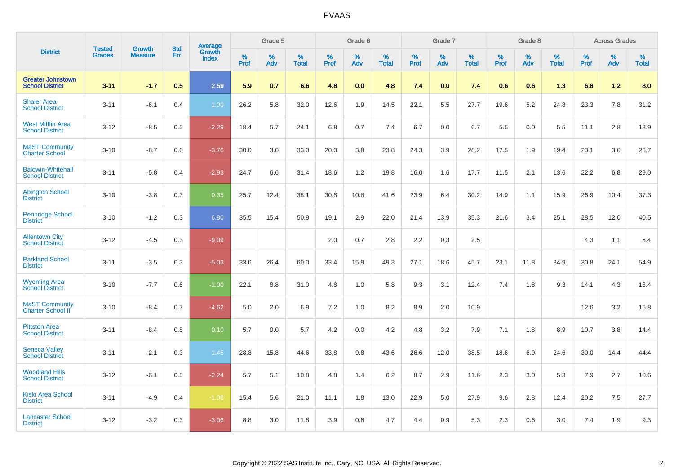|                                                    |                                |                                 | <b>Std</b> | Average         |           | Grade 5  |                   |           | Grade 6  |                   |           | Grade 7  |                   |           | Grade 8  |                   |           | <b>Across Grades</b> |            |
|----------------------------------------------------|--------------------------------|---------------------------------|------------|-----------------|-----------|----------|-------------------|-----------|----------|-------------------|-----------|----------|-------------------|-----------|----------|-------------------|-----------|----------------------|------------|
| <b>District</b>                                    | <b>Tested</b><br><b>Grades</b> | <b>Growth</b><br><b>Measure</b> | Err        | Growth<br>Index | %<br>Prof | %<br>Adv | %<br><b>Total</b> | %<br>Prof | %<br>Adv | %<br><b>Total</b> | %<br>Prof | %<br>Adv | %<br><b>Total</b> | %<br>Prof | %<br>Adv | %<br><b>Total</b> | %<br>Prof | %<br>Adv             | %<br>Total |
| <b>Greater Johnstown</b><br><b>School District</b> | $3 - 11$                       | $-1.7$                          | 0.5        | 2.59            | 5.9       | 0.7      | 6.6               | 4.8       | 0.0      | 4.8               | 7.4       | 0.0      | 7.4               | 0.6       | 0.6      | 1.3               | 6.8       | 1.2                  | 8.0        |
| <b>Shaler Area</b><br><b>School District</b>       | $3 - 11$                       | $-6.1$                          | 0.4        | 1.00            | 26.2      | 5.8      | 32.0              | 12.6      | 1.9      | 14.5              | 22.1      | 5.5      | 27.7              | 19.6      | 5.2      | 24.8              | 23.3      | 7.8                  | 31.2       |
| <b>West Mifflin Area</b><br><b>School District</b> | $3 - 12$                       | $-8.5$                          | 0.5        | $-2.29$         | 18.4      | 5.7      | 24.1              | 6.8       | 0.7      | 7.4               | 6.7       | 0.0      | 6.7               | 5.5       | 0.0      | 5.5               | 11.1      | 2.8                  | 13.9       |
| <b>MaST Community</b><br><b>Charter School</b>     | $3 - 10$                       | $-8.7$                          | 0.6        | $-3.76$         | 30.0      | 3.0      | 33.0              | 20.0      | 3.8      | 23.8              | 24.3      | 3.9      | 28.2              | 17.5      | 1.9      | 19.4              | 23.1      | 3.6                  | 26.7       |
| <b>Baldwin-Whitehall</b><br><b>School District</b> | $3 - 11$                       | $-5.8$                          | 0.4        | $-2.93$         | 24.7      | 6.6      | 31.4              | 18.6      | 1.2      | 19.8              | 16.0      | 1.6      | 17.7              | 11.5      | 2.1      | 13.6              | 22.2      | 6.8                  | 29.0       |
| <b>Abington School</b><br><b>District</b>          | $3 - 10$                       | $-3.8$                          | 0.3        | 0.35            | 25.7      | 12.4     | 38.1              | 30.8      | 10.8     | 41.6              | 23.9      | 6.4      | 30.2              | 14.9      | 1.1      | 15.9              | 26.9      | 10.4                 | 37.3       |
| <b>Pennridge School</b><br><b>District</b>         | $3 - 10$                       | $-1.2$                          | 0.3        | 6.80            | 35.5      | 15.4     | 50.9              | 19.1      | 2.9      | 22.0              | 21.4      | 13.9     | 35.3              | 21.6      | 3.4      | 25.1              | 28.5      | 12.0                 | 40.5       |
| <b>Allentown City</b><br><b>School District</b>    | $3 - 12$                       | $-4.5$                          | 0.3        | $-9.09$         |           |          |                   | 2.0       | 0.7      | 2.8               | 2.2       | 0.3      | 2.5               |           |          |                   | 4.3       | 1.1                  | 5.4        |
| <b>Parkland School</b><br><b>District</b>          | $3 - 11$                       | $-3.5$                          | 0.3        | $-5.03$         | 33.6      | 26.4     | 60.0              | 33.4      | 15.9     | 49.3              | 27.1      | 18.6     | 45.7              | 23.1      | 11.8     | 34.9              | 30.8      | 24.1                 | 54.9       |
| <b>Wyoming Area</b><br><b>School District</b>      | $3 - 10$                       | $-7.7$                          | 0.6        | $-1.00$         | 22.1      | 8.8      | 31.0              | 4.8       | 1.0      | 5.8               | 9.3       | 3.1      | 12.4              | 7.4       | 1.8      | 9.3               | 14.1      | 4.3                  | 18.4       |
| <b>MaST Community</b><br>Charter School II         | $3 - 10$                       | $-8.4$                          | 0.7        | $-4.62$         | 5.0       | 2.0      | 6.9               | 7.2       | 1.0      | 8.2               | 8.9       | 2.0      | 10.9              |           |          |                   | 12.6      | 3.2                  | 15.8       |
| <b>Pittston Area</b><br><b>School District</b>     | $3 - 11$                       | $-8.4$                          | 0.8        | 0.10            | 5.7       | 0.0      | 5.7               | 4.2       | 0.0      | 4.2               | 4.8       | 3.2      | 7.9               | 7.1       | 1.8      | 8.9               | 10.7      | 3.8                  | 14.4       |
| <b>Seneca Valley</b><br><b>School District</b>     | $3 - 11$                       | $-2.1$                          | 0.3        | 1.45            | 28.8      | 15.8     | 44.6              | 33.8      | 9.8      | 43.6              | 26.6      | 12.0     | 38.5              | 18.6      | 6.0      | 24.6              | 30.0      | 14.4                 | 44.4       |
| <b>Woodland Hills</b><br><b>School District</b>    | $3 - 12$                       | $-6.1$                          | 0.5        | $-2.24$         | 5.7       | 5.1      | 10.8              | 4.8       | 1.4      | 6.2               | 8.7       | 2.9      | 11.6              | 2.3       | 3.0      | 5.3               | 7.9       | 2.7                  | 10.6       |
| <b>Kiski Area School</b><br><b>District</b>        | $3 - 11$                       | $-4.9$                          | 0.4        | $-1.08$         | 15.4      | 5.6      | 21.0              | 11.1      | 1.8      | 13.0              | 22.9      | 5.0      | 27.9              | 9.6       | 2.8      | 12.4              | 20.2      | 7.5                  | 27.7       |
| <b>Lancaster School</b><br><b>District</b>         | $3 - 12$                       | $-3.2$                          | 0.3        | $-3.06$         | 8.8       | 3.0      | 11.8              | 3.9       | 0.8      | 4.7               | 4.4       | 0.9      | 5.3               | 2.3       | 0.6      | 3.0               | 7.4       | 1.9                  | 9.3        |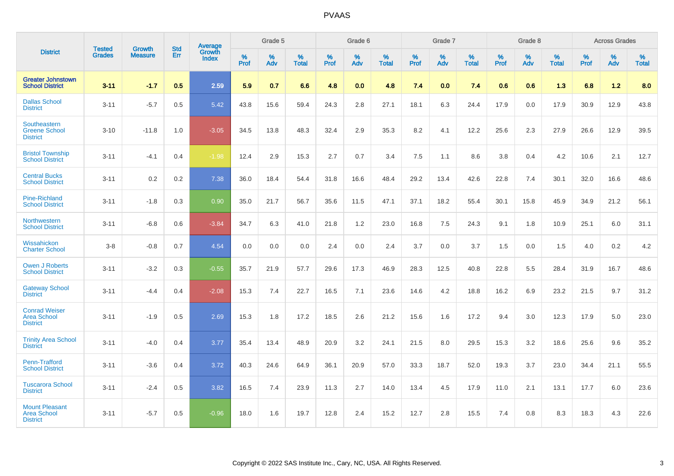|                                                                | <b>Tested</b> |                          | <b>Std</b> | Average                |           | Grade 5  |                   |           | Grade 6  |                   |           | Grade 7  |                   |           | Grade 8  |                   |           | <b>Across Grades</b> |                   |
|----------------------------------------------------------------|---------------|--------------------------|------------|------------------------|-----------|----------|-------------------|-----------|----------|-------------------|-----------|----------|-------------------|-----------|----------|-------------------|-----------|----------------------|-------------------|
| <b>District</b>                                                | <b>Grades</b> | Growth<br><b>Measure</b> | Err        | Growth<br><b>Index</b> | %<br>Prof | %<br>Adv | %<br><b>Total</b> | %<br>Prof | %<br>Adv | %<br><b>Total</b> | %<br>Prof | %<br>Adv | %<br><b>Total</b> | %<br>Prof | %<br>Adv | %<br><b>Total</b> | %<br>Prof | %<br>Adv             | %<br><b>Total</b> |
| <b>Greater Johnstown</b><br><b>School District</b>             | $3 - 11$      | $-1.7$                   | 0.5        | 2.59                   | 5.9       | 0.7      | 6.6               | 4.8       | 0.0      | 4.8               | 7.4       | 0.0      | 7.4               | 0.6       | 0.6      | 1.3               | 6.8       | 1.2                  | 8.0               |
| <b>Dallas School</b><br><b>District</b>                        | $3 - 11$      | $-5.7$                   | 0.5        | 5.42                   | 43.8      | 15.6     | 59.4              | 24.3      | 2.8      | 27.1              | 18.1      | 6.3      | 24.4              | 17.9      | 0.0      | 17.9              | 30.9      | 12.9                 | 43.8              |
| Southeastern<br><b>Greene School</b><br><b>District</b>        | $3 - 10$      | $-11.8$                  | 1.0        | $-3.05$                | 34.5      | 13.8     | 48.3              | 32.4      | 2.9      | 35.3              | 8.2       | 4.1      | 12.2              | 25.6      | 2.3      | 27.9              | 26.6      | 12.9                 | 39.5              |
| <b>Bristol Township</b><br><b>School District</b>              | $3 - 11$      | $-4.1$                   | 0.4        | $-1.98$                | 12.4      | 2.9      | 15.3              | 2.7       | 0.7      | 3.4               | 7.5       | 1.1      | 8.6               | 3.8       | 0.4      | 4.2               | 10.6      | 2.1                  | 12.7              |
| <b>Central Bucks</b><br><b>School District</b>                 | $3 - 11$      | 0.2                      | 0.2        | 7.38                   | 36.0      | 18.4     | 54.4              | 31.8      | 16.6     | 48.4              | 29.2      | 13.4     | 42.6              | 22.8      | 7.4      | 30.1              | 32.0      | 16.6                 | 48.6              |
| <b>Pine-Richland</b><br><b>School District</b>                 | $3 - 11$      | $-1.8$                   | 0.3        | 0.90                   | 35.0      | 21.7     | 56.7              | 35.6      | 11.5     | 47.1              | 37.1      | 18.2     | 55.4              | 30.1      | 15.8     | 45.9              | 34.9      | 21.2                 | 56.1              |
| Northwestern<br><b>School District</b>                         | $3 - 11$      | $-6.8$                   | 0.6        | $-3.84$                | 34.7      | 6.3      | 41.0              | 21.8      | 1.2      | 23.0              | 16.8      | 7.5      | 24.3              | 9.1       | 1.8      | 10.9              | 25.1      | 6.0                  | 31.1              |
| Wissahickon<br><b>Charter School</b>                           | $3-8$         | $-0.8$                   | 0.7        | 4.54                   | 0.0       | 0.0      | 0.0               | 2.4       | 0.0      | 2.4               | 3.7       | 0.0      | 3.7               | 1.5       | 0.0      | 1.5               | 4.0       | 0.2                  | 4.2               |
| <b>Owen J Roberts</b><br><b>School District</b>                | $3 - 11$      | $-3.2$                   | 0.3        | $-0.55$                | 35.7      | 21.9     | 57.7              | 29.6      | 17.3     | 46.9              | 28.3      | 12.5     | 40.8              | 22.8      | 5.5      | 28.4              | 31.9      | 16.7                 | 48.6              |
| <b>Gateway School</b><br><b>District</b>                       | $3 - 11$      | $-4.4$                   | 0.4        | $-2.08$                | 15.3      | 7.4      | 22.7              | 16.5      | 7.1      | 23.6              | 14.6      | 4.2      | 18.8              | 16.2      | 6.9      | 23.2              | 21.5      | 9.7                  | 31.2              |
| <b>Conrad Weiser</b><br><b>Area School</b><br><b>District</b>  | $3 - 11$      | $-1.9$                   | 0.5        | 2.69                   | 15.3      | 1.8      | 17.2              | 18.5      | 2.6      | 21.2              | 15.6      | 1.6      | 17.2              | 9.4       | 3.0      | 12.3              | 17.9      | 5.0                  | 23.0              |
| <b>Trinity Area School</b><br><b>District</b>                  | $3 - 11$      | $-4.0$                   | 0.4        | 3.77                   | 35.4      | 13.4     | 48.9              | 20.9      | 3.2      | 24.1              | 21.5      | 8.0      | 29.5              | 15.3      | 3.2      | 18.6              | 25.6      | 9.6                  | 35.2              |
| Penn-Trafford<br><b>School District</b>                        | $3 - 11$      | $-3.6$                   | 0.4        | 3.72                   | 40.3      | 24.6     | 64.9              | 36.1      | 20.9     | 57.0              | 33.3      | 18.7     | 52.0              | 19.3      | 3.7      | 23.0              | 34.4      | 21.1                 | 55.5              |
| <b>Tuscarora School</b><br><b>District</b>                     | $3 - 11$      | $-2.4$                   | 0.5        | 3.82                   | 16.5      | 7.4      | 23.9              | 11.3      | 2.7      | 14.0              | 13.4      | 4.5      | 17.9              | 11.0      | 2.1      | 13.1              | 17.7      | 6.0                  | 23.6              |
| <b>Mount Pleasant</b><br><b>Area School</b><br><b>District</b> | $3 - 11$      | $-5.7$                   | 0.5        | $-0.96$                | 18.0      | 1.6      | 19.7              | 12.8      | 2.4      | 15.2              | 12.7      | 2.8      | 15.5              | 7.4       | 0.8      | 8.3               | 18.3      | 4.3                  | 22.6              |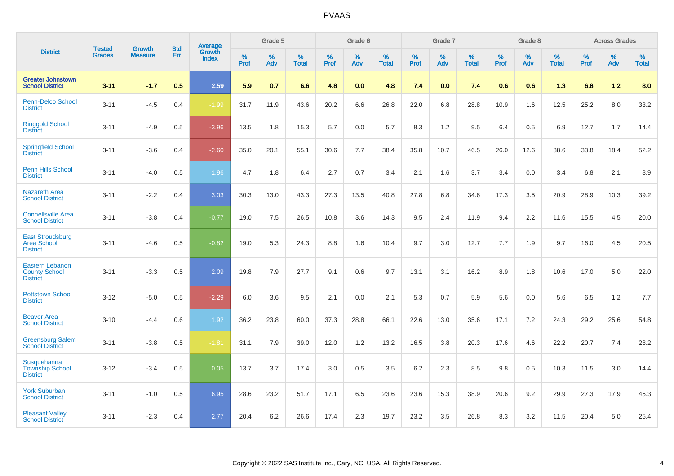|                                                                   |                                |                                 | <b>Std</b> | Average                       |           | Grade 5  |                   |           | Grade 6  |                   |           | Grade 7  |                   |           | Grade 8  |                   |           | <b>Across Grades</b> |                   |
|-------------------------------------------------------------------|--------------------------------|---------------------------------|------------|-------------------------------|-----------|----------|-------------------|-----------|----------|-------------------|-----------|----------|-------------------|-----------|----------|-------------------|-----------|----------------------|-------------------|
| <b>District</b>                                                   | <b>Tested</b><br><b>Grades</b> | <b>Growth</b><br><b>Measure</b> | Err        | <b>Growth</b><br><b>Index</b> | %<br>Prof | %<br>Adv | %<br><b>Total</b> | %<br>Prof | %<br>Adv | %<br><b>Total</b> | %<br>Prof | %<br>Adv | %<br><b>Total</b> | %<br>Prof | %<br>Adv | %<br><b>Total</b> | %<br>Prof | %<br>Adv             | %<br><b>Total</b> |
| <b>Greater Johnstown</b><br><b>School District</b>                | $3 - 11$                       | $-1.7$                          | 0.5        | 2.59                          | 5.9       | 0.7      | 6.6               | 4.8       | 0.0      | 4.8               | 7.4       | 0.0      | 7.4               | 0.6       | 0.6      | 1.3               | 6.8       | 1.2                  | 8.0               |
| Penn-Delco School<br><b>District</b>                              | $3 - 11$                       | $-4.5$                          | 0.4        | $-1.99$                       | 31.7      | 11.9     | 43.6              | 20.2      | 6.6      | 26.8              | 22.0      | 6.8      | 28.8              | 10.9      | 1.6      | 12.5              | 25.2      | 8.0                  | 33.2              |
| <b>Ringgold School</b><br><b>District</b>                         | $3 - 11$                       | $-4.9$                          | 0.5        | $-3.96$                       | 13.5      | 1.8      | 15.3              | 5.7       | 0.0      | 5.7               | 8.3       | 1.2      | 9.5               | 6.4       | 0.5      | 6.9               | 12.7      | 1.7                  | 14.4              |
| <b>Springfield School</b><br><b>District</b>                      | $3 - 11$                       | $-3.6$                          | 0.4        | $-2.60$                       | 35.0      | 20.1     | 55.1              | 30.6      | 7.7      | 38.4              | 35.8      | 10.7     | 46.5              | 26.0      | 12.6     | 38.6              | 33.8      | 18.4                 | 52.2              |
| Penn Hills School<br><b>District</b>                              | $3 - 11$                       | $-4.0$                          | 0.5        | 1.96                          | 4.7       | 1.8      | 6.4               | 2.7       | 0.7      | 3.4               | 2.1       | 1.6      | 3.7               | 3.4       | 0.0      | 3.4               | 6.8       | 2.1                  | 8.9               |
| <b>Nazareth Area</b><br><b>School District</b>                    | $3 - 11$                       | $-2.2$                          | 0.4        | 3.03                          | 30.3      | 13.0     | 43.3              | 27.3      | 13.5     | 40.8              | 27.8      | 6.8      | 34.6              | 17.3      | 3.5      | 20.9              | 28.9      | 10.3                 | 39.2              |
| <b>Connellsville Area</b><br><b>School District</b>               | $3 - 11$                       | $-3.8$                          | 0.4        | $-0.77$                       | 19.0      | 7.5      | 26.5              | 10.8      | 3.6      | 14.3              | 9.5       | 2.4      | 11.9              | 9.4       | 2.2      | 11.6              | 15.5      | 4.5                  | 20.0              |
| <b>East Stroudsburg</b><br><b>Area School</b><br><b>District</b>  | $3 - 11$                       | $-4.6$                          | 0.5        | $-0.82$                       | 19.0      | 5.3      | 24.3              | 8.8       | 1.6      | 10.4              | 9.7       | 3.0      | 12.7              | 7.7       | 1.9      | 9.7               | 16.0      | 4.5                  | 20.5              |
| <b>Eastern Lebanon</b><br><b>County School</b><br><b>District</b> | $3 - 11$                       | $-3.3$                          | 0.5        | 2.09                          | 19.8      | 7.9      | 27.7              | 9.1       | 0.6      | 9.7               | 13.1      | 3.1      | 16.2              | 8.9       | 1.8      | 10.6              | 17.0      | 5.0                  | 22.0              |
| <b>Pottstown School</b><br><b>District</b>                        | $3 - 12$                       | $-5.0$                          | 0.5        | $-2.29$                       | 6.0       | 3.6      | 9.5               | 2.1       | 0.0      | 2.1               | 5.3       | 0.7      | 5.9               | 5.6       | 0.0      | 5.6               | 6.5       | 1.2                  | 7.7               |
| <b>Beaver Area</b><br><b>School District</b>                      | $3 - 10$                       | $-4.4$                          | 0.6        | 1.92                          | 36.2      | 23.8     | 60.0              | 37.3      | 28.8     | 66.1              | 22.6      | 13.0     | 35.6              | 17.1      | 7.2      | 24.3              | 29.2      | 25.6                 | 54.8              |
| <b>Greensburg Salem</b><br><b>School District</b>                 | $3 - 11$                       | $-3.8$                          | 0.5        | $-1.81$                       | 31.1      | 7.9      | 39.0              | 12.0      | 1.2      | 13.2              | 16.5      | 3.8      | 20.3              | 17.6      | 4.6      | 22.2              | 20.7      | 7.4                  | 28.2              |
| Susquehanna<br><b>Township School</b><br><b>District</b>          | $3 - 12$                       | $-3.4$                          | 0.5        | 0.05                          | 13.7      | 3.7      | 17.4              | 3.0       | 0.5      | 3.5               | 6.2       | 2.3      | 8.5               | 9.8       | 0.5      | 10.3              | 11.5      | 3.0                  | 14.4              |
| <b>York Suburban</b><br><b>School District</b>                    | $3 - 11$                       | $-1.0$                          | 0.5        | 6.95                          | 28.6      | 23.2     | 51.7              | 17.1      | 6.5      | 23.6              | 23.6      | 15.3     | 38.9              | 20.6      | 9.2      | 29.9              | 27.3      | 17.9                 | 45.3              |
| <b>Pleasant Valley</b><br><b>School District</b>                  | $3 - 11$                       | $-2.3$                          | 0.4        | 2.77                          | 20.4      | 6.2      | 26.6              | 17.4      | 2.3      | 19.7              | 23.2      | 3.5      | 26.8              | 8.3       | 3.2      | 11.5              | 20.4      | 5.0                  | 25.4              |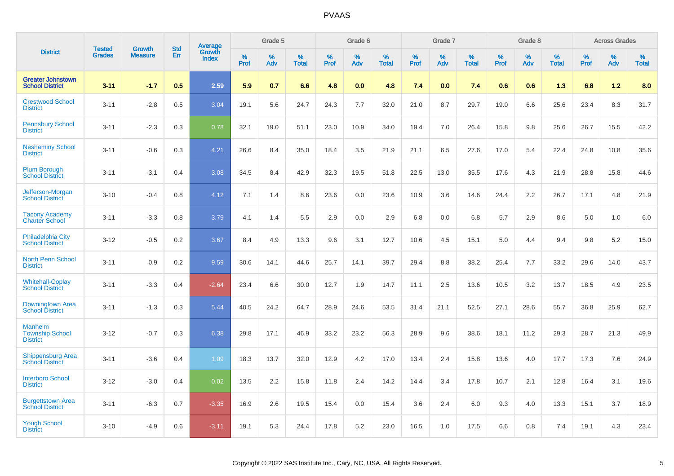|                                                             |                                | <b>Growth</b>  | <b>Std</b> | Average                |              | Grade 5  |                      |              | Grade 6     |                      |              | Grade 7  |                      |              | Grade 8     |                      |              | <b>Across Grades</b> |                      |
|-------------------------------------------------------------|--------------------------------|----------------|------------|------------------------|--------------|----------|----------------------|--------------|-------------|----------------------|--------------|----------|----------------------|--------------|-------------|----------------------|--------------|----------------------|----------------------|
| <b>District</b>                                             | <b>Tested</b><br><b>Grades</b> | <b>Measure</b> | Err        | Growth<br><b>Index</b> | $\%$<br>Prof | %<br>Adv | $\%$<br><b>Total</b> | $\%$<br>Prof | $\%$<br>Adv | $\%$<br><b>Total</b> | $\%$<br>Prof | %<br>Adv | $\%$<br><b>Total</b> | $\%$<br>Prof | $\%$<br>Adv | $\%$<br><b>Total</b> | $\%$<br>Prof | $\%$<br>Adv          | $\%$<br><b>Total</b> |
| <b>Greater Johnstown</b><br><b>School District</b>          | $3 - 11$                       | $-1.7$         | 0.5        | 2.59                   | 5.9          | 0.7      | 6.6                  | 4.8          | 0.0         | 4.8                  | 7.4          | 0.0      | 7.4                  | 0.6          | 0.6         | 1.3                  | 6.8          | 1.2                  | 8.0                  |
| <b>Crestwood School</b><br><b>District</b>                  | $3 - 11$                       | $-2.8$         | 0.5        | 3.04                   | 19.1         | 5.6      | 24.7                 | 24.3         | 7.7         | 32.0                 | 21.0         | 8.7      | 29.7                 | 19.0         | 6.6         | 25.6                 | 23.4         | 8.3                  | 31.7                 |
| <b>Pennsbury School</b><br><b>District</b>                  | $3 - 11$                       | $-2.3$         | 0.3        | 0.78                   | 32.1         | 19.0     | 51.1                 | 23.0         | 10.9        | 34.0                 | 19.4         | 7.0      | 26.4                 | 15.8         | 9.8         | 25.6                 | 26.7         | 15.5                 | 42.2                 |
| <b>Neshaminy School</b><br><b>District</b>                  | $3 - 11$                       | $-0.6$         | 0.3        | 4.21                   | 26.6         | 8.4      | 35.0                 | 18.4         | 3.5         | 21.9                 | 21.1         | 6.5      | 27.6                 | 17.0         | 5.4         | 22.4                 | 24.8         | 10.8                 | 35.6                 |
| <b>Plum Borough</b><br><b>School District</b>               | $3 - 11$                       | $-3.1$         | 0.4        | 3.08                   | 34.5         | 8.4      | 42.9                 | 32.3         | 19.5        | 51.8                 | 22.5         | 13.0     | 35.5                 | 17.6         | 4.3         | 21.9                 | 28.8         | 15.8                 | 44.6                 |
| Jefferson-Morgan<br><b>School District</b>                  | $3 - 10$                       | $-0.4$         | 0.8        | 4.12                   | 7.1          | 1.4      | 8.6                  | 23.6         | 0.0         | 23.6                 | 10.9         | 3.6      | 14.6                 | 24.4         | 2.2         | 26.7                 | 17.1         | 4.8                  | 21.9                 |
| <b>Tacony Academy</b><br><b>Charter School</b>              | $3 - 11$                       | $-3.3$         | 0.8        | 3.79                   | 4.1          | 1.4      | 5.5                  | 2.9          | 0.0         | 2.9                  | 6.8          | 0.0      | 6.8                  | 5.7          | 2.9         | 8.6                  | 5.0          | 1.0                  | 6.0                  |
| <b>Philadelphia City</b><br><b>School District</b>          | $3 - 12$                       | $-0.5$         | 0.2        | 3.67                   | 8.4          | 4.9      | 13.3                 | 9.6          | 3.1         | 12.7                 | 10.6         | 4.5      | 15.1                 | 5.0          | 4.4         | 9.4                  | 9.8          | 5.2                  | 15.0                 |
| <b>North Penn School</b><br><b>District</b>                 | $3 - 11$                       | 0.9            | 0.2        | 9.59                   | 30.6         | 14.1     | 44.6                 | 25.7         | 14.1        | 39.7                 | 29.4         | 8.8      | 38.2                 | 25.4         | 7.7         | 33.2                 | 29.6         | 14.0                 | 43.7                 |
| <b>Whitehall-Coplay</b><br><b>School District</b>           | $3 - 11$                       | $-3.3$         | 0.4        | $-2.64$                | 23.4         | 6.6      | 30.0                 | 12.7         | 1.9         | 14.7                 | 11.1         | 2.5      | 13.6                 | 10.5         | 3.2         | 13.7                 | 18.5         | 4.9                  | 23.5                 |
| Downingtown Area<br><b>School District</b>                  | $3 - 11$                       | $-1.3$         | 0.3        | 5.44                   | 40.5         | 24.2     | 64.7                 | 28.9         | 24.6        | 53.5                 | 31.4         | 21.1     | 52.5                 | 27.1         | 28.6        | 55.7                 | 36.8         | 25.9                 | 62.7                 |
| <b>Manheim</b><br><b>Township School</b><br><b>District</b> | $3 - 12$                       | $-0.7$         | 0.3        | 6.38                   | 29.8         | 17.1     | 46.9                 | 33.2         | 23.2        | 56.3                 | 28.9         | 9.6      | 38.6                 | 18.1         | 11.2        | 29.3                 | 28.7         | 21.3                 | 49.9                 |
| <b>Shippensburg Area</b><br><b>School District</b>          | $3 - 11$                       | $-3.6$         | 0.4        | 1.09                   | 18.3         | 13.7     | 32.0                 | 12.9         | 4.2         | 17.0                 | 13.4         | 2.4      | 15.8                 | 13.6         | 4.0         | 17.7                 | 17.3         | 7.6                  | 24.9                 |
| <b>Interboro School</b><br><b>District</b>                  | $3 - 12$                       | $-3.0$         | 0.4        | 0.02                   | 13.5         | 2.2      | 15.8                 | 11.8         | 2.4         | 14.2                 | 14.4         | 3.4      | 17.8                 | 10.7         | 2.1         | 12.8                 | 16.4         | 3.1                  | 19.6                 |
| <b>Burgettstown Area</b><br><b>School District</b>          | $3 - 11$                       | $-6.3$         | 0.7        | $-3.35$                | 16.9         | 2.6      | 19.5                 | 15.4         | 0.0         | 15.4                 | 3.6          | 2.4      | 6.0                  | 9.3          | 4.0         | 13.3                 | 15.1         | 3.7                  | 18.9                 |
| <b>Yough School</b><br><b>District</b>                      | $3 - 10$                       | $-4.9$         | 0.6        | $-3.11$                | 19.1         | 5.3      | 24.4                 | 17.8         | 5.2         | 23.0                 | 16.5         | 1.0      | 17.5                 | 6.6          | 0.8         | 7.4                  | 19.1         | 4.3                  | 23.4                 |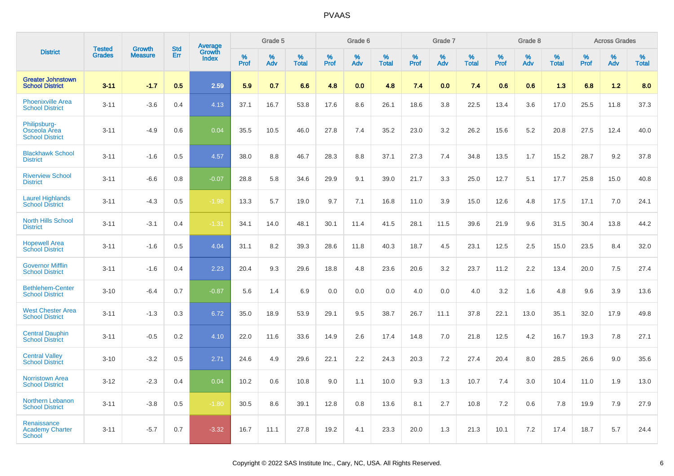|                                                        | <b>Tested</b> | <b>Growth</b>  | <b>Std</b> | Average                |              | Grade 5  |                   |              | Grade 6  |                   |              | Grade 7  |                   |              | Grade 8  |                   |              | <b>Across Grades</b> |                   |
|--------------------------------------------------------|---------------|----------------|------------|------------------------|--------------|----------|-------------------|--------------|----------|-------------------|--------------|----------|-------------------|--------------|----------|-------------------|--------------|----------------------|-------------------|
| <b>District</b>                                        | <b>Grades</b> | <b>Measure</b> | Err        | Growth<br><b>Index</b> | $\%$<br>Prof | %<br>Adv | %<br><b>Total</b> | $\%$<br>Prof | %<br>Adv | %<br><b>Total</b> | $\%$<br>Prof | %<br>Adv | %<br><b>Total</b> | $\%$<br>Prof | %<br>Adv | %<br><b>Total</b> | $\%$<br>Prof | %<br>Adv             | %<br><b>Total</b> |
| <b>Greater Johnstown</b><br><b>School District</b>     | $3 - 11$      | $-1.7$         | 0.5        | 2.59                   | 5.9          | 0.7      | 6.6               | 4.8          | 0.0      | 4.8               | 7.4          | 0.0      | 7.4               | 0.6          | 0.6      | 1.3               | 6.8          | 1.2                  | 8.0               |
| <b>Phoenixville Area</b><br><b>School District</b>     | $3 - 11$      | $-3.6$         | 0.4        | 4.13                   | 37.1         | 16.7     | 53.8              | 17.6         | 8.6      | 26.1              | 18.6         | 3.8      | 22.5              | 13.4         | 3.6      | 17.0              | 25.5         | 11.8                 | 37.3              |
| Philipsburg-<br>Osceola Area<br><b>School District</b> | $3 - 11$      | $-4.9$         | 0.6        | 0.04                   | 35.5         | 10.5     | 46.0              | 27.8         | 7.4      | 35.2              | 23.0         | 3.2      | 26.2              | 15.6         | 5.2      | 20.8              | 27.5         | 12.4                 | 40.0              |
| <b>Blackhawk School</b><br><b>District</b>             | $3 - 11$      | $-1.6$         | 0.5        | 4.57                   | 38.0         | 8.8      | 46.7              | 28.3         | 8.8      | 37.1              | 27.3         | 7.4      | 34.8              | 13.5         | 1.7      | 15.2              | 28.7         | 9.2                  | 37.8              |
| <b>Riverview School</b><br><b>District</b>             | $3 - 11$      | $-6.6$         | 0.8        | $-0.07$                | 28.8         | 5.8      | 34.6              | 29.9         | 9.1      | 39.0              | 21.7         | 3.3      | 25.0              | 12.7         | 5.1      | 17.7              | 25.8         | 15.0                 | 40.8              |
| <b>Laurel Highlands</b><br><b>School District</b>      | $3 - 11$      | $-4.3$         | 0.5        | $-1.98$                | 13.3         | 5.7      | 19.0              | 9.7          | 7.1      | 16.8              | 11.0         | 3.9      | 15.0              | 12.6         | 4.8      | 17.5              | 17.1         | 7.0                  | 24.1              |
| <b>North Hills School</b><br><b>District</b>           | $3 - 11$      | $-3.1$         | 0.4        | $-1.31$                | 34.1         | 14.0     | 48.1              | 30.1         | 11.4     | 41.5              | 28.1         | 11.5     | 39.6              | 21.9         | 9.6      | 31.5              | 30.4         | 13.8                 | 44.2              |
| <b>Hopewell Area</b><br><b>School District</b>         | $3 - 11$      | $-1.6$         | 0.5        | 4.04                   | 31.1         | 8.2      | 39.3              | 28.6         | 11.8     | 40.3              | 18.7         | 4.5      | 23.1              | 12.5         | 2.5      | 15.0              | 23.5         | 8.4                  | 32.0              |
| <b>Governor Mifflin</b><br><b>School District</b>      | $3 - 11$      | $-1.6$         | 0.4        | 2.23                   | 20.4         | 9.3      | 29.6              | 18.8         | 4.8      | 23.6              | 20.6         | 3.2      | 23.7              | 11.2         | 2.2      | 13.4              | 20.0         | 7.5                  | 27.4              |
| <b>Bethlehem-Center</b><br><b>School District</b>      | $3 - 10$      | $-6.4$         | 0.7        | $-0.87$                | 5.6          | 1.4      | 6.9               | 0.0          | 0.0      | 0.0               | 4.0          | 0.0      | 4.0               | 3.2          | 1.6      | 4.8               | 9.6          | 3.9                  | 13.6              |
| <b>West Chester Area</b><br><b>School District</b>     | $3 - 11$      | $-1.3$         | 0.3        | 6.72                   | 35.0         | 18.9     | 53.9              | 29.1         | 9.5      | 38.7              | 26.7         | 11.1     | 37.8              | 22.1         | 13.0     | 35.1              | 32.0         | 17.9                 | 49.8              |
| <b>Central Dauphin</b><br><b>School District</b>       | $3 - 11$      | $-0.5$         | 0.2        | 4.10                   | 22.0         | 11.6     | 33.6              | 14.9         | 2.6      | 17.4              | 14.8         | 7.0      | 21.8              | 12.5         | 4.2      | 16.7              | 19.3         | 7.8                  | 27.1              |
| <b>Central Valley</b><br><b>School District</b>        | $3 - 10$      | $-3.2$         | 0.5        | 2.71                   | 24.6         | 4.9      | 29.6              | 22.1         | 2.2      | 24.3              | 20.3         | 7.2      | 27.4              | 20.4         | 8.0      | 28.5              | 26.6         | 9.0                  | 35.6              |
| <b>Norristown Area</b><br><b>School District</b>       | $3 - 12$      | $-2.3$         | 0.4        | 0.04                   | 10.2         | 0.6      | 10.8              | 9.0          | 1.1      | 10.0              | 9.3          | 1.3      | 10.7              | 7.4          | 3.0      | 10.4              | 11.0         | 1.9                  | 13.0              |
| Northern Lebanon<br><b>School District</b>             | $3 - 11$      | $-3.8$         | 0.5        | $-1.80$                | 30.5         | 8.6      | 39.1              | 12.8         | 0.8      | 13.6              | 8.1          | 2.7      | 10.8              | 7.2          | 0.6      | 7.8               | 19.9         | 7.9                  | 27.9              |
| Renaissance<br><b>Academy Charter</b><br>School        | $3 - 11$      | $-5.7$         | 0.7        | $-3.32$                | 16.7         | 11.1     | 27.8              | 19.2         | 4.1      | 23.3              | 20.0         | 1.3      | 21.3              | 10.1         | 7.2      | 17.4              | 18.7         | 5.7                  | 24.4              |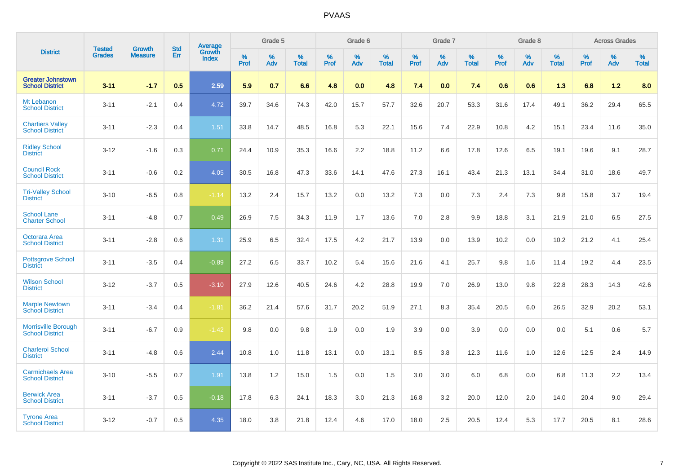|                                                      |                                |                                 | <b>Std</b> | <b>Average</b>         |           | Grade 5  |                   |           | Grade 6  |                   |           | Grade 7     |                   |           | Grade 8  |                   |           | <b>Across Grades</b> |                   |
|------------------------------------------------------|--------------------------------|---------------------------------|------------|------------------------|-----------|----------|-------------------|-----------|----------|-------------------|-----------|-------------|-------------------|-----------|----------|-------------------|-----------|----------------------|-------------------|
| <b>District</b>                                      | <b>Tested</b><br><b>Grades</b> | <b>Growth</b><br><b>Measure</b> | Err        | Growth<br><b>Index</b> | %<br>Prof | %<br>Adv | %<br><b>Total</b> | %<br>Prof | %<br>Adv | %<br><b>Total</b> | %<br>Prof | $\%$<br>Adv | %<br><b>Total</b> | %<br>Prof | %<br>Adv | %<br><b>Total</b> | %<br>Prof | %<br>Adv             | %<br><b>Total</b> |
| <b>Greater Johnstown</b><br><b>School District</b>   | $3 - 11$                       | $-1.7$                          | 0.5        | 2.59                   | 5.9       | 0.7      | 6.6               | 4.8       | 0.0      | 4.8               | 7.4       | 0.0         | 7.4               | 0.6       | 0.6      | 1.3               | 6.8       | $1.2$                | 8.0               |
| Mt Lebanon<br><b>School District</b>                 | $3 - 11$                       | $-2.1$                          | 0.4        | 4.72                   | 39.7      | 34.6     | 74.3              | 42.0      | 15.7     | 57.7              | 32.6      | 20.7        | 53.3              | 31.6      | 17.4     | 49.1              | 36.2      | 29.4                 | 65.5              |
| <b>Chartiers Valley</b><br><b>School District</b>    | $3 - 11$                       | $-2.3$                          | 0.4        | 1.51                   | 33.8      | 14.7     | 48.5              | 16.8      | 5.3      | 22.1              | 15.6      | 7.4         | 22.9              | 10.8      | 4.2      | 15.1              | 23.4      | 11.6                 | 35.0              |
| <b>Ridley School</b><br><b>District</b>              | $3 - 12$                       | $-1.6$                          | 0.3        | 0.71                   | 24.4      | 10.9     | 35.3              | 16.6      | 2.2      | 18.8              | 11.2      | 6.6         | 17.8              | 12.6      | 6.5      | 19.1              | 19.6      | 9.1                  | 28.7              |
| <b>Council Rock</b><br><b>School District</b>        | $3 - 11$                       | $-0.6$                          | 0.2        | 4.05                   | 30.5      | 16.8     | 47.3              | 33.6      | 14.1     | 47.6              | 27.3      | 16.1        | 43.4              | 21.3      | 13.1     | 34.4              | 31.0      | 18.6                 | 49.7              |
| <b>Tri-Valley School</b><br><b>District</b>          | $3 - 10$                       | $-6.5$                          | 0.8        | $-1.14$                | 13.2      | 2.4      | 15.7              | 13.2      | 0.0      | 13.2              | 7.3       | 0.0         | 7.3               | 2.4       | 7.3      | 9.8               | 15.8      | 3.7                  | 19.4              |
| <b>School Lane</b><br><b>Charter School</b>          | $3 - 11$                       | $-4.8$                          | 0.7        | 0.49                   | 26.9      | 7.5      | 34.3              | 11.9      | 1.7      | 13.6              | 7.0       | 2.8         | 9.9               | 18.8      | 3.1      | 21.9              | 21.0      | 6.5                  | 27.5              |
| Octorara Area<br><b>School District</b>              | $3 - 11$                       | $-2.8$                          | 0.6        | 1.31                   | 25.9      | 6.5      | 32.4              | 17.5      | 4.2      | 21.7              | 13.9      | 0.0         | 13.9              | 10.2      | 0.0      | 10.2              | 21.2      | 4.1                  | 25.4              |
| Pottsgrove School<br><b>District</b>                 | $3 - 11$                       | $-3.5$                          | 0.4        | $-0.89$                | 27.2      | 6.5      | 33.7              | 10.2      | 5.4      | 15.6              | 21.6      | 4.1         | 25.7              | 9.8       | 1.6      | 11.4              | 19.2      | 4.4                  | 23.5              |
| <b>Wilson School</b><br><b>District</b>              | $3 - 12$                       | $-3.7$                          | 0.5        | $-3.10$                | 27.9      | 12.6     | 40.5              | 24.6      | 4.2      | 28.8              | 19.9      | 7.0         | 26.9              | 13.0      | 9.8      | 22.8              | 28.3      | 14.3                 | 42.6              |
| <b>Marple Newtown</b><br><b>School District</b>      | $3 - 11$                       | $-3.4$                          | 0.4        | $-1.81$                | 36.2      | 21.4     | 57.6              | 31.7      | 20.2     | 51.9              | 27.1      | 8.3         | 35.4              | 20.5      | 6.0      | 26.5              | 32.9      | 20.2                 | 53.1              |
| <b>Morrisville Borough</b><br><b>School District</b> | $3 - 11$                       | $-6.7$                          | 0.9        | $-1.42$                | 9.8       | 0.0      | 9.8               | 1.9       | 0.0      | 1.9               | 3.9       | 0.0         | 3.9               | 0.0       | 0.0      | 0.0               | 5.1       | 0.6                  | $5.7\,$           |
| <b>Charleroi School</b><br><b>District</b>           | $3 - 11$                       | $-4.8$                          | 0.6        | 2.44                   | 10.8      | 1.0      | 11.8              | 13.1      | 0.0      | 13.1              | 8.5       | 3.8         | 12.3              | 11.6      | 1.0      | 12.6              | 12.5      | 2.4                  | 14.9              |
| <b>Carmichaels Area</b><br><b>School District</b>    | $3 - 10$                       | $-5.5$                          | 0.7        | 1.91                   | 13.8      | 1.2      | 15.0              | 1.5       | 0.0      | 1.5               | 3.0       | 3.0         | 6.0               | 6.8       | 0.0      | 6.8               | 11.3      | 2.2                  | 13.4              |
| <b>Berwick Area</b><br><b>School District</b>        | $3 - 11$                       | $-3.7$                          | 0.5        | $-0.18$                | 17.8      | 6.3      | 24.1              | 18.3      | 3.0      | 21.3              | 16.8      | 3.2         | 20.0              | 12.0      | 2.0      | 14.0              | 20.4      | 9.0                  | 29.4              |
| <b>Tyrone Area</b><br><b>School District</b>         | $3 - 12$                       | $-0.7$                          | 0.5        | 4.35                   | 18.0      | 3.8      | 21.8              | 12.4      | 4.6      | 17.0              | 18.0      | 2.5         | 20.5              | 12.4      | 5.3      | 17.7              | 20.5      | 8.1                  | 28.6              |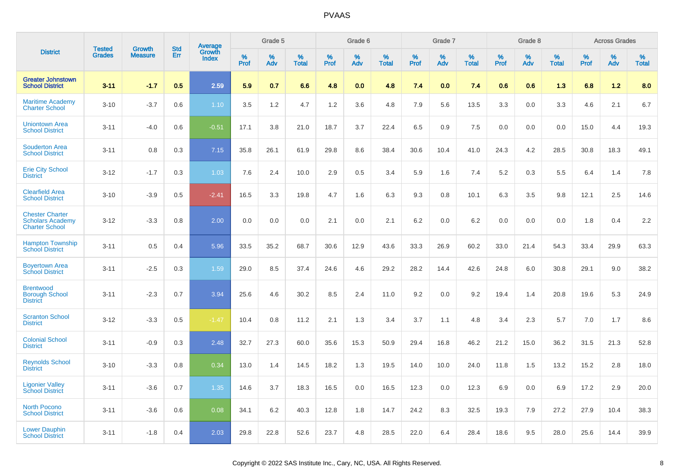|                                                                            | <b>Tested</b> | <b>Growth</b>  | <b>Std</b> | Average                |              | Grade 5  |                   |              | Grade 6  |                   |              | Grade 7  |                   |                     | Grade 8  |                   |              | <b>Across Grades</b> |                   |
|----------------------------------------------------------------------------|---------------|----------------|------------|------------------------|--------------|----------|-------------------|--------------|----------|-------------------|--------------|----------|-------------------|---------------------|----------|-------------------|--------------|----------------------|-------------------|
| <b>District</b>                                                            | <b>Grades</b> | <b>Measure</b> | Err        | Growth<br><b>Index</b> | $\%$<br>Prof | %<br>Adv | %<br><b>Total</b> | $\%$<br>Prof | %<br>Adv | %<br><b>Total</b> | $\%$<br>Prof | %<br>Adv | %<br><b>Total</b> | $\%$<br><b>Prof</b> | %<br>Adv | %<br><b>Total</b> | $\%$<br>Prof | %<br>Adv             | %<br><b>Total</b> |
| <b>Greater Johnstown</b><br><b>School District</b>                         | $3 - 11$      | $-1.7$         | 0.5        | 2.59                   | 5.9          | 0.7      | 6.6               | 4.8          | 0.0      | 4.8               | 7.4          | 0.0      | 7.4               | 0.6                 | 0.6      | 1.3               | 6.8          | 1.2                  | 8.0               |
| <b>Maritime Academy</b><br><b>Charter School</b>                           | $3 - 10$      | $-3.7$         | 0.6        | 1.10                   | 3.5          | 1.2      | 4.7               | 1.2          | 3.6      | 4.8               | 7.9          | 5.6      | 13.5              | 3.3                 | 0.0      | 3.3               | 4.6          | 2.1                  | 6.7               |
| <b>Uniontown Area</b><br><b>School District</b>                            | $3 - 11$      | $-4.0$         | 0.6        | $-0.51$                | 17.1         | 3.8      | 21.0              | 18.7         | 3.7      | 22.4              | 6.5          | 0.9      | 7.5               | 0.0                 | 0.0      | 0.0               | 15.0         | 4.4                  | 19.3              |
| <b>Souderton Area</b><br><b>School District</b>                            | $3 - 11$      | 0.8            | 0.3        | 7.15                   | 35.8         | 26.1     | 61.9              | 29.8         | 8.6      | 38.4              | 30.6         | 10.4     | 41.0              | 24.3                | 4.2      | 28.5              | 30.8         | 18.3                 | 49.1              |
| <b>Erie City School</b><br><b>District</b>                                 | $3 - 12$      | $-1.7$         | 0.3        | 1.03                   | 7.6          | 2.4      | 10.0              | 2.9          | 0.5      | 3.4               | 5.9          | 1.6      | 7.4               | 5.2                 | 0.3      | 5.5               | 6.4          | 1.4                  | 7.8               |
| <b>Clearfield Area</b><br><b>School District</b>                           | $3 - 10$      | $-3.9$         | 0.5        | $-2.41$                | 16.5         | 3.3      | 19.8              | 4.7          | 1.6      | 6.3               | 9.3          | 0.8      | 10.1              | 6.3                 | 3.5      | 9.8               | 12.1         | 2.5                  | 14.6              |
| <b>Chester Charter</b><br><b>Scholars Academy</b><br><b>Charter School</b> | $3 - 12$      | $-3.3$         | 0.8        | 2.00                   | 0.0          | 0.0      | 0.0               | 2.1          | 0.0      | 2.1               | 6.2          | 0.0      | 6.2               | 0.0                 | 0.0      | 0.0               | 1.8          | 0.4                  | 2.2               |
| <b>Hampton Township</b><br><b>School District</b>                          | $3 - 11$      | 0.5            | 0.4        | 5.96                   | 33.5         | 35.2     | 68.7              | 30.6         | 12.9     | 43.6              | 33.3         | 26.9     | 60.2              | 33.0                | 21.4     | 54.3              | 33.4         | 29.9                 | 63.3              |
| <b>Boyertown Area</b><br><b>School District</b>                            | $3 - 11$      | $-2.5$         | 0.3        | 1.59                   | 29.0         | 8.5      | 37.4              | 24.6         | 4.6      | 29.2              | 28.2         | 14.4     | 42.6              | 24.8                | 6.0      | 30.8              | 29.1         | 9.0                  | 38.2              |
| <b>Brentwood</b><br><b>Borough School</b><br><b>District</b>               | $3 - 11$      | $-2.3$         | 0.7        | 3.94                   | 25.6         | 4.6      | 30.2              | 8.5          | 2.4      | 11.0              | 9.2          | 0.0      | 9.2               | 19.4                | 1.4      | 20.8              | 19.6         | 5.3                  | 24.9              |
| <b>Scranton School</b><br><b>District</b>                                  | $3 - 12$      | $-3.3$         | 0.5        | $-1.47$                | 10.4         | 0.8      | 11.2              | 2.1          | 1.3      | 3.4               | 3.7          | 1.1      | 4.8               | 3.4                 | 2.3      | 5.7               | 7.0          | 1.7                  | 8.6               |
| <b>Colonial School</b><br><b>District</b>                                  | $3 - 11$      | $-0.9$         | 0.3        | 2.48                   | 32.7         | 27.3     | 60.0              | 35.6         | 15.3     | 50.9              | 29.4         | 16.8     | 46.2              | 21.2                | 15.0     | 36.2              | 31.5         | 21.3                 | 52.8              |
| <b>Reynolds School</b><br><b>District</b>                                  | $3 - 10$      | $-3.3$         | 0.8        | 0.34                   | 13.0         | 1.4      | 14.5              | 18.2         | 1.3      | 19.5              | 14.0         | 10.0     | 24.0              | 11.8                | 1.5      | 13.2              | 15.2         | 2.8                  | 18.0              |
| <b>Ligonier Valley</b><br><b>School District</b>                           | $3 - 11$      | $-3.6$         | 0.7        | 1.35                   | 14.6         | 3.7      | 18.3              | 16.5         | 0.0      | 16.5              | 12.3         | 0.0      | 12.3              | 6.9                 | 0.0      | 6.9               | 17.2         | 2.9                  | 20.0              |
| <b>North Pocono</b><br><b>School District</b>                              | $3 - 11$      | $-3.6$         | 0.6        | 0.08                   | 34.1         | 6.2      | 40.3              | 12.8         | 1.8      | 14.7              | 24.2         | 8.3      | 32.5              | 19.3                | 7.9      | 27.2              | 27.9         | 10.4                 | 38.3              |
| <b>Lower Dauphin</b><br><b>School District</b>                             | $3 - 11$      | $-1.8$         | 0.4        | 2.03                   | 29.8         | 22.8     | 52.6              | 23.7         | 4.8      | 28.5              | 22.0         | 6.4      | 28.4              | 18.6                | 9.5      | 28.0              | 25.6         | 14.4                 | 39.9              |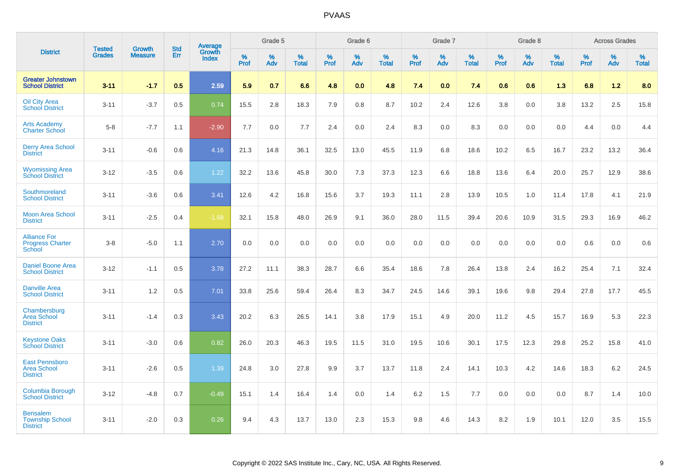|                                                                |                                |                                 | <b>Std</b> | Average                |           | Grade 5  |                   |           | Grade 6  |                   |           | Grade 7  |                      |           | Grade 8  |                   |           | <b>Across Grades</b> |                   |
|----------------------------------------------------------------|--------------------------------|---------------------------------|------------|------------------------|-----------|----------|-------------------|-----------|----------|-------------------|-----------|----------|----------------------|-----------|----------|-------------------|-----------|----------------------|-------------------|
| <b>District</b>                                                | <b>Tested</b><br><b>Grades</b> | <b>Growth</b><br><b>Measure</b> | Err        | Growth<br><b>Index</b> | %<br>Prof | %<br>Adv | %<br><b>Total</b> | %<br>Prof | %<br>Adv | %<br><b>Total</b> | %<br>Prof | %<br>Adv | $\%$<br><b>Total</b> | %<br>Prof | %<br>Adv | %<br><b>Total</b> | %<br>Prof | %<br>Adv             | %<br><b>Total</b> |
| <b>Greater Johnstown</b><br><b>School District</b>             | $3 - 11$                       | $-1.7$                          | 0.5        | 2.59                   | 5.9       | 0.7      | 6.6               | 4.8       | 0.0      | 4.8               | 7.4       | 0.0      | 7.4                  | 0.6       | 0.6      | 1.3               | 6.8       | 1.2                  | 8.0               |
| <b>Oil City Area</b><br><b>School District</b>                 | $3 - 11$                       | $-3.7$                          | 0.5        | 0.74                   | 15.5      | 2.8      | 18.3              | 7.9       | 0.8      | 8.7               | 10.2      | 2.4      | 12.6                 | 3.8       | 0.0      | 3.8               | 13.2      | 2.5                  | 15.8              |
| <b>Arts Academy</b><br><b>Charter School</b>                   | $5-8$                          | $-7.7$                          | 1.1        | $-2.90$                | 7.7       | 0.0      | 7.7               | 2.4       | 0.0      | 2.4               | 8.3       | 0.0      | 8.3                  | 0.0       | 0.0      | 0.0               | 4.4       | 0.0                  | 4.4               |
| <b>Derry Area School</b><br><b>District</b>                    | $3 - 11$                       | $-0.6$                          | 0.6        | 4.16                   | 21.3      | 14.8     | 36.1              | 32.5      | 13.0     | 45.5              | 11.9      | 6.8      | 18.6                 | 10.2      | 6.5      | 16.7              | 23.2      | 13.2                 | 36.4              |
| <b>Wyomissing Area</b><br><b>School District</b>               | $3 - 12$                       | $-3.5$                          | 0.6        | 1.22                   | 32.2      | 13.6     | 45.8              | 30.0      | 7.3      | 37.3              | 12.3      | 6.6      | 18.8                 | 13.6      | 6.4      | 20.0              | 25.7      | 12.9                 | 38.6              |
| Southmoreland<br><b>School District</b>                        | $3 - 11$                       | $-3.6$                          | 0.6        | 3.41                   | 12.6      | 4.2      | 16.8              | 15.6      | 3.7      | 19.3              | 11.1      | 2.8      | 13.9                 | 10.5      | 1.0      | 11.4              | 17.8      | 4.1                  | 21.9              |
| <b>Moon Area School</b><br><b>District</b>                     | $3 - 11$                       | $-2.5$                          | 0.4        | $-1.68$                | 32.1      | 15.8     | 48.0              | 26.9      | 9.1      | 36.0              | 28.0      | 11.5     | 39.4                 | 20.6      | 10.9     | 31.5              | 29.3      | 16.9                 | 46.2              |
| <b>Alliance For</b><br><b>Progress Charter</b><br>School       | $3 - 8$                        | $-5.0$                          | 1.1        | 2.70                   | 0.0       | 0.0      | 0.0               | 0.0       | 0.0      | 0.0               | 0.0       | 0.0      | 0.0                  | 0.0       | 0.0      | 0.0               | 0.6       | 0.0                  | 0.6               |
| <b>Daniel Boone Area</b><br><b>School District</b>             | $3 - 12$                       | $-1.1$                          | 0.5        | 3.78                   | 27.2      | 11.1     | 38.3              | 28.7      | 6.6      | 35.4              | 18.6      | 7.8      | 26.4                 | 13.8      | 2.4      | 16.2              | 25.4      | 7.1                  | 32.4              |
| <b>Danville Area</b><br><b>School District</b>                 | $3 - 11$                       | 1.2                             | 0.5        | 7.01                   | 33.8      | 25.6     | 59.4              | 26.4      | 8.3      | 34.7              | 24.5      | 14.6     | 39.1                 | 19.6      | 9.8      | 29.4              | 27.8      | 17.7                 | 45.5              |
| Chambersburg<br><b>Area School</b><br><b>District</b>          | $3 - 11$                       | $-1.4$                          | 0.3        | 3.43                   | 20.2      | 6.3      | 26.5              | 14.1      | 3.8      | 17.9              | 15.1      | 4.9      | 20.0                 | 11.2      | 4.5      | 15.7              | 16.9      | 5.3                  | 22.3              |
| <b>Keystone Oaks</b><br><b>School District</b>                 | $3 - 11$                       | $-3.0$                          | 0.6        | 0.82                   | 26.0      | 20.3     | 46.3              | 19.5      | 11.5     | 31.0              | 19.5      | 10.6     | 30.1                 | 17.5      | 12.3     | 29.8              | 25.2      | 15.8                 | 41.0              |
| <b>East Pennsboro</b><br><b>Area School</b><br><b>District</b> | $3 - 11$                       | $-2.6$                          | 0.5        | 1.39                   | 24.8      | 3.0      | 27.8              | 9.9       | 3.7      | 13.7              | 11.8      | 2.4      | 14.1                 | 10.3      | 4.2      | 14.6              | 18.3      | $6.2\,$              | 24.5              |
| Columbia Borough<br><b>School District</b>                     | $3 - 12$                       | $-4.8$                          | 0.7        | $-0.49$                | 15.1      | 1.4      | 16.4              | 1.4       | 0.0      | 1.4               | 6.2       | 1.5      | 7.7                  | 0.0       | 0.0      | 0.0               | 8.7       | 1.4                  | 10.0              |
| <b>Bensalem</b><br><b>Township School</b><br><b>District</b>   | $3 - 11$                       | $-2.0$                          | 0.3        | 0.26                   | 9.4       | 4.3      | 13.7              | 13.0      | 2.3      | 15.3              | 9.8       | 4.6      | 14.3                 | 8.2       | 1.9      | 10.1              | 12.0      | 3.5                  | 15.5              |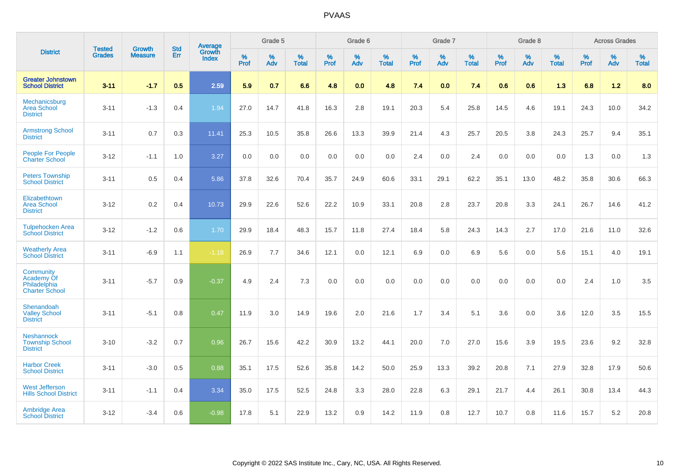|                                                                  | <b>Tested</b> |                                 | <b>Std</b> | Average                       |              | Grade 5  |                   |           | Grade 6  |                   |           | Grade 7  |                   |           | Grade 8  |                   |           | <b>Across Grades</b> |                   |
|------------------------------------------------------------------|---------------|---------------------------------|------------|-------------------------------|--------------|----------|-------------------|-----------|----------|-------------------|-----------|----------|-------------------|-----------|----------|-------------------|-----------|----------------------|-------------------|
| <b>District</b>                                                  | <b>Grades</b> | <b>Growth</b><br><b>Measure</b> | <b>Err</b> | <b>Growth</b><br><b>Index</b> | $\%$<br>Prof | %<br>Adv | %<br><b>Total</b> | %<br>Prof | %<br>Adv | %<br><b>Total</b> | %<br>Prof | %<br>Adv | %<br><b>Total</b> | %<br>Prof | %<br>Adv | %<br><b>Total</b> | %<br>Prof | %<br>Adv             | %<br><b>Total</b> |
| <b>Greater Johnstown</b><br><b>School District</b>               | $3 - 11$      | $-1.7$                          | 0.5        | 2.59                          | 5.9          | 0.7      | 6.6               | 4.8       | 0.0      | 4.8               | 7.4       | 0.0      | 7.4               | 0.6       | 0.6      | 1.3               | 6.8       | 1.2                  | 8.0               |
| Mechanicsburg<br><b>Area School</b><br><b>District</b>           | $3 - 11$      | $-1.3$                          | 0.4        | 1.94                          | 27.0         | 14.7     | 41.8              | 16.3      | 2.8      | 19.1              | 20.3      | 5.4      | 25.8              | 14.5      | 4.6      | 19.1              | 24.3      | 10.0                 | 34.2              |
| <b>Armstrong School</b><br><b>District</b>                       | $3 - 11$      | 0.7                             | 0.3        | 11.41                         | 25.3         | 10.5     | 35.8              | 26.6      | 13.3     | 39.9              | 21.4      | 4.3      | 25.7              | 20.5      | 3.8      | 24.3              | 25.7      | 9.4                  | 35.1              |
| <b>People For People</b><br><b>Charter School</b>                | $3 - 12$      | $-1.1$                          | 1.0        | 3.27                          | 0.0          | 0.0      | 0.0               | 0.0       | 0.0      | 0.0               | 2.4       | 0.0      | 2.4               | 0.0       | 0.0      | 0.0               | 1.3       | 0.0                  | 1.3               |
| <b>Peters Township</b><br><b>School District</b>                 | $3 - 11$      | 0.5                             | 0.4        | 5.86                          | 37.8         | 32.6     | 70.4              | 35.7      | 24.9     | 60.6              | 33.1      | 29.1     | 62.2              | 35.1      | 13.0     | 48.2              | 35.8      | 30.6                 | 66.3              |
| Elizabethtown<br><b>Area School</b><br><b>District</b>           | $3 - 12$      | 0.2                             | 0.4        | 10.73                         | 29.9         | 22.6     | 52.6              | 22.2      | 10.9     | 33.1              | 20.8      | 2.8      | 23.7              | 20.8      | 3.3      | 24.1              | 26.7      | 14.6                 | 41.2              |
| <b>Tulpehocken Area</b><br><b>School District</b>                | $3 - 12$      | $-1.2$                          | 0.6        | 1.70                          | 29.9         | 18.4     | 48.3              | 15.7      | 11.8     | 27.4              | 18.4      | 5.8      | 24.3              | 14.3      | 2.7      | 17.0              | 21.6      | 11.0                 | 32.6              |
| <b>Weatherly Area</b><br><b>School District</b>                  | $3 - 11$      | $-6.9$                          | 1.1        | $-1.18$                       | 26.9         | 7.7      | 34.6              | 12.1      | 0.0      | 12.1              | 6.9       | $0.0\,$  | 6.9               | 5.6       | 0.0      | 5.6               | 15.1      | 4.0                  | 19.1              |
| Community<br>Academy Of<br>Philadelphia<br><b>Charter School</b> | $3 - 11$      | $-5.7$                          | 0.9        | $-0.37$                       | 4.9          | 2.4      | 7.3               | 0.0       | 0.0      | 0.0               | 0.0       | 0.0      | 0.0               | 0.0       | 0.0      | 0.0               | 2.4       | 1.0                  | 3.5               |
| Shenandoah<br><b>Valley School</b><br><b>District</b>            | $3 - 11$      | $-5.1$                          | 0.8        | 0.47                          | 11.9         | 3.0      | 14.9              | 19.6      | 2.0      | 21.6              | 1.7       | 3.4      | 5.1               | 3.6       | 0.0      | 3.6               | 12.0      | 3.5                  | 15.5              |
| <b>Neshannock</b><br><b>Township School</b><br><b>District</b>   | $3 - 10$      | $-3.2$                          | 0.7        | 0.96                          | 26.7         | 15.6     | 42.2              | 30.9      | 13.2     | 44.1              | 20.0      | 7.0      | 27.0              | 15.6      | 3.9      | 19.5              | 23.6      | 9.2                  | 32.8              |
| <b>Harbor Creek</b><br><b>School District</b>                    | $3 - 11$      | $-3.0$                          | 0.5        | 0.88                          | 35.1         | 17.5     | 52.6              | 35.8      | 14.2     | 50.0              | 25.9      | 13.3     | 39.2              | 20.8      | 7.1      | 27.9              | 32.8      | 17.9                 | 50.6              |
| <b>West Jefferson</b><br><b>Hills School District</b>            | $3 - 11$      | $-1.1$                          | 0.4        | 3.34                          | 35.0         | 17.5     | 52.5              | 24.8      | 3.3      | 28.0              | 22.8      | 6.3      | 29.1              | 21.7      | 4.4      | 26.1              | 30.8      | 13.4                 | 44.3              |
| <b>Ambridge Area</b><br><b>School District</b>                   | $3 - 12$      | $-3.4$                          | 0.6        | $-0.98$                       | 17.8         | 5.1      | 22.9              | 13.2      | 0.9      | 14.2              | 11.9      | 0.8      | 12.7              | 10.7      | 0.8      | 11.6              | 15.7      | 5.2                  | 20.8              |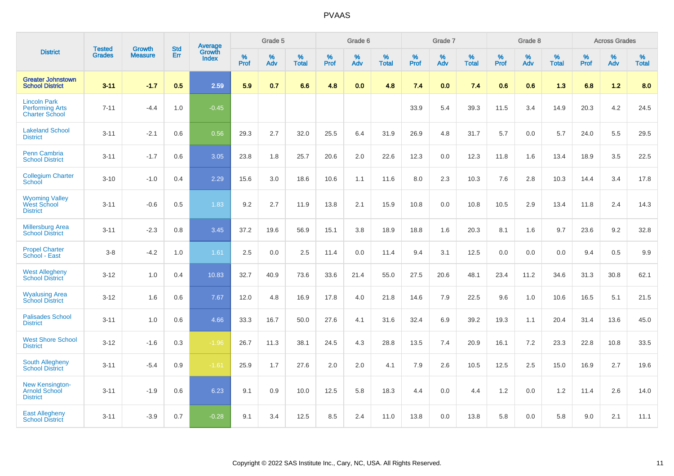|                                                                        | <b>Tested</b> | <b>Growth</b>  | <b>Std</b> | <b>Average</b>         |              | Grade 5  |                   |           | Grade 6  |                   |           | Grade 7  |                   |           | Grade 8  |                   |           | <b>Across Grades</b> |                   |
|------------------------------------------------------------------------|---------------|----------------|------------|------------------------|--------------|----------|-------------------|-----------|----------|-------------------|-----------|----------|-------------------|-----------|----------|-------------------|-----------|----------------------|-------------------|
| <b>District</b>                                                        | <b>Grades</b> | <b>Measure</b> | Err        | Growth<br><b>Index</b> | $\%$<br>Prof | %<br>Adv | %<br><b>Total</b> | %<br>Prof | %<br>Adv | %<br><b>Total</b> | %<br>Prof | %<br>Adv | %<br><b>Total</b> | %<br>Prof | %<br>Adv | %<br><b>Total</b> | %<br>Prof | %<br>Adv             | %<br><b>Total</b> |
| <b>Greater Johnstown</b><br><b>School District</b>                     | $3 - 11$      | $-1.7$         | 0.5        | 2.59                   | 5.9          | 0.7      | 6.6               | 4.8       | 0.0      | 4.8               | 7.4       | 0.0      | 7.4               | 0.6       | 0.6      | 1.3               | 6.8       | $1.2$                | 8.0               |
| <b>Lincoln Park</b><br><b>Performing Arts</b><br><b>Charter School</b> | $7 - 11$      | $-4.4$         | 1.0        | $-0.45$                |              |          |                   |           |          |                   | 33.9      | 5.4      | 39.3              | 11.5      | 3.4      | 14.9              | 20.3      | 4.2                  | 24.5              |
| <b>Lakeland School</b><br><b>District</b>                              | $3 - 11$      | $-2.1$         | 0.6        | 0.56                   | 29.3         | 2.7      | 32.0              | 25.5      | 6.4      | 31.9              | 26.9      | 4.8      | 31.7              | 5.7       | 0.0      | 5.7               | 24.0      | 5.5                  | 29.5              |
| Penn Cambria<br><b>School District</b>                                 | $3 - 11$      | $-1.7$         | 0.6        | 3.05                   | 23.8         | 1.8      | 25.7              | 20.6      | 2.0      | 22.6              | 12.3      | 0.0      | 12.3              | 11.8      | 1.6      | 13.4              | 18.9      | 3.5                  | 22.5              |
| <b>Collegium Charter</b><br><b>School</b>                              | $3 - 10$      | $-1.0$         | 0.4        | 2.29                   | 15.6         | 3.0      | 18.6              | 10.6      | 1.1      | 11.6              | 8.0       | 2.3      | 10.3              | 7.6       | 2.8      | 10.3              | 14.4      | 3.4                  | 17.8              |
| <b>Wyoming Valley</b><br><b>West School</b><br><b>District</b>         | $3 - 11$      | $-0.6$         | 0.5        | 1.83                   | 9.2          | 2.7      | 11.9              | 13.8      | 2.1      | 15.9              | 10.8      | 0.0      | 10.8              | 10.5      | 2.9      | 13.4              | 11.8      | 2.4                  | 14.3              |
| <b>Millersburg Area</b><br><b>School District</b>                      | $3 - 11$      | $-2.3$         | 0.8        | 3.45                   | 37.2         | 19.6     | 56.9              | 15.1      | 3.8      | 18.9              | 18.8      | 1.6      | 20.3              | 8.1       | 1.6      | 9.7               | 23.6      | 9.2                  | 32.8              |
| <b>Propel Charter</b><br>School - East                                 | $3-8$         | $-4.2$         | 1.0        | 1.61                   | 2.5          | 0.0      | 2.5               | 11.4      | 0.0      | 11.4              | 9.4       | 3.1      | 12.5              | 0.0       | 0.0      | 0.0               | 9.4       | 0.5                  | 9.9               |
| <b>West Allegheny</b><br><b>School District</b>                        | $3 - 12$      | 1.0            | 0.4        | 10.83                  | 32.7         | 40.9     | 73.6              | 33.6      | 21.4     | 55.0              | 27.5      | 20.6     | 48.1              | 23.4      | 11.2     | 34.6              | 31.3      | 30.8                 | 62.1              |
| <b>Wyalusing Area</b><br><b>School District</b>                        | $3 - 12$      | 1.6            | 0.6        | 7.67                   | 12.0         | 4.8      | 16.9              | 17.8      | 4.0      | 21.8              | 14.6      | 7.9      | 22.5              | 9.6       | 1.0      | 10.6              | 16.5      | 5.1                  | 21.5              |
| <b>Palisades School</b><br><b>District</b>                             | $3 - 11$      | 1.0            | 0.6        | 4.66                   | 33.3         | 16.7     | 50.0              | 27.6      | 4.1      | 31.6              | 32.4      | 6.9      | 39.2              | 19.3      | 1.1      | 20.4              | 31.4      | 13.6                 | 45.0              |
| <b>West Shore School</b><br><b>District</b>                            | $3 - 12$      | $-1.6$         | 0.3        | $-1.96$                | 26.7         | 11.3     | 38.1              | 24.5      | 4.3      | 28.8              | 13.5      | 7.4      | 20.9              | 16.1      | 7.2      | 23.3              | 22.8      | 10.8                 | 33.5              |
| <b>South Allegheny</b><br><b>School District</b>                       | $3 - 11$      | $-5.4$         | 0.9        | $-1.61$                | 25.9         | 1.7      | 27.6              | 2.0       | 2.0      | 4.1               | 7.9       | 2.6      | 10.5              | 12.5      | 2.5      | 15.0              | 16.9      | 2.7                  | 19.6              |
| <b>New Kensington-</b><br><b>Arnold School</b><br><b>District</b>      | $3 - 11$      | $-1.9$         | 0.6        | 6.23                   | 9.1          | 0.9      | 10.0              | 12.5      | 5.8      | 18.3              | 4.4       | 0.0      | 4.4               | 1.2       | 0.0      | 1.2               | 11.4      | 2.6                  | 14.0              |
| <b>East Allegheny</b><br><b>School District</b>                        | $3 - 11$      | $-3.9$         | 0.7        | $-0.28$                | 9.1          | 3.4      | 12.5              | 8.5       | 2.4      | 11.0              | 13.8      | 0.0      | 13.8              | 5.8       | 0.0      | 5.8               | 9.0       | 2.1                  | 11.1              |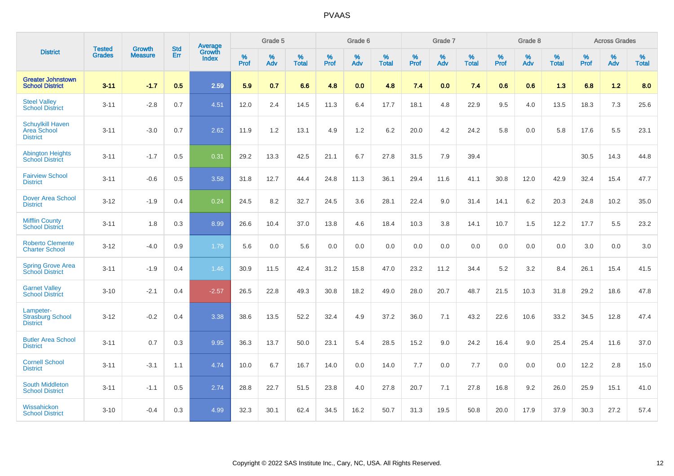|                                                                  | <b>Tested</b> | <b>Growth</b>  | <b>Std</b> | Average         |           | Grade 5  |                   |                  | Grade 6  |                   |                  | Grade 7  |                   |                  | Grade 8  |                   |           | <b>Across Grades</b> |                   |
|------------------------------------------------------------------|---------------|----------------|------------|-----------------|-----------|----------|-------------------|------------------|----------|-------------------|------------------|----------|-------------------|------------------|----------|-------------------|-----------|----------------------|-------------------|
| <b>District</b>                                                  | <b>Grades</b> | <b>Measure</b> | Err        | Growth<br>Index | %<br>Prof | %<br>Adv | %<br><b>Total</b> | %<br><b>Prof</b> | %<br>Adv | %<br><b>Total</b> | %<br><b>Prof</b> | %<br>Adv | %<br><b>Total</b> | %<br><b>Prof</b> | %<br>Adv | %<br><b>Total</b> | %<br>Prof | %<br>Adv             | %<br><b>Total</b> |
| <b>Greater Johnstown</b><br><b>School District</b>               | $3 - 11$      | $-1.7$         | 0.5        | 2.59            | 5.9       | 0.7      | 6.6               | 4.8              | 0.0      | 4.8               | 7.4              | 0.0      | 7.4               | 0.6              | 0.6      | 1.3               | 6.8       | $1.2$                | 8.0               |
| <b>Steel Valley</b><br><b>School District</b>                    | $3 - 11$      | $-2.8$         | 0.7        | 4.51            | 12.0      | 2.4      | 14.5              | 11.3             | 6.4      | 17.7              | 18.1             | 4.8      | 22.9              | 9.5              | 4.0      | 13.5              | 18.3      | 7.3                  | 25.6              |
| <b>Schuylkill Haven</b><br><b>Area School</b><br><b>District</b> | $3 - 11$      | $-3.0$         | 0.7        | 2.62            | 11.9      | 1.2      | 13.1              | 4.9              | 1.2      | 6.2               | 20.0             | 4.2      | 24.2              | 5.8              | 0.0      | 5.8               | 17.6      | 5.5                  | 23.1              |
| <b>Abington Heights</b><br><b>School District</b>                | $3 - 11$      | $-1.7$         | 0.5        | 0.31            | 29.2      | 13.3     | 42.5              | 21.1             | 6.7      | 27.8              | 31.5             | 7.9      | 39.4              |                  |          |                   | 30.5      | 14.3                 | 44.8              |
| <b>Fairview School</b><br><b>District</b>                        | $3 - 11$      | $-0.6$         | 0.5        | 3.58            | 31.8      | 12.7     | 44.4              | 24.8             | 11.3     | 36.1              | 29.4             | 11.6     | 41.1              | 30.8             | 12.0     | 42.9              | 32.4      | 15.4                 | 47.7              |
| <b>Dover Area School</b><br><b>District</b>                      | $3 - 12$      | $-1.9$         | 0.4        | 0.24            | 24.5      | 8.2      | 32.7              | 24.5             | 3.6      | 28.1              | 22.4             | 9.0      | 31.4              | 14.1             | 6.2      | 20.3              | 24.8      | 10.2                 | 35.0              |
| <b>Mifflin County</b><br><b>School District</b>                  | $3 - 11$      | 1.8            | 0.3        | 8.99            | 26.6      | 10.4     | 37.0              | 13.8             | 4.6      | 18.4              | 10.3             | 3.8      | 14.1              | 10.7             | 1.5      | 12.2              | 17.7      | 5.5                  | 23.2              |
| <b>Roberto Clemente</b><br><b>Charter School</b>                 | $3 - 12$      | $-4.0$         | 0.9        | 1.79            | 5.6       | 0.0      | 5.6               | 0.0              | 0.0      | 0.0               | 0.0              | 0.0      | 0.0               | 0.0              | 0.0      | 0.0               | 3.0       | 0.0                  | 3.0               |
| <b>Spring Grove Area</b><br><b>School District</b>               | $3 - 11$      | $-1.9$         | 0.4        | 1.46            | 30.9      | 11.5     | 42.4              | 31.2             | 15.8     | 47.0              | 23.2             | 11.2     | 34.4              | $5.2\,$          | 3.2      | 8.4               | 26.1      | 15.4                 | 41.5              |
| <b>Garnet Valley</b><br><b>School District</b>                   | $3 - 10$      | $-2.1$         | 0.4        | $-2.57$         | 26.5      | 22.8     | 49.3              | 30.8             | 18.2     | 49.0              | 28.0             | 20.7     | 48.7              | 21.5             | 10.3     | 31.8              | 29.2      | 18.6                 | 47.8              |
| Lampeter-<br><b>Strasburg School</b><br><b>District</b>          | $3 - 12$      | $-0.2$         | 0.4        | 3.38            | 38.6      | 13.5     | 52.2              | 32.4             | 4.9      | 37.2              | 36.0             | 7.1      | 43.2              | 22.6             | 10.6     | 33.2              | 34.5      | 12.8                 | 47.4              |
| <b>Butler Area School</b><br><b>District</b>                     | $3 - 11$      | 0.7            | 0.3        | 9.95            | 36.3      | 13.7     | 50.0              | 23.1             | 5.4      | 28.5              | 15.2             | 9.0      | 24.2              | 16.4             | 9.0      | 25.4              | 25.4      | 11.6                 | 37.0              |
| <b>Cornell School</b><br><b>District</b>                         | $3 - 11$      | $-3.1$         | 1.1        | 4.74            | 10.0      | 6.7      | 16.7              | 14.0             | 0.0      | 14.0              | 7.7              | 0.0      | 7.7               | 0.0              | 0.0      | 0.0               | 12.2      | 2.8                  | 15.0              |
| South Middleton<br><b>School District</b>                        | $3 - 11$      | $-1.1$         | 0.5        | 2.74            | 28.8      | 22.7     | 51.5              | 23.8             | 4.0      | 27.8              | 20.7             | 7.1      | 27.8              | 16.8             | 9.2      | 26.0              | 25.9      | 15.1                 | 41.0              |
| Wissahickon<br><b>School District</b>                            | $3 - 10$      | $-0.4$         | 0.3        | 4.99            | 32.3      | 30.1     | 62.4              | 34.5             | 16.2     | 50.7              | 31.3             | 19.5     | 50.8              | 20.0             | 17.9     | 37.9              | 30.3      | 27.2                 | 57.4              |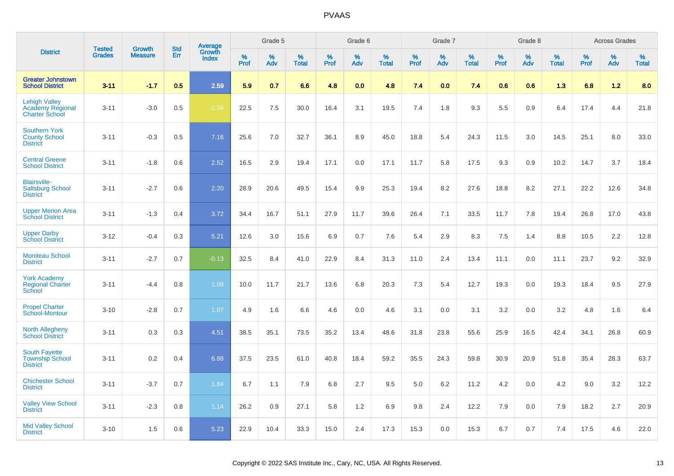|                                                                          | <b>Tested</b> | <b>Growth</b>  | <b>Std</b> |                                          |           | Grade 5  |                   |           | Grade 6  |                   |           | Grade 7  |                   |           | Grade 8  |                   |              | <b>Across Grades</b> |                   |
|--------------------------------------------------------------------------|---------------|----------------|------------|------------------------------------------|-----------|----------|-------------------|-----------|----------|-------------------|-----------|----------|-------------------|-----------|----------|-------------------|--------------|----------------------|-------------------|
| <b>District</b>                                                          | <b>Grades</b> | <b>Measure</b> | <b>Err</b> | <b>Average</b><br>Growth<br><b>Index</b> | %<br>Prof | %<br>Adv | %<br><b>Total</b> | %<br>Prof | %<br>Adv | %<br><b>Total</b> | %<br>Prof | %<br>Adv | %<br><b>Total</b> | %<br>Prof | %<br>Adv | %<br><b>Total</b> | $\%$<br>Prof | %<br>Adv             | %<br><b>Total</b> |
| <b>Greater Johnstown</b><br><b>School District</b>                       | $3 - 11$      | $-1.7$         | 0.5        | 2.59                                     | 5.9       | 0.7      | 6.6               | 4.8       | 0.0      | 4.8               | 7.4       | 0.0      | 7.4               | 0.6       | 0.6      | 1.3               | 6.8          | 1.2                  | 8.0               |
| <b>Lehigh Valley</b><br><b>Academy Regional</b><br><b>Charter School</b> | $3 - 11$      | $-3.0$         | 0.5        | $-1.04$                                  | 22.5      | 7.5      | 30.0              | 16.4      | 3.1      | 19.5              | 7.4       | 1.8      | 9.3               | 5.5       | 0.9      | 6.4               | 17.4         | 4.4                  | 21.8              |
| <b>Southern York</b><br><b>County School</b><br><b>District</b>          | $3 - 11$      | $-0.3$         | 0.5        | 7.16                                     | 25.6      | 7.0      | 32.7              | 36.1      | 8.9      | 45.0              | 18.8      | 5.4      | 24.3              | 11.5      | 3.0      | 14.5              | 25.1         | 8.0                  | 33.0              |
| <b>Central Greene</b><br><b>School District</b>                          | $3 - 11$      | $-1.8$         | 0.6        | 2.52                                     | 16.5      | 2.9      | 19.4              | 17.1      | 0.0      | 17.1              | 11.7      | 5.8      | 17.5              | 9.3       | 0.9      | 10.2              | 14.7         | 3.7                  | 18.4              |
| <b>Blairsville-</b><br><b>Saltsburg School</b><br><b>District</b>        | $3 - 11$      | $-2.7$         | 0.6        | 2.20                                     | 28.9      | 20.6     | 49.5              | 15.4      | 9.9      | 25.3              | 19.4      | 8.2      | 27.6              | 18.8      | 8.2      | 27.1              | 22.2         | 12.6                 | 34.8              |
| <b>Upper Merion Area</b><br><b>School District</b>                       | $3 - 11$      | $-1.3$         | 0.4        | 3.72                                     | 34.4      | 16.7     | 51.1              | 27.9      | 11.7     | 39.6              | 26.4      | 7.1      | 33.5              | 11.7      | 7.8      | 19.4              | 26.8         | 17.0                 | 43.8              |
| <b>Upper Darby</b><br><b>School District</b>                             | $3 - 12$      | $-0.4$         | 0.3        | 5.21                                     | 12.6      | 3.0      | 15.6              | 6.9       | 0.7      | 7.6               | 5.4       | 2.9      | 8.3               | 7.5       | 1.4      | 8.8               | 10.5         | 2.2                  | 12.8              |
| <b>Moniteau School</b><br><b>District</b>                                | $3 - 11$      | $-2.7$         | 0.7        | $-0.13$                                  | 32.5      | 8.4      | 41.0              | 22.9      | 8.4      | 31.3              | 11.0      | 2.4      | 13.4              | 11.1      | 0.0      | 11.1              | 23.7         | 9.2                  | 32.9              |
| <b>York Academy</b><br><b>Regional Charter</b><br>School                 | $3 - 11$      | $-4.4$         | 0.8        | 1.08                                     | 10.0      | 11.7     | 21.7              | 13.6      | 6.8      | 20.3              | 7.3       | 5.4      | 12.7              | 19.3      | 0.0      | 19.3              | 18.4         | 9.5                  | 27.9              |
| <b>Propel Charter</b><br>School-Montour                                  | $3 - 10$      | $-2.8$         | 0.7        | 1.07                                     | 4.9       | 1.6      | 6.6               | 4.6       | 0.0      | 4.6               | 3.1       | 0.0      | 3.1               | 3.2       | 0.0      | 3.2               | 4.8          | 1.6                  | 6.4               |
| <b>North Allegheny</b><br><b>School District</b>                         | $3 - 11$      | 0.3            | 0.3        | 4.51                                     | 38.5      | 35.1     | 73.5              | 35.2      | 13.4     | 48.6              | 31.8      | 23.8     | 55.6              | 25.9      | 16.5     | 42.4              | 34.1         | 26.8                 | 60.9              |
| <b>South Fayette</b><br><b>Township School</b><br><b>District</b>        | $3 - 11$      | 0.2            | 0.4        | 6.88                                     | 37.5      | 23.5     | 61.0              | 40.8      | 18.4     | 59.2              | 35.5      | 24.3     | 59.8              | 30.9      | 20.9     | 51.8              | 35.4         | 28.3                 | 63.7              |
| <b>Chichester School</b><br><b>District</b>                              | $3 - 11$      | $-3.7$         | 0.7        | 1.84                                     | 6.7       | 1.1      | 7.9               | 6.8       | 2.7      | 9.5               | 5.0       | 6.2      | 11.2              | 4.2       | 0.0      | 4.2               | 9.0          | 3.2                  | 12.2              |
| <b>Valley View School</b><br><b>District</b>                             | $3 - 11$      | $-2.3$         | 0.8        | 1.14                                     | 26.2      | 0.9      | 27.1              | 5.8       | 1.2      | 6.9               | 9.8       | 2.4      | 12.2              | 7.9       | 0.0      | 7.9               | 18.2         | 2.7                  | 20.9              |
| <b>Mid Valley School</b><br><b>District</b>                              | $3 - 10$      | 1.5            | 0.6        | 5.23                                     | 22.9      | 10.4     | 33.3              | 15.0      | 2.4      | 17.3              | 15.3      | 0.0      | 15.3              | 6.7       | 0.7      | 7.4               | 17.5         | 4.6                  | 22.0              |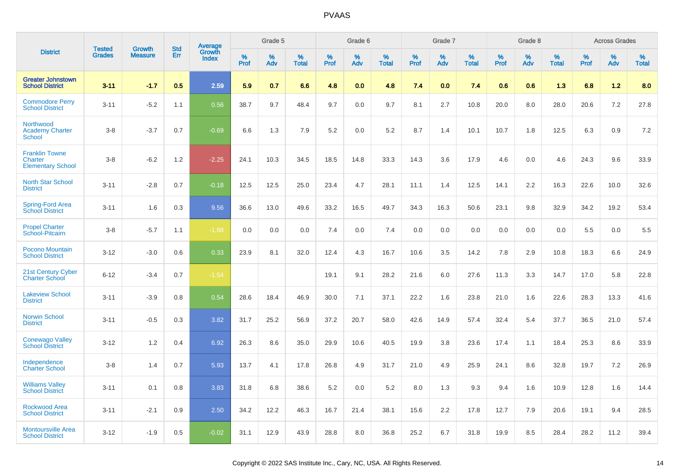|                                                                     | <b>Tested</b> | <b>Growth</b>  | <b>Std</b> | Average                |              | Grade 5  |                   |              | Grade 6  |                   |              | Grade 7  |                   |                     | Grade 8  |                   |              | <b>Across Grades</b> |                   |
|---------------------------------------------------------------------|---------------|----------------|------------|------------------------|--------------|----------|-------------------|--------------|----------|-------------------|--------------|----------|-------------------|---------------------|----------|-------------------|--------------|----------------------|-------------------|
| <b>District</b>                                                     | <b>Grades</b> | <b>Measure</b> | Err        | Growth<br><b>Index</b> | $\%$<br>Prof | %<br>Adv | %<br><b>Total</b> | $\%$<br>Prof | %<br>Adv | %<br><b>Total</b> | $\%$<br>Prof | %<br>Adv | %<br><b>Total</b> | $\%$<br><b>Prof</b> | %<br>Adv | %<br><b>Total</b> | $\%$<br>Prof | %<br>Adv             | %<br><b>Total</b> |
| <b>Greater Johnstown</b><br><b>School District</b>                  | $3 - 11$      | $-1.7$         | 0.5        | 2.59                   | 5.9          | 0.7      | 6.6               | 4.8          | 0.0      | 4.8               | 7.4          | 0.0      | 7.4               | 0.6                 | 0.6      | 1.3               | 6.8          | 1.2                  | 8.0               |
| <b>Commodore Perry</b><br><b>School District</b>                    | $3 - 11$      | $-5.2$         | 1.1        | 0.56                   | 38.7         | 9.7      | 48.4              | 9.7          | 0.0      | 9.7               | 8.1          | 2.7      | 10.8              | 20.0                | 8.0      | 28.0              | 20.6         | 7.2                  | 27.8              |
| <b>Northwood</b><br><b>Academy Charter</b><br><b>School</b>         | $3 - 8$       | $-3.7$         | 0.7        | $-0.69$                | 6.6          | 1.3      | 7.9               | 5.2          | 0.0      | 5.2               | 8.7          | 1.4      | 10.1              | 10.7                | 1.8      | 12.5              | 6.3          | 0.9                  | 7.2               |
| <b>Franklin Towne</b><br><b>Charter</b><br><b>Elementary School</b> | $3-8$         | $-6.2$         | 1.2        | $-2.25$                | 24.1         | 10.3     | 34.5              | 18.5         | 14.8     | 33.3              | 14.3         | 3.6      | 17.9              | 4.6                 | 0.0      | 4.6               | 24.3         | 9.6                  | 33.9              |
| <b>North Star School</b><br><b>District</b>                         | $3 - 11$      | $-2.8$         | 0.7        | $-0.18$                | 12.5         | 12.5     | 25.0              | 23.4         | 4.7      | 28.1              | 11.1         | 1.4      | 12.5              | 14.1                | 2.2      | 16.3              | 22.6         | 10.0                 | 32.6              |
| Spring-Ford Area<br>School District                                 | $3 - 11$      | 1.6            | 0.3        | 9.56                   | 36.6         | 13.0     | 49.6              | 33.2         | 16.5     | 49.7              | 34.3         | 16.3     | 50.6              | 23.1                | 9.8      | 32.9              | 34.2         | 19.2                 | 53.4              |
| <b>Propel Charter</b><br>School-Pitcairn                            | $3 - 8$       | $-5.7$         | 1.1        | $-1.88$                | 0.0          | 0.0      | 0.0               | 7.4          | 0.0      | 7.4               | 0.0          | 0.0      | 0.0               | 0.0                 | 0.0      | 0.0               | 5.5          | 0.0                  | 5.5               |
| Pocono Mountain<br><b>School District</b>                           | $3 - 12$      | $-3.0$         | 0.6        | 0.33                   | 23.9         | 8.1      | 32.0              | 12.4         | 4.3      | 16.7              | 10.6         | 3.5      | 14.2              | 7.8                 | 2.9      | 10.8              | 18.3         | 6.6                  | 24.9              |
| 21st Century Cyber<br><b>Charter School</b>                         | $6 - 12$      | $-3.4$         | 0.7        | $-1.54$                |              |          |                   | 19.1         | 9.1      | 28.2              | 21.6         | 6.0      | 27.6              | 11.3                | 3.3      | 14.7              | 17.0         | 5.8                  | 22.8              |
| <b>Lakeview School</b><br><b>District</b>                           | $3 - 11$      | $-3.9$         | 0.8        | 0.54                   | 28.6         | 18.4     | 46.9              | 30.0         | 7.1      | 37.1              | 22.2         | 1.6      | 23.8              | 21.0                | 1.6      | 22.6              | 28.3         | 13.3                 | 41.6              |
| <b>Norwin School</b><br><b>District</b>                             | $3 - 11$      | $-0.5$         | 0.3        | 3.82                   | 31.7         | 25.2     | 56.9              | 37.2         | 20.7     | 58.0              | 42.6         | 14.9     | 57.4              | 32.4                | 5.4      | 37.7              | 36.5         | 21.0                 | 57.4              |
| <b>Conewago Valley</b><br><b>School District</b>                    | $3 - 12$      | 1.2            | 0.4        | 6.92                   | 26.3         | 8.6      | 35.0              | 29.9         | 10.6     | 40.5              | 19.9         | 3.8      | 23.6              | 17.4                | 1.1      | 18.4              | 25.3         | 8.6                  | 33.9              |
| Independence<br><b>Charter School</b>                               | $3 - 8$       | 1.4            | 0.7        | 5.93                   | 13.7         | 4.1      | 17.8              | 26.8         | 4.9      | 31.7              | 21.0         | 4.9      | 25.9              | 24.1                | 8.6      | 32.8              | 19.7         | 7.2                  | 26.9              |
| <b>Williams Valley</b><br><b>School District</b>                    | $3 - 11$      | 0.1            | 0.8        | 3.83                   | 31.8         | 6.8      | 38.6              | 5.2          | 0.0      | 5.2               | 8.0          | 1.3      | 9.3               | 9.4                 | 1.6      | 10.9              | 12.8         | 1.6                  | 14.4              |
| <b>Rockwood Area</b><br><b>School District</b>                      | $3 - 11$      | $-2.1$         | 0.9        | 2.50                   | 34.2         | 12.2     | 46.3              | 16.7         | 21.4     | 38.1              | 15.6         | 2.2      | 17.8              | 12.7                | 7.9      | 20.6              | 19.1         | 9.4                  | 28.5              |
| <b>Montoursville Area</b><br><b>School District</b>                 | $3 - 12$      | $-1.9$         | 0.5        | $-0.02$                | 31.1         | 12.9     | 43.9              | 28.8         | 8.0      | 36.8              | 25.2         | 6.7      | 31.8              | 19.9                | 8.5      | 28.4              | 28.2         | 11.2                 | 39.4              |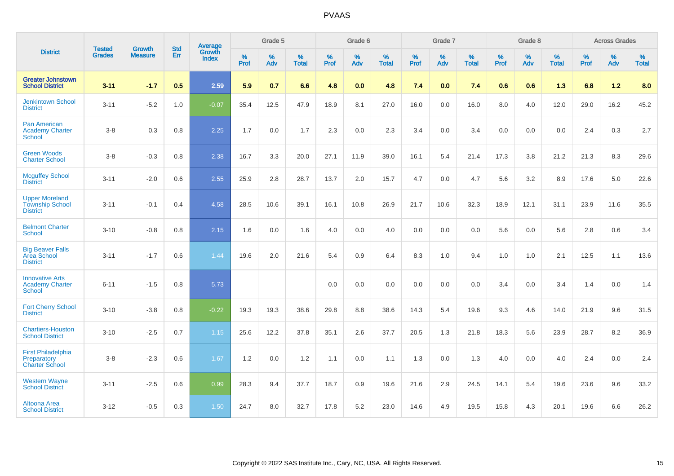|                                                                    | <b>Tested</b> | <b>Growth</b>  | <b>Std</b> | Average                |                     | Grade 5  |                   |                     | Grade 6  |                   |                     | Grade 7  |                   |                     | Grade 8  |                   |              | <b>Across Grades</b> |                   |
|--------------------------------------------------------------------|---------------|----------------|------------|------------------------|---------------------|----------|-------------------|---------------------|----------|-------------------|---------------------|----------|-------------------|---------------------|----------|-------------------|--------------|----------------------|-------------------|
| <b>District</b>                                                    | <b>Grades</b> | <b>Measure</b> | <b>Err</b> | Growth<br><b>Index</b> | $\%$<br><b>Prof</b> | %<br>Adv | %<br><b>Total</b> | $\%$<br><b>Prof</b> | %<br>Adv | %<br><b>Total</b> | $\%$<br><b>Prof</b> | %<br>Adv | %<br><b>Total</b> | $\%$<br><b>Prof</b> | %<br>Adv | %<br><b>Total</b> | $\%$<br>Prof | %<br>Adv             | %<br><b>Total</b> |
| <b>Greater Johnstown</b><br><b>School District</b>                 | $3 - 11$      | $-1.7$         | 0.5        | 2.59                   | 5.9                 | 0.7      | 6.6               | 4.8                 | 0.0      | 4.8               | 7.4                 | 0.0      | 7.4               | 0.6                 | 0.6      | 1.3               | 6.8          | $1.2$                | 8.0               |
| <b>Jenkintown School</b><br><b>District</b>                        | $3 - 11$      | $-5.2$         | 1.0        | $-0.07$                | 35.4                | 12.5     | 47.9              | 18.9                | 8.1      | 27.0              | 16.0                | 0.0      | 16.0              | 8.0                 | 4.0      | 12.0              | 29.0         | 16.2                 | 45.2              |
| <b>Pan American</b><br><b>Academy Charter</b><br><b>School</b>     | $3-8$         | 0.3            | 0.8        | 2.25                   | 1.7                 | 0.0      | 1.7               | 2.3                 | 0.0      | 2.3               | 3.4                 | 0.0      | 3.4               | 0.0                 | 0.0      | 0.0               | 2.4          | 0.3                  | 2.7               |
| <b>Green Woods</b><br><b>Charter School</b>                        | $3 - 8$       | $-0.3$         | 0.8        | 2.38                   | 16.7                | 3.3      | 20.0              | 27.1                | 11.9     | 39.0              | 16.1                | 5.4      | 21.4              | 17.3                | 3.8      | 21.2              | 21.3         | 8.3                  | 29.6              |
| <b>Mcguffey School</b><br><b>District</b>                          | $3 - 11$      | $-2.0$         | 0.6        | 2.55                   | 25.9                | 2.8      | 28.7              | 13.7                | 2.0      | 15.7              | 4.7                 | 0.0      | 4.7               | 5.6                 | 3.2      | 8.9               | 17.6         | 5.0                  | 22.6              |
| <b>Upper Moreland</b><br><b>Township School</b><br><b>District</b> | $3 - 11$      | $-0.1$         | 0.4        | 4.58                   | 28.5                | 10.6     | 39.1              | 16.1                | 10.8     | 26.9              | 21.7                | 10.6     | 32.3              | 18.9                | 12.1     | 31.1              | 23.9         | 11.6                 | 35.5              |
| <b>Belmont Charter</b><br><b>School</b>                            | $3 - 10$      | $-0.8$         | 0.8        | 2.15                   | 1.6                 | 0.0      | 1.6               | 4.0                 | 0.0      | 4.0               | 0.0                 | 0.0      | 0.0               | 5.6                 | 0.0      | 5.6               | 2.8          | 0.6                  | 3.4               |
| <b>Big Beaver Falls</b><br>Area School<br><b>District</b>          | $3 - 11$      | $-1.7$         | 0.6        | 1.44                   | 19.6                | 2.0      | 21.6              | 5.4                 | 0.9      | 6.4               | 8.3                 | 1.0      | 9.4               | 1.0                 | 1.0      | 2.1               | 12.5         | 1.1                  | 13.6              |
| <b>Innovative Arts</b><br><b>Academy Charter</b><br>School         | $6 - 11$      | $-1.5$         | 0.8        | 5.73                   |                     |          |                   | 0.0                 | 0.0      | 0.0               | 0.0                 | 0.0      | 0.0               | 3.4                 | 0.0      | 3.4               | 1.4          | 0.0                  | 1.4               |
| <b>Fort Cherry School</b><br><b>District</b>                       | $3 - 10$      | $-3.8$         | 0.8        | $-0.22$                | 19.3                | 19.3     | 38.6              | 29.8                | 8.8      | 38.6              | 14.3                | 5.4      | 19.6              | 9.3                 | 4.6      | 14.0              | 21.9         | 9.6                  | 31.5              |
| <b>Chartiers-Houston</b><br><b>School District</b>                 | $3 - 10$      | $-2.5$         | 0.7        | 1.15                   | 25.6                | 12.2     | 37.8              | 35.1                | 2.6      | 37.7              | 20.5                | 1.3      | 21.8              | 18.3                | 5.6      | 23.9              | 28.7         | 8.2                  | 36.9              |
| <b>First Philadelphia</b><br>Preparatory<br><b>Charter School</b>  | $3 - 8$       | $-2.3$         | 0.6        | 1.67                   | 1.2                 | 0.0      | 1.2               | 1.1                 | 0.0      | 1.1               | 1.3                 | 0.0      | 1.3               | 4.0                 | 0.0      | 4.0               | 2.4          | 0.0                  | 2.4               |
| <b>Western Wayne</b><br><b>School District</b>                     | $3 - 11$      | $-2.5$         | 0.6        | 0.99                   | 28.3                | 9.4      | 37.7              | 18.7                | 0.9      | 19.6              | 21.6                | 2.9      | 24.5              | 14.1                | 5.4      | 19.6              | 23.6         | 9.6                  | 33.2              |
| <b>Altoona Area</b><br><b>School District</b>                      | $3 - 12$      | $-0.5$         | 0.3        | 1.50                   | 24.7                | 8.0      | 32.7              | 17.8                | 5.2      | 23.0              | 14.6                | 4.9      | 19.5              | 15.8                | 4.3      | 20.1              | 19.6         | 6.6                  | 26.2              |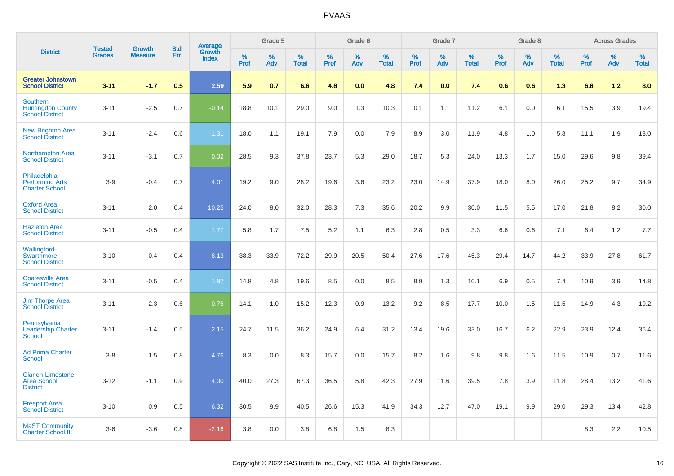|                                                                       | <b>Tested</b> | <b>Growth</b>  | <b>Std</b> | Average                |                     | Grade 5  |                   |              | Grade 6  |                   |           | Grade 7  |                   |           | Grade 8  |                   |              | <b>Across Grades</b> |                   |
|-----------------------------------------------------------------------|---------------|----------------|------------|------------------------|---------------------|----------|-------------------|--------------|----------|-------------------|-----------|----------|-------------------|-----------|----------|-------------------|--------------|----------------------|-------------------|
| <b>District</b>                                                       | <b>Grades</b> | <b>Measure</b> | Err        | Growth<br><b>Index</b> | $\%$<br><b>Prof</b> | %<br>Adv | %<br><b>Total</b> | $\%$<br>Prof | %<br>Adv | %<br><b>Total</b> | %<br>Prof | %<br>Adv | %<br><b>Total</b> | %<br>Prof | %<br>Adv | %<br><b>Total</b> | $\%$<br>Prof | %<br>Adv             | %<br><b>Total</b> |
| <b>Greater Johnstown</b><br><b>School District</b>                    | $3 - 11$      | $-1.7$         | 0.5        | 2.59                   | 5.9                 | 0.7      | 6.6               | 4.8          | 0.0      | 4.8               | 7.4       | 0.0      | 7.4               | 0.6       | 0.6      | 1.3               | 6.8          | 1.2                  | 8.0               |
| <b>Southern</b><br><b>Huntingdon County</b><br><b>School District</b> | $3 - 11$      | $-2.5$         | 0.7        | $-0.14$                | 18.8                | 10.1     | 29.0              | 9.0          | 1.3      | 10.3              | 10.1      | 1.1      | 11.2              | 6.1       | 0.0      | 6.1               | 15.5         | 3.9                  | 19.4              |
| <b>New Brighton Area</b><br><b>School District</b>                    | $3 - 11$      | $-2.4$         | 0.6        | 1.31                   | 18.0                | 1.1      | 19.1              | 7.9          | 0.0      | 7.9               | 8.9       | 3.0      | 11.9              | 4.8       | 1.0      | 5.8               | 11.1         | 1.9                  | 13.0              |
| <b>Northampton Area</b><br><b>School District</b>                     | $3 - 11$      | $-3.1$         | 0.7        | 0.02                   | 28.5                | 9.3      | 37.8              | 23.7         | 5.3      | 29.0              | 18.7      | 5.3      | 24.0              | 13.3      | 1.7      | 15.0              | 29.6         | 9.8                  | 39.4              |
| Philadelphia<br><b>Performing Arts</b><br><b>Charter School</b>       | $3-9$         | $-0.4$         | 0.7        | 4.01                   | 19.2                | 9.0      | 28.2              | 19.6         | 3.6      | 23.2              | 23.0      | 14.9     | 37.9              | 18.0      | 8.0      | 26.0              | 25.2         | 9.7                  | 34.9              |
| <b>Oxford Area</b><br><b>School District</b>                          | $3 - 11$      | 2.0            | 0.4        | 10.25                  | 24.0                | 8.0      | 32.0              | 28.3         | 7.3      | 35.6              | 20.2      | 9.9      | 30.0              | 11.5      | 5.5      | 17.0              | 21.8         | 8.2                  | 30.0              |
| <b>Hazleton Area</b><br><b>School District</b>                        | $3 - 11$      | $-0.5$         | 0.4        | 1.77                   | 5.8                 | 1.7      | 7.5               | 5.2          | 1.1      | 6.3               | 2.8       | 0.5      | 3.3               | 6.6       | 0.6      | 7.1               | 6.4          | 1.2                  | 7.7               |
| Wallingford-<br>Swarthmore<br><b>School District</b>                  | $3 - 10$      | 0.4            | 0.4        | 8.13                   | 38.3                | 33.9     | 72.2              | 29.9         | 20.5     | 50.4              | 27.6      | 17.6     | 45.3              | 29.4      | 14.7     | 44.2              | 33.9         | 27.8                 | 61.7              |
| <b>Coatesville Area</b><br><b>School District</b>                     | $3 - 11$      | $-0.5$         | 0.4        | 1.87                   | 14.8                | 4.8      | 19.6              | 8.5          | 0.0      | 8.5               | 8.9       | 1.3      | 10.1              | 6.9       | 0.5      | 7.4               | 10.9         | 3.9                  | 14.8              |
| <b>Jim Thorpe Area</b><br><b>School District</b>                      | $3 - 11$      | $-2.3$         | 0.6        | 0.76                   | 14.1                | 1.0      | 15.2              | 12.3         | 0.9      | 13.2              | 9.2       | 8.5      | 17.7              | 10.0      | 1.5      | 11.5              | 14.9         | 4.3                  | 19.2              |
| Pennsylvania<br><b>Leadership Charter</b><br><b>School</b>            | $3 - 11$      | $-1.4$         | 0.5        | 2.15                   | 24.7                | 11.5     | 36.2              | 24.9         | 6.4      | 31.2              | 13.4      | 19.6     | 33.0              | 16.7      | 6.2      | 22.9              | 23.9         | 12.4                 | 36.4              |
| <b>Ad Prima Charter</b><br><b>School</b>                              | $3-8$         | 1.5            | 0.8        | 4.76                   | 8.3                 | 0.0      | 8.3               | 15.7         | 0.0      | 15.7              | 8.2       | 1.6      | 9.8               | 9.8       | 1.6      | 11.5              | 10.9         | 0.7                  | 11.6              |
| <b>Clarion-Limestone</b><br><b>Area School</b><br><b>District</b>     | $3 - 12$      | $-1.1$         | 0.9        | 4.00                   | 40.0                | 27.3     | 67.3              | 36.5         | 5.8      | 42.3              | 27.9      | 11.6     | 39.5              | 7.8       | 3.9      | 11.8              | 28.4         | 13.2                 | 41.6              |
| <b>Freeport Area</b><br><b>School District</b>                        | $3 - 10$      | 0.9            | 0.5        | 6.32                   | 30.5                | 9.9      | 40.5              | 26.6         | 15.3     | 41.9              | 34.3      | 12.7     | 47.0              | 19.1      | 9.9      | 29.0              | 29.3         | 13.4                 | 42.8              |
| <b>MaST Community</b><br><b>Charter School III</b>                    | $3-6$         | $-3.6$         | 0.8        | $-2.16$                | 3.8                 | 0.0      | 3.8               | 6.8          | 1.5      | 8.3               |           |          |                   |           |          |                   | 8.3          | 2.2                  | 10.5              |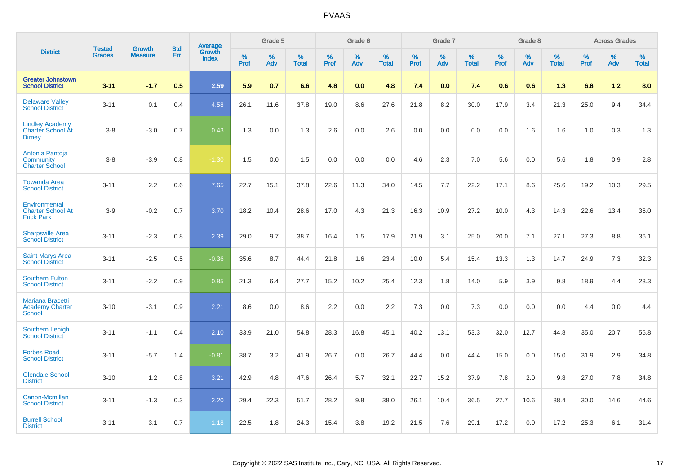|                                                                     | <b>Tested</b> | <b>Growth</b>  | <b>Std</b> | Average                |           | Grade 5  |                   |           | Grade 6  |                   |           | Grade 7  |                   |           | Grade 8  |                   |           | <b>Across Grades</b> |                   |
|---------------------------------------------------------------------|---------------|----------------|------------|------------------------|-----------|----------|-------------------|-----------|----------|-------------------|-----------|----------|-------------------|-----------|----------|-------------------|-----------|----------------------|-------------------|
| <b>District</b>                                                     | <b>Grades</b> | <b>Measure</b> | <b>Err</b> | Growth<br><b>Index</b> | %<br>Prof | %<br>Adv | %<br><b>Total</b> | %<br>Prof | %<br>Adv | %<br><b>Total</b> | %<br>Prof | %<br>Adv | %<br><b>Total</b> | %<br>Prof | %<br>Adv | %<br><b>Total</b> | %<br>Prof | %<br>Adv             | %<br><b>Total</b> |
| <b>Greater Johnstown</b><br><b>School District</b>                  | $3 - 11$      | $-1.7$         | 0.5        | 2.59                   | 5.9       | 0.7      | 6.6               | 4.8       | 0.0      | 4.8               | 7.4       | 0.0      | 7.4               | 0.6       | 0.6      | 1.3               | 6.8       | 1.2                  | 8.0               |
| <b>Delaware Valley</b><br><b>School District</b>                    | $3 - 11$      | 0.1            | 0.4        | 4.58                   | 26.1      | 11.6     | 37.8              | 19.0      | 8.6      | 27.6              | 21.8      | 8.2      | 30.0              | 17.9      | 3.4      | 21.3              | 25.0      | 9.4                  | 34.4              |
| <b>Lindley Academy</b><br><b>Charter School At</b><br><b>Birney</b> | $3 - 8$       | $-3.0$         | 0.7        | 0.43                   | 1.3       | 0.0      | 1.3               | 2.6       | 0.0      | 2.6               | 0.0       | 0.0      | 0.0               | 0.0       | 1.6      | 1.6               | 1.0       | 0.3                  | 1.3               |
| Antonia Pantoja<br>Community<br><b>Charter School</b>               | $3 - 8$       | $-3.9$         | 0.8        | $-1.30$                | 1.5       | 0.0      | 1.5               | 0.0       | 0.0      | 0.0               | 4.6       | 2.3      | 7.0               | 5.6       | 0.0      | 5.6               | 1.8       | 0.9                  | 2.8               |
| <b>Towanda Area</b><br><b>School District</b>                       | $3 - 11$      | 2.2            | 0.6        | 7.65                   | 22.7      | 15.1     | 37.8              | 22.6      | 11.3     | 34.0              | 14.5      | 7.7      | 22.2              | 17.1      | 8.6      | 25.6              | 19.2      | 10.3                 | 29.5              |
| Environmental<br><b>Charter School At</b><br><b>Frick Park</b>      | $3-9$         | $-0.2$         | 0.7        | 3.70                   | 18.2      | 10.4     | 28.6              | 17.0      | 4.3      | 21.3              | 16.3      | 10.9     | 27.2              | 10.0      | 4.3      | 14.3              | 22.6      | 13.4                 | 36.0              |
| <b>Sharpsville Area</b><br><b>School District</b>                   | $3 - 11$      | $-2.3$         | 0.8        | 2.39                   | 29.0      | 9.7      | 38.7              | 16.4      | 1.5      | 17.9              | 21.9      | 3.1      | 25.0              | 20.0      | 7.1      | 27.1              | 27.3      | 8.8                  | 36.1              |
| <b>Saint Marys Area</b><br><b>School District</b>                   | $3 - 11$      | $-2.5$         | 0.5        | $-0.36$                | 35.6      | 8.7      | 44.4              | 21.8      | 1.6      | 23.4              | 10.0      | 5.4      | 15.4              | 13.3      | 1.3      | 14.7              | 24.9      | 7.3                  | 32.3              |
| <b>Southern Fulton</b><br><b>School District</b>                    | $3 - 11$      | $-2.2$         | 0.9        | 0.85                   | 21.3      | 6.4      | 27.7              | 15.2      | 10.2     | 25.4              | 12.3      | 1.8      | 14.0              | 5.9       | 3.9      | 9.8               | 18.9      | 4.4                  | 23.3              |
| <b>Mariana Bracetti</b><br><b>Academy Charter</b><br><b>School</b>  | $3 - 10$      | $-3.1$         | 0.9        | 2.21                   | 8.6       | 0.0      | 8.6               | 2.2       | 0.0      | 2.2               | 7.3       | 0.0      | 7.3               | 0.0       | 0.0      | 0.0               | 4.4       | 0.0                  | 4.4               |
| <b>Southern Lehigh</b><br><b>School District</b>                    | $3 - 11$      | $-1.1$         | 0.4        | 2.10                   | 33.9      | 21.0     | 54.8              | 28.3      | 16.8     | 45.1              | 40.2      | 13.1     | 53.3              | 32.0      | 12.7     | 44.8              | 35.0      | 20.7                 | 55.8              |
| <b>Forbes Road</b><br><b>School District</b>                        | $3 - 11$      | $-5.7$         | 1.4        | $-0.81$                | 38.7      | 3.2      | 41.9              | 26.7      | 0.0      | 26.7              | 44.4      | 0.0      | 44.4              | 15.0      | 0.0      | 15.0              | 31.9      | 2.9                  | 34.8              |
| <b>Glendale School</b><br><b>District</b>                           | $3 - 10$      | 1.2            | 0.8        | 3.21                   | 42.9      | 4.8      | 47.6              | 26.4      | 5.7      | 32.1              | 22.7      | 15.2     | 37.9              | 7.8       | 2.0      | 9.8               | 27.0      | 7.8                  | 34.8              |
| <b>Canon-Mcmillan</b><br><b>School District</b>                     | $3 - 11$      | $-1.3$         | 0.3        | 2.20                   | 29.4      | 22.3     | 51.7              | 28.2      | 9.8      | 38.0              | 26.1      | 10.4     | 36.5              | 27.7      | 10.6     | 38.4              | 30.0      | 14.6                 | 44.6              |
| <b>Burrell School</b><br><b>District</b>                            | $3 - 11$      | $-3.1$         | 0.7        | 1.18                   | 22.5      | 1.8      | 24.3              | 15.4      | 3.8      | 19.2              | 21.5      | 7.6      | 29.1              | 17.2      | 0.0      | 17.2              | 25.3      | 6.1                  | 31.4              |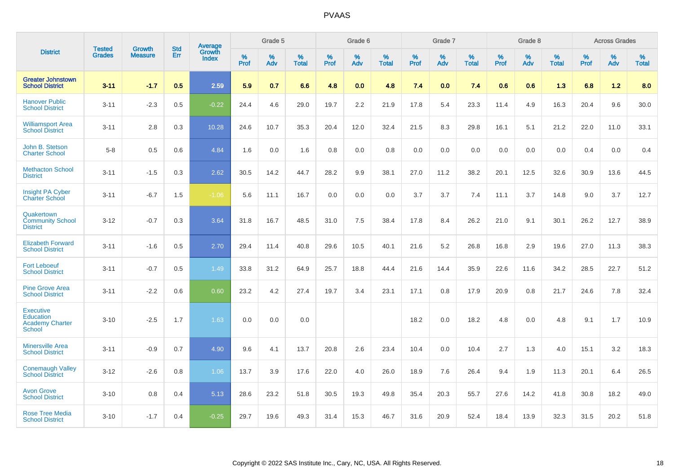|                                                                                 |                                |                                 | <b>Std</b> | Average                       |           | Grade 5  |                   |           | Grade 6  |                   |           | Grade 7  |                   |           | Grade 8  |                   |           | <b>Across Grades</b> |                   |
|---------------------------------------------------------------------------------|--------------------------------|---------------------------------|------------|-------------------------------|-----------|----------|-------------------|-----------|----------|-------------------|-----------|----------|-------------------|-----------|----------|-------------------|-----------|----------------------|-------------------|
| <b>District</b>                                                                 | <b>Tested</b><br><b>Grades</b> | <b>Growth</b><br><b>Measure</b> | Err        | <b>Growth</b><br><b>Index</b> | %<br>Prof | %<br>Adv | %<br><b>Total</b> | %<br>Prof | %<br>Adv | %<br><b>Total</b> | %<br>Prof | %<br>Adv | %<br><b>Total</b> | %<br>Prof | %<br>Adv | %<br><b>Total</b> | %<br>Prof | %<br>Adv             | %<br><b>Total</b> |
| <b>Greater Johnstown</b><br><b>School District</b>                              | $3 - 11$                       | $-1.7$                          | 0.5        | 2.59                          | 5.9       | 0.7      | 6.6               | 4.8       | 0.0      | 4.8               | 7.4       | 0.0      | 7.4               | 0.6       | 0.6      | 1.3               | 6.8       | 1.2                  | 8.0               |
| <b>Hanover Public</b><br><b>School District</b>                                 | $3 - 11$                       | $-2.3$                          | 0.5        | $-0.22$                       | 24.4      | 4.6      | 29.0              | 19.7      | 2.2      | 21.9              | 17.8      | 5.4      | 23.3              | 11.4      | 4.9      | 16.3              | 20.4      | 9.6                  | 30.0              |
| <b>Williamsport Area</b><br><b>School District</b>                              | $3 - 11$                       | 2.8                             | 0.3        | 10.28                         | 24.6      | 10.7     | 35.3              | 20.4      | 12.0     | 32.4              | 21.5      | 8.3      | 29.8              | 16.1      | 5.1      | 21.2              | 22.0      | 11.0                 | 33.1              |
| John B. Stetson<br><b>Charter School</b>                                        | $5-8$                          | 0.5                             | 0.6        | 4.84                          | 1.6       | 0.0      | 1.6               | 0.8       | 0.0      | 0.8               | 0.0       | 0.0      | 0.0               | 0.0       | 0.0      | 0.0               | 0.4       | 0.0                  | 0.4               |
| <b>Methacton School</b><br><b>District</b>                                      | $3 - 11$                       | $-1.5$                          | 0.3        | 2.62                          | 30.5      | 14.2     | 44.7              | 28.2      | 9.9      | 38.1              | 27.0      | 11.2     | 38.2              | 20.1      | 12.5     | 32.6              | 30.9      | 13.6                 | 44.5              |
| <b>Insight PA Cyber</b><br><b>Charter School</b>                                | $3 - 11$                       | $-6.7$                          | 1.5        | $-1.06$                       | 5.6       | 11.1     | 16.7              | 0.0       | 0.0      | 0.0               | 3.7       | 3.7      | 7.4               | 11.1      | 3.7      | 14.8              | 9.0       | 3.7                  | 12.7              |
| Quakertown<br><b>Community School</b><br><b>District</b>                        | $3 - 12$                       | $-0.7$                          | 0.3        | 3.64                          | 31.8      | 16.7     | 48.5              | 31.0      | 7.5      | 38.4              | 17.8      | 8.4      | 26.2              | 21.0      | 9.1      | 30.1              | 26.2      | 12.7                 | 38.9              |
| <b>Elizabeth Forward</b><br><b>School District</b>                              | $3 - 11$                       | $-1.6$                          | 0.5        | 2.70                          | 29.4      | 11.4     | 40.8              | 29.6      | 10.5     | 40.1              | 21.6      | 5.2      | 26.8              | 16.8      | 2.9      | 19.6              | 27.0      | 11.3                 | 38.3              |
| <b>Fort Leboeuf</b><br><b>School District</b>                                   | $3 - 11$                       | $-0.7$                          | 0.5        | 1.49                          | 33.8      | 31.2     | 64.9              | 25.7      | 18.8     | 44.4              | 21.6      | 14.4     | 35.9              | 22.6      | 11.6     | 34.2              | 28.5      | 22.7                 | 51.2              |
| <b>Pine Grove Area</b><br><b>School District</b>                                | $3 - 11$                       | $-2.2$                          | 0.6        | 0.60                          | 23.2      | 4.2      | 27.4              | 19.7      | 3.4      | 23.1              | 17.1      | 0.8      | 17.9              | 20.9      | 0.8      | 21.7              | 24.6      | 7.8                  | 32.4              |
| <b>Executive</b><br><b>Education</b><br><b>Academy Charter</b><br><b>School</b> | $3 - 10$                       | $-2.5$                          | 1.7        | 1.63                          | 0.0       | 0.0      | 0.0               |           |          |                   | 18.2      | 0.0      | 18.2              | 4.8       | 0.0      | 4.8               | 9.1       | 1.7                  | 10.9              |
| <b>Minersville Area</b><br><b>School District</b>                               | $3 - 11$                       | $-0.9$                          | 0.7        | 4.90                          | 9.6       | 4.1      | 13.7              | 20.8      | 2.6      | 23.4              | 10.4      | 0.0      | 10.4              | 2.7       | 1.3      | 4.0               | 15.1      | 3.2                  | 18.3              |
| <b>Conemaugh Valley</b><br><b>School District</b>                               | $3 - 12$                       | $-2.6$                          | 0.8        | 1.06                          | 13.7      | 3.9      | 17.6              | 22.0      | 4.0      | 26.0              | 18.9      | 7.6      | 26.4              | 9.4       | 1.9      | 11.3              | 20.1      | 6.4                  | 26.5              |
| <b>Avon Grove</b><br><b>School District</b>                                     | $3 - 10$                       | 0.8                             | 0.4        | 5.13                          | 28.6      | 23.2     | 51.8              | 30.5      | 19.3     | 49.8              | 35.4      | 20.3     | 55.7              | 27.6      | 14.2     | 41.8              | 30.8      | 18.2                 | 49.0              |
| <b>Rose Tree Media</b><br><b>School District</b>                                | $3 - 10$                       | $-1.7$                          | 0.4        | $-0.25$                       | 29.7      | 19.6     | 49.3              | 31.4      | 15.3     | 46.7              | 31.6      | 20.9     | 52.4              | 18.4      | 13.9     | 32.3              | 31.5      | 20.2                 | 51.8              |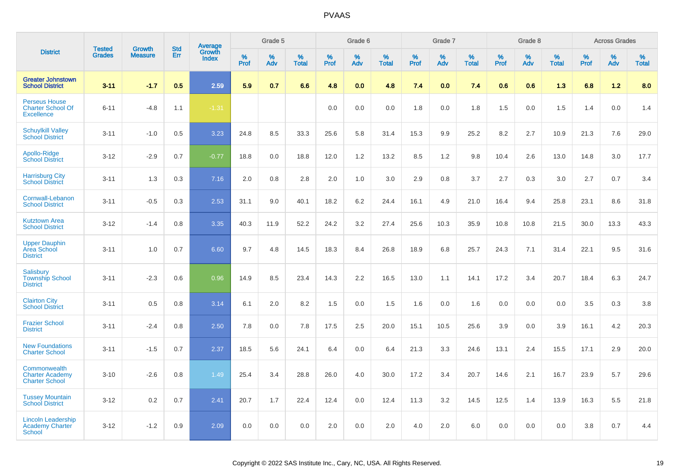|                                                                       |                                |                                 | <b>Std</b> | <b>Average</b>         |                     | Grade 5     |                   |                  | Grade 6  |                   |                  | Grade 7  |                   |           | Grade 8  |                   |              | <b>Across Grades</b> |                   |
|-----------------------------------------------------------------------|--------------------------------|---------------------------------|------------|------------------------|---------------------|-------------|-------------------|------------------|----------|-------------------|------------------|----------|-------------------|-----------|----------|-------------------|--------------|----------------------|-------------------|
| <b>District</b>                                                       | <b>Tested</b><br><b>Grades</b> | <b>Growth</b><br><b>Measure</b> | Err        | Growth<br><b>Index</b> | $\%$<br><b>Prof</b> | $\%$<br>Adv | %<br><b>Total</b> | %<br><b>Prof</b> | %<br>Adv | %<br><b>Total</b> | %<br><b>Prof</b> | %<br>Adv | %<br><b>Total</b> | %<br>Prof | %<br>Adv | %<br><b>Total</b> | $\%$<br>Prof | %<br>Adv             | %<br><b>Total</b> |
| <b>Greater Johnstown</b><br><b>School District</b>                    | $3 - 11$                       | $-1.7$                          | 0.5        | 2.59                   | 5.9                 | 0.7         | 6.6               | 4.8              | 0.0      | 4.8               | 7.4              | 0.0      | 7.4               | 0.6       | 0.6      | 1.3               | 6.8          | 1.2                  | 8.0               |
| <b>Perseus House</b><br><b>Charter School Of</b><br><b>Excellence</b> | $6 - 11$                       | $-4.8$                          | 1.1        | $-1.31$                |                     |             |                   | 0.0              | 0.0      | 0.0               | 1.8              | 0.0      | 1.8               | 1.5       | 0.0      | 1.5               | 1.4          | 0.0                  | 1.4               |
| <b>Schuylkill Valley</b><br><b>School District</b>                    | $3 - 11$                       | $-1.0$                          | 0.5        | 3.23                   | 24.8                | 8.5         | 33.3              | 25.6             | 5.8      | 31.4              | 15.3             | 9.9      | 25.2              | 8.2       | 2.7      | 10.9              | 21.3         | 7.6                  | 29.0              |
| Apollo-Ridge<br><b>School District</b>                                | $3 - 12$                       | $-2.9$                          | 0.7        | $-0.77$                | 18.8                | 0.0         | 18.8              | 12.0             | 1.2      | 13.2              | 8.5              | 1.2      | 9.8               | 10.4      | 2.6      | 13.0              | 14.8         | 3.0                  | 17.7              |
| <b>Harrisburg City</b><br><b>School District</b>                      | $3 - 11$                       | 1.3                             | 0.3        | 7.16                   | 2.0                 | 0.8         | 2.8               | 2.0              | 1.0      | 3.0               | 2.9              | 0.8      | 3.7               | 2.7       | 0.3      | 3.0               | 2.7          | 0.7                  | 3.4               |
| Cornwall-Lebanon<br><b>School District</b>                            | $3 - 11$                       | $-0.5$                          | 0.3        | 2.53                   | 31.1                | 9.0         | 40.1              | 18.2             | 6.2      | 24.4              | 16.1             | 4.9      | 21.0              | 16.4      | 9.4      | 25.8              | 23.1         | 8.6                  | 31.8              |
| <b>Kutztown Area</b><br><b>School District</b>                        | $3 - 12$                       | $-1.4$                          | 0.8        | 3.35                   | 40.3                | 11.9        | 52.2              | 24.2             | 3.2      | 27.4              | 25.6             | 10.3     | 35.9              | 10.8      | 10.8     | 21.5              | 30.0         | 13.3                 | 43.3              |
| <b>Upper Dauphin</b><br>Area School<br><b>District</b>                | $3 - 11$                       | 1.0                             | 0.7        | 6.60                   | 9.7                 | 4.8         | 14.5              | 18.3             | 8.4      | 26.8              | 18.9             | 6.8      | 25.7              | 24.3      | 7.1      | 31.4              | 22.1         | 9.5                  | 31.6              |
| Salisbury<br><b>Township School</b><br><b>District</b>                | $3 - 11$                       | $-2.3$                          | 0.6        | 0.96                   | 14.9                | 8.5         | 23.4              | 14.3             | 2.2      | 16.5              | 13.0             | 1.1      | 14.1              | 17.2      | 3.4      | 20.7              | 18.4         | 6.3                  | 24.7              |
| <b>Clairton City</b><br><b>School District</b>                        | $3 - 11$                       | 0.5                             | 0.8        | 3.14                   | 6.1                 | 2.0         | 8.2               | 1.5              | 0.0      | 1.5               | 1.6              | 0.0      | 1.6               | 0.0       | 0.0      | 0.0               | 3.5          | 0.3                  | 3.8               |
| <b>Frazier School</b><br><b>District</b>                              | $3 - 11$                       | $-2.4$                          | 0.8        | 2.50                   | 7.8                 | 0.0         | 7.8               | 17.5             | 2.5      | 20.0              | 15.1             | 10.5     | 25.6              | 3.9       | 0.0      | 3.9               | 16.1         | 4.2                  | 20.3              |
| <b>New Foundations</b><br><b>Charter School</b>                       | $3 - 11$                       | $-1.5$                          | 0.7        | 2.37                   | 18.5                | 5.6         | 24.1              | 6.4              | 0.0      | 6.4               | 21.3             | 3.3      | 24.6              | 13.1      | 2.4      | 15.5              | 17.1         | 2.9                  | 20.0              |
| Commonwealth<br><b>Charter Academy</b><br><b>Charter School</b>       | $3 - 10$                       | $-2.6$                          | 0.8        | 1.49                   | 25.4                | 3.4         | 28.8              | 26.0             | 4.0      | 30.0              | 17.2             | 3.4      | 20.7              | 14.6      | 2.1      | 16.7              | 23.9         | 5.7                  | 29.6              |
| <b>Tussey Mountain</b><br><b>School District</b>                      | $3 - 12$                       | 0.2                             | 0.7        | 2.41                   | 20.7                | 1.7         | 22.4              | 12.4             | 0.0      | 12.4              | 11.3             | 3.2      | 14.5              | 12.5      | 1.4      | 13.9              | 16.3         | 5.5                  | 21.8              |
| <b>Lincoln Leadership</b><br>Academy Charter<br><b>School</b>         | $3 - 12$                       | $-1.2$                          | 0.9        | 2.09                   | 0.0                 | 0.0         | 0.0               | 2.0              | 0.0      | 2.0               | 4.0              | 2.0      | 6.0               | 0.0       | 0.0      | 0.0               | 3.8          | 0.7                  | 4.4               |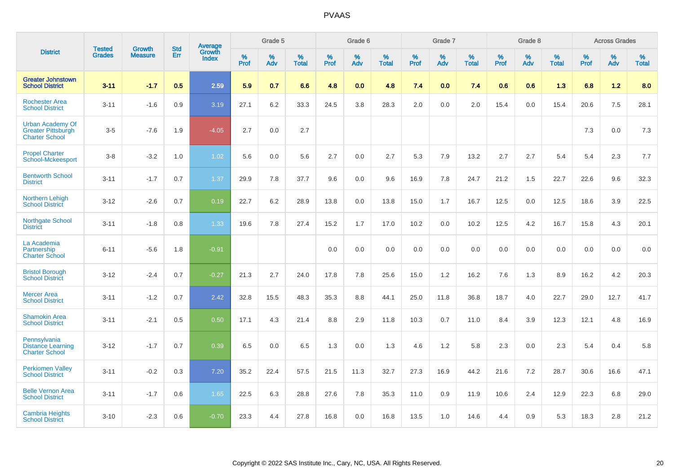|                                                                               | <b>Tested</b> | <b>Growth</b>  | <b>Std</b> | Average                       |              | Grade 5  |                   |           | Grade 6  |                   |           | Grade 7  |                   |           | Grade 8  |                   |           | <b>Across Grades</b> |                   |
|-------------------------------------------------------------------------------|---------------|----------------|------------|-------------------------------|--------------|----------|-------------------|-----------|----------|-------------------|-----------|----------|-------------------|-----------|----------|-------------------|-----------|----------------------|-------------------|
| <b>District</b>                                                               | <b>Grades</b> | <b>Measure</b> | Err        | <b>Growth</b><br><b>Index</b> | $\%$<br>Prof | %<br>Adv | %<br><b>Total</b> | %<br>Prof | %<br>Adv | %<br><b>Total</b> | %<br>Prof | %<br>Adv | %<br><b>Total</b> | %<br>Prof | %<br>Adv | %<br><b>Total</b> | %<br>Prof | %<br>Adv             | %<br><b>Total</b> |
| <b>Greater Johnstown</b><br><b>School District</b>                            | $3 - 11$      | $-1.7$         | 0.5        | 2.59                          | 5.9          | 0.7      | 6.6               | 4.8       | 0.0      | 4.8               | 7.4       | 0.0      | 7.4               | 0.6       | 0.6      | 1.3               | 6.8       | $1.2$                | 8.0               |
| <b>Rochester Area</b><br><b>School District</b>                               | $3 - 11$      | $-1.6$         | 0.9        | 3.19                          | 27.1         | 6.2      | 33.3              | 24.5      | 3.8      | 28.3              | 2.0       | 0.0      | 2.0               | 15.4      | 0.0      | 15.4              | 20.6      | 7.5                  | 28.1              |
| <b>Urban Academy Of</b><br><b>Greater Pittsburgh</b><br><b>Charter School</b> | $3-5$         | $-7.6$         | 1.9        | $-4.05$                       | 2.7          | 0.0      | 2.7               |           |          |                   |           |          |                   |           |          |                   | 7.3       | 0.0                  | $7.3$             |
| <b>Propel Charter</b><br><b>School-Mckeesport</b>                             | $3-8$         | $-3.2$         | 1.0        | 1.02                          | 5.6          | 0.0      | 5.6               | 2.7       | 0.0      | 2.7               | 5.3       | 7.9      | 13.2              | 2.7       | 2.7      | 5.4               | 5.4       | 2.3                  | 7.7               |
| <b>Bentworth School</b><br><b>District</b>                                    | $3 - 11$      | $-1.7$         | 0.7        | 1.37                          | 29.9         | 7.8      | 37.7              | 9.6       | 0.0      | 9.6               | 16.9      | 7.8      | 24.7              | 21.2      | 1.5      | 22.7              | 22.6      | 9.6                  | 32.3              |
| Northern Lehigh<br><b>School District</b>                                     | $3 - 12$      | $-2.6$         | 0.7        | 0.19                          | 22.7         | 6.2      | 28.9              | 13.8      | 0.0      | 13.8              | 15.0      | 1.7      | 16.7              | 12.5      | 0.0      | 12.5              | 18.6      | 3.9                  | 22.5              |
| Northgate School<br><b>District</b>                                           | $3 - 11$      | $-1.8$         | 0.8        | 1.33                          | 19.6         | 7.8      | 27.4              | 15.2      | 1.7      | 17.0              | 10.2      | 0.0      | 10.2              | 12.5      | 4.2      | 16.7              | 15.8      | 4.3                  | 20.1              |
| La Academia<br>Partnership<br><b>Charter School</b>                           | $6 - 11$      | $-5.6$         | 1.8        | $-0.91$                       |              |          |                   | 0.0       | 0.0      | 0.0               | 0.0       | 0.0      | 0.0               | 0.0       | 0.0      | 0.0               | 0.0       | 0.0                  | 0.0               |
| <b>Bristol Borough</b><br><b>School District</b>                              | $3 - 12$      | $-2.4$         | 0.7        | $-0.27$                       | 21.3         | 2.7      | 24.0              | 17.8      | 7.8      | 25.6              | 15.0      | 1.2      | 16.2              | 7.6       | 1.3      | 8.9               | 16.2      | 4.2                  | 20.3              |
| <b>Mercer Area</b><br><b>School District</b>                                  | $3 - 11$      | $-1.2$         | 0.7        | 2.42                          | 32.8         | 15.5     | 48.3              | 35.3      | 8.8      | 44.1              | 25.0      | 11.8     | 36.8              | 18.7      | 4.0      | 22.7              | 29.0      | 12.7                 | 41.7              |
| <b>Shamokin Area</b><br><b>School District</b>                                | $3 - 11$      | $-2.1$         | 0.5        | 0.50                          | 17.1         | 4.3      | 21.4              | 8.8       | 2.9      | 11.8              | 10.3      | 0.7      | 11.0              | 8.4       | 3.9      | 12.3              | 12.1      | 4.8                  | 16.9              |
| Pennsylvania<br><b>Distance Learning</b><br><b>Charter School</b>             | $3 - 12$      | $-1.7$         | 0.7        | 0.39                          | 6.5          | 0.0      | 6.5               | 1.3       | 0.0      | 1.3               | 4.6       | 1.2      | 5.8               | 2.3       | 0.0      | 2.3               | 5.4       | 0.4                  | 5.8               |
| <b>Perkiomen Valley</b><br><b>School District</b>                             | $3 - 11$      | $-0.2$         | 0.3        | 7.20                          | 35.2         | 22.4     | 57.5              | 21.5      | 11.3     | 32.7              | 27.3      | 16.9     | 44.2              | 21.6      | 7.2      | 28.7              | 30.6      | 16.6                 | 47.1              |
| <b>Belle Vernon Area</b><br><b>School District</b>                            | $3 - 11$      | $-1.7$         | 0.6        | 1.65                          | 22.5         | 6.3      | 28.8              | 27.6      | 7.8      | 35.3              | 11.0      | 0.9      | 11.9              | 10.6      | 2.4      | 12.9              | 22.3      | 6.8                  | 29.0              |
| <b>Cambria Heights</b><br><b>School District</b>                              | $3 - 10$      | $-2.3$         | 0.6        | $-0.70$                       | 23.3         | 4.4      | 27.8              | 16.8      | 0.0      | 16.8              | 13.5      | 1.0      | 14.6              | 4.4       | 0.9      | 5.3               | 18.3      | 2.8                  | 21.2              |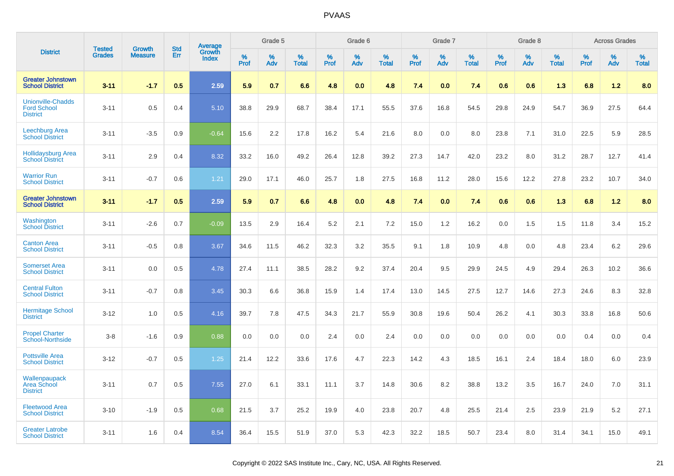|                                                                   | <b>Tested</b> | <b>Growth</b>  | <b>Std</b> | Average                |           | Grade 5  |                   |           | Grade 6  |                   |           | Grade 7  |                   |           | Grade 8  |                   |           | <b>Across Grades</b> |                   |
|-------------------------------------------------------------------|---------------|----------------|------------|------------------------|-----------|----------|-------------------|-----------|----------|-------------------|-----------|----------|-------------------|-----------|----------|-------------------|-----------|----------------------|-------------------|
| <b>District</b>                                                   | <b>Grades</b> | <b>Measure</b> | Err        | Growth<br><b>Index</b> | %<br>Prof | %<br>Adv | %<br><b>Total</b> | %<br>Prof | %<br>Adv | %<br><b>Total</b> | %<br>Prof | %<br>Adv | %<br><b>Total</b> | %<br>Prof | %<br>Adv | %<br><b>Total</b> | %<br>Prof | %<br>Adv             | %<br><b>Total</b> |
| <b>Greater Johnstown</b><br><b>School District</b>                | $3 - 11$      | $-1.7$         | 0.5        | 2.59                   | 5.9       | 0.7      | 6.6               | 4.8       | 0.0      | 4.8               | 7.4       | 0.0      | 7.4               | 0.6       | 0.6      | 1.3               | 6.8       | 1.2                  | 8.0               |
| <b>Unionville-Chadds</b><br><b>Ford School</b><br><b>District</b> | $3 - 11$      | 0.5            | 0.4        | 5.10                   | 38.8      | 29.9     | 68.7              | 38.4      | 17.1     | 55.5              | 37.6      | 16.8     | 54.5              | 29.8      | 24.9     | 54.7              | 36.9      | 27.5                 | 64.4              |
| Leechburg Area<br><b>School District</b>                          | $3 - 11$      | $-3.5$         | 0.9        | $-0.64$                | 15.6      | 2.2      | 17.8              | 16.2      | 5.4      | 21.6              | 8.0       | 0.0      | 8.0               | 23.8      | 7.1      | 31.0              | 22.5      | 5.9                  | 28.5              |
| <b>Hollidaysburg Area</b><br><b>School District</b>               | $3 - 11$      | 2.9            | 0.4        | 8.32                   | 33.2      | 16.0     | 49.2              | 26.4      | 12.8     | 39.2              | 27.3      | 14.7     | 42.0              | 23.2      | 8.0      | 31.2              | 28.7      | 12.7                 | 41.4              |
| <b>Warrior Run</b><br><b>School District</b>                      | $3 - 11$      | $-0.7$         | 0.6        | 1.21                   | 29.0      | 17.1     | 46.0              | 25.7      | 1.8      | 27.5              | 16.8      | 11.2     | 28.0              | 15.6      | 12.2     | 27.8              | 23.2      | 10.7                 | 34.0              |
| <b>Greater Johnstown</b><br><b>School District</b>                | $3 - 11$      | $-1.7$         | 0.5        | 2.59                   | 5.9       | 0.7      | 6.6               | 4.8       | 0.0      | 4.8               | 7.4       | 0.0      | 7.4               | 0.6       | 0.6      | 1.3               | 6.8       | $1.2$                | 8.0               |
| Washington<br><b>School District</b>                              | $3 - 11$      | $-2.6$         | 0.7        | $-0.09$                | 13.5      | 2.9      | 16.4              | 5.2       | 2.1      | 7.2               | 15.0      | 1.2      | 16.2              | 0.0       | 1.5      | 1.5               | 11.8      | 3.4                  | 15.2              |
| <b>Canton Area</b><br><b>School District</b>                      | $3 - 11$      | $-0.5$         | 0.8        | 3.67                   | 34.6      | 11.5     | 46.2              | 32.3      | 3.2      | 35.5              | 9.1       | 1.8      | 10.9              | 4.8       | 0.0      | 4.8               | 23.4      | 6.2                  | 29.6              |
| <b>Somerset Area</b><br><b>School District</b>                    | $3 - 11$      | 0.0            | 0.5        | 4.78                   | 27.4      | 11.1     | 38.5              | 28.2      | 9.2      | 37.4              | 20.4      | 9.5      | 29.9              | 24.5      | 4.9      | 29.4              | 26.3      | 10.2                 | 36.6              |
| <b>Central Fulton</b><br><b>School District</b>                   | $3 - 11$      | $-0.7$         | 0.8        | 3.45                   | 30.3      | 6.6      | 36.8              | 15.9      | 1.4      | 17.4              | 13.0      | 14.5     | 27.5              | 12.7      | 14.6     | 27.3              | 24.6      | 8.3                  | 32.8              |
| <b>Hermitage School</b><br><b>District</b>                        | $3 - 12$      | 1.0            | 0.5        | 4.16                   | 39.7      | 7.8      | 47.5              | 34.3      | 21.7     | 55.9              | 30.8      | 19.6     | 50.4              | 26.2      | 4.1      | 30.3              | 33.8      | 16.8                 | 50.6              |
| <b>Propel Charter</b><br><b>School-Northside</b>                  | $3 - 8$       | $-1.6$         | 0.9        | 0.88                   | 0.0       | 0.0      | 0.0               | 2.4       | 0.0      | 2.4               | 0.0       | 0.0      | 0.0               | 0.0       | 0.0      | 0.0               | 0.4       | 0.0                  | 0.4               |
| <b>Pottsville Area</b><br><b>School District</b>                  | $3 - 12$      | $-0.7$         | 0.5        | 1.25                   | 21.4      | 12.2     | 33.6              | 17.6      | 4.7      | 22.3              | 14.2      | 4.3      | 18.5              | 16.1      | 2.4      | 18.4              | 18.0      | 6.0                  | 23.9              |
| Wallenpaupack<br><b>Area School</b><br><b>District</b>            | $3 - 11$      | 0.7            | 0.5        | 7.55                   | 27.0      | 6.1      | 33.1              | 11.1      | 3.7      | 14.8              | 30.6      | 8.2      | 38.8              | 13.2      | 3.5      | 16.7              | 24.0      | 7.0                  | 31.1              |
| <b>Fleetwood Area</b><br><b>School District</b>                   | $3 - 10$      | $-1.9$         | 0.5        | 0.68                   | 21.5      | 3.7      | 25.2              | 19.9      | 4.0      | 23.8              | 20.7      | 4.8      | 25.5              | 21.4      | 2.5      | 23.9              | 21.9      | 5.2                  | 27.1              |
| <b>Greater Latrobe</b><br><b>School District</b>                  | $3 - 11$      | 1.6            | 0.4        | 8.54                   | 36.4      | 15.5     | 51.9              | 37.0      | 5.3      | 42.3              | 32.2      | 18.5     | 50.7              | 23.4      | 8.0      | 31.4              | 34.1      | 15.0                 | 49.1              |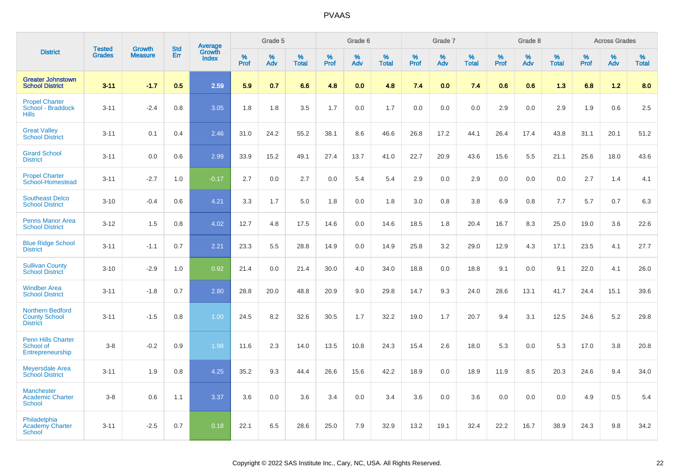|                                                               |                                |                                 | <b>Std</b> | <b>Average</b>         |                     | Grade 5     |                   |           | Grade 6  |                   |                  | Grade 7  |                   |           | Grade 8  |                   |              | <b>Across Grades</b> |                   |
|---------------------------------------------------------------|--------------------------------|---------------------------------|------------|------------------------|---------------------|-------------|-------------------|-----------|----------|-------------------|------------------|----------|-------------------|-----------|----------|-------------------|--------------|----------------------|-------------------|
| <b>District</b>                                               | <b>Tested</b><br><b>Grades</b> | <b>Growth</b><br><b>Measure</b> | Err        | Growth<br><b>Index</b> | $\%$<br><b>Prof</b> | $\%$<br>Adv | %<br><b>Total</b> | %<br>Prof | %<br>Adv | %<br><b>Total</b> | %<br><b>Prof</b> | %<br>Adv | %<br><b>Total</b> | %<br>Prof | %<br>Adv | %<br><b>Total</b> | $\%$<br>Prof | %<br>Adv             | %<br><b>Total</b> |
| <b>Greater Johnstown</b><br><b>School District</b>            | $3 - 11$                       | $-1.7$                          | 0.5        | 2.59                   | 5.9                 | 0.7         | 6.6               | 4.8       | 0.0      | 4.8               | 7.4              | 0.0      | 7.4               | 0.6       | 0.6      | 1.3               | 6.8          | 1.2                  | 8.0               |
| <b>Propel Charter</b><br>School - Braddock<br><b>Hills</b>    | $3 - 11$                       | $-2.4$                          | 0.8        | 3.05                   | 1.8                 | 1.8         | 3.5               | 1.7       | 0.0      | 1.7               | 0.0              | 0.0      | 0.0               | 2.9       | 0.0      | 2.9               | 1.9          | 0.6                  | 2.5               |
| <b>Great Valley</b><br><b>School District</b>                 | $3 - 11$                       | 0.1                             | 0.4        | 2.46                   | 31.0                | 24.2        | 55.2              | 38.1      | 8.6      | 46.6              | 26.8             | 17.2     | 44.1              | 26.4      | 17.4     | 43.8              | 31.1         | 20.1                 | 51.2              |
| <b>Girard School</b><br><b>District</b>                       | $3 - 11$                       | 0.0                             | 0.6        | 2.99                   | 33.9                | 15.2        | 49.1              | 27.4      | 13.7     | 41.0              | 22.7             | 20.9     | 43.6              | 15.6      | 5.5      | 21.1              | 25.6         | 18.0                 | 43.6              |
| <b>Propel Charter</b><br>School-Homestead                     | $3 - 11$                       | $-2.7$                          | 1.0        | $-0.17$                | 2.7                 | 0.0         | 2.7               | 0.0       | 5.4      | 5.4               | 2.9              | 0.0      | 2.9               | 0.0       | 0.0      | 0.0               | 2.7          | 1.4                  | 4.1               |
| <b>Southeast Delco</b><br><b>School District</b>              | $3 - 10$                       | $-0.4$                          | 0.6        | 4.21                   | 3.3                 | 1.7         | 5.0               | 1.8       | 0.0      | 1.8               | 3.0              | 0.8      | 3.8               | 6.9       | 0.8      | 7.7               | 5.7          | 0.7                  | 6.3               |
| <b>Penns Manor Area</b><br><b>School District</b>             | $3 - 12$                       | 1.5                             | 0.8        | 4.02                   | 12.7                | 4.8         | 17.5              | 14.6      | 0.0      | 14.6              | 18.5             | 1.8      | 20.4              | 16.7      | 8.3      | 25.0              | 19.0         | 3.6                  | 22.6              |
| <b>Blue Ridge School</b><br><b>District</b>                   | $3 - 11$                       | $-1.1$                          | 0.7        | 2.21                   | 23.3                | 5.5         | 28.8              | 14.9      | 0.0      | 14.9              | 25.8             | 3.2      | 29.0              | 12.9      | 4.3      | 17.1              | 23.5         | 4.1                  | 27.7              |
| <b>Sullivan County</b><br><b>School District</b>              | $3 - 10$                       | $-2.9$                          | 1.0        | 0.92                   | 21.4                | 0.0         | 21.4              | 30.0      | 4.0      | 34.0              | 18.8             | 0.0      | 18.8              | 9.1       | 0.0      | 9.1               | 22.0         | 4.1                  | 26.0              |
| <b>Windber Area</b><br><b>School District</b>                 | $3 - 11$                       | $-1.8$                          | 0.7        | 2.80                   | 28.8                | 20.0        | 48.8              | 20.9      | 9.0      | 29.8              | 14.7             | 9.3      | 24.0              | 28.6      | 13.1     | 41.7              | 24.4         | 15.1                 | 39.6              |
| Northern Bedford<br><b>County School</b><br><b>District</b>   | $3 - 11$                       | $-1.5$                          | 0.8        | 1.00                   | 24.5                | 8.2         | 32.6              | 30.5      | 1.7      | 32.2              | 19.0             | 1.7      | 20.7              | 9.4       | 3.1      | 12.5              | 24.6         | 5.2                  | 29.8              |
| Penn Hills Charter<br>School of<br>Entrepreneurship           | $3 - 8$                        | $-0.2$                          | 0.9        | 1.98                   | 11.6                | 2.3         | 14.0              | 13.5      | 10.8     | 24.3              | 15.4             | 2.6      | 18.0              | 5.3       | 0.0      | 5.3               | 17.0         | 3.8                  | 20.8              |
| <b>Meyersdale Area</b><br><b>School District</b>              | $3 - 11$                       | 1.9                             | 0.8        | 4.25                   | 35.2                | 9.3         | 44.4              | 26.6      | 15.6     | 42.2              | 18.9             | 0.0      | 18.9              | 11.9      | 8.5      | 20.3              | 24.6         | 9.4                  | 34.0              |
| <b>Manchester</b><br><b>Academic Charter</b><br><b>School</b> | $3-8$                          | 0.6                             | 1.1        | 3.37                   | 3.6                 | 0.0         | 3.6               | 3.4       | 0.0      | 3.4               | 3.6              | 0.0      | 3.6               | 0.0       | 0.0      | 0.0               | 4.9          | 0.5                  | 5.4               |
| Philadelphia<br><b>Academy Charter</b><br><b>School</b>       | $3 - 11$                       | $-2.5$                          | 0.7        | 0.18                   | 22.1                | 6.5         | 28.6              | 25.0      | 7.9      | 32.9              | 13.2             | 19.1     | 32.4              | 22.2      | 16.7     | 38.9              | 24.3         | 9.8                  | 34.2              |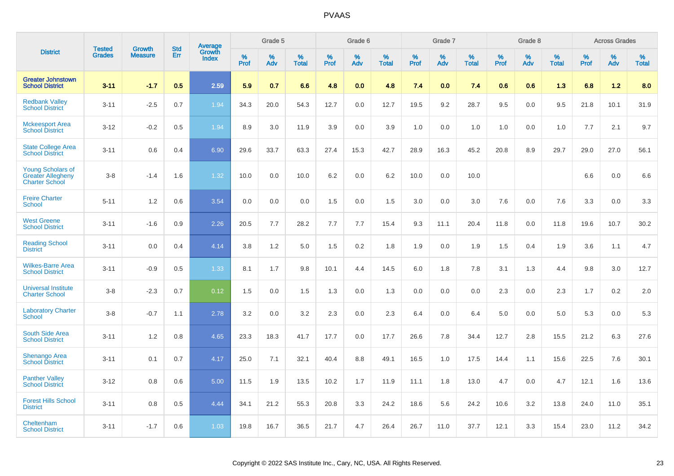|                                                                               | <b>Tested</b> | <b>Growth</b>  | <b>Std</b> | Average<br>Growth |                     | Grade 5  |                      |                     | Grade 6  |                      |              | Grade 7  |                      |                     | Grade 8  |                      |                     | <b>Across Grades</b> |                      |
|-------------------------------------------------------------------------------|---------------|----------------|------------|-------------------|---------------------|----------|----------------------|---------------------|----------|----------------------|--------------|----------|----------------------|---------------------|----------|----------------------|---------------------|----------------------|----------------------|
| <b>District</b>                                                               | <b>Grades</b> | <b>Measure</b> | Err        | Index             | $\%$<br><b>Prof</b> | %<br>Adv | $\%$<br><b>Total</b> | $\%$<br><b>Prof</b> | %<br>Adv | $\%$<br><b>Total</b> | $\%$<br>Prof | %<br>Adv | $\%$<br><b>Total</b> | $\%$<br><b>Prof</b> | %<br>Adv | $\%$<br><b>Total</b> | $\%$<br><b>Prof</b> | $\%$<br>Adv          | $\%$<br><b>Total</b> |
| <b>Greater Johnstown</b><br><b>School District</b>                            | $3 - 11$      | $-1.7$         | 0.5        | 2.59              | 5.9                 | 0.7      | 6.6                  | 4.8                 | 0.0      | 4.8                  | 7.4          | 0.0      | 7.4                  | 0.6                 | 0.6      | 1.3                  | 6.8                 | 1.2                  | 8.0                  |
| <b>Redbank Valley</b><br><b>School District</b>                               | $3 - 11$      | $-2.5$         | 0.7        | 1.94              | 34.3                | 20.0     | 54.3                 | 12.7                | 0.0      | 12.7                 | 19.5         | 9.2      | 28.7                 | 9.5                 | 0.0      | 9.5                  | 21.8                | 10.1                 | 31.9                 |
| <b>Mckeesport Area</b><br><b>School District</b>                              | $3 - 12$      | $-0.2$         | 0.5        | 1.94              | 8.9                 | 3.0      | 11.9                 | 3.9                 | 0.0      | 3.9                  | 1.0          | 0.0      | 1.0                  | 1.0                 | 0.0      | 1.0                  | 7.7                 | 2.1                  | 9.7                  |
| <b>State College Area</b><br><b>School District</b>                           | $3 - 11$      | 0.6            | 0.4        | 6.90              | 29.6                | 33.7     | 63.3                 | 27.4                | 15.3     | 42.7                 | 28.9         | 16.3     | 45.2                 | 20.8                | 8.9      | 29.7                 | 29.0                | 27.0                 | 56.1                 |
| <b>Young Scholars of</b><br><b>Greater Allegheny</b><br><b>Charter School</b> | $3 - 8$       | $-1.4$         | 1.6        | 1.32              | 10.0                | 0.0      | 10.0                 | 6.2                 | 0.0      | 6.2                  | 10.0         | 0.0      | 10.0                 |                     |          |                      | 6.6                 | 0.0                  | 6.6                  |
| <b>Freire Charter</b><br><b>School</b>                                        | $5 - 11$      | 1.2            | 0.6        | 3.54              | 0.0                 | 0.0      | 0.0                  | 1.5                 | 0.0      | 1.5                  | 3.0          | 0.0      | 3.0                  | 7.6                 | 0.0      | 7.6                  | 3.3                 | 0.0                  | 3.3                  |
| <b>West Greene</b><br><b>School District</b>                                  | $3 - 11$      | $-1.6$         | 0.9        | 2.26              | 20.5                | 7.7      | 28.2                 | 7.7                 | 7.7      | 15.4                 | 9.3          | 11.1     | 20.4                 | 11.8                | 0.0      | 11.8                 | 19.6                | 10.7                 | 30.2                 |
| <b>Reading School</b><br><b>District</b>                                      | $3 - 11$      | 0.0            | 0.4        | 4.14              | 3.8                 | 1.2      | 5.0                  | 1.5                 | 0.2      | 1.8                  | 1.9          | 0.0      | 1.9                  | 1.5                 | 0.4      | 1.9                  | 3.6                 | 1.1                  | 4.7                  |
| <b>Wilkes-Barre Area</b><br><b>School District</b>                            | $3 - 11$      | $-0.9$         | 0.5        | 1.33              | 8.1                 | 1.7      | 9.8                  | 10.1                | 4.4      | 14.5                 | $6.0\,$      | 1.8      | 7.8                  | 3.1                 | 1.3      | 4.4                  | 9.8                 | 3.0                  | 12.7                 |
| <b>Universal Institute</b><br><b>Charter School</b>                           | $3 - 8$       | $-2.3$         | 0.7        | 0.12              | 1.5                 | 0.0      | 1.5                  | 1.3                 | 0.0      | 1.3                  | 0.0          | 0.0      | 0.0                  | 2.3                 | 0.0      | 2.3                  | 1.7                 | $0.2\,$              | 2.0                  |
| <b>Laboratory Charter</b><br><b>School</b>                                    | $3 - 8$       | $-0.7$         | 1.1        | 2.78              | 3.2                 | 0.0      | 3.2                  | 2.3                 | 0.0      | 2.3                  | 6.4          | 0.0      | 6.4                  | 5.0                 | 0.0      | 5.0                  | 5.3                 | 0.0                  | 5.3                  |
| <b>South Side Area</b><br><b>School District</b>                              | $3 - 11$      | 1.2            | 0.8        | 4.65              | 23.3                | 18.3     | 41.7                 | 17.7                | 0.0      | 17.7                 | 26.6         | 7.8      | 34.4                 | 12.7                | 2.8      | 15.5                 | 21.2                | 6.3                  | 27.6                 |
| <b>Shenango Area</b><br><b>School District</b>                                | $3 - 11$      | 0.1            | 0.7        | 4.17              | 25.0                | 7.1      | 32.1                 | 40.4                | 8.8      | 49.1                 | 16.5         | 1.0      | 17.5                 | 14.4                | 1.1      | 15.6                 | 22.5                | 7.6                  | 30.1                 |
| <b>Panther Valley</b><br><b>School District</b>                               | $3 - 12$      | 0.8            | 0.6        | 5.00              | 11.5                | 1.9      | 13.5                 | 10.2                | 1.7      | 11.9                 | 11.1         | 1.8      | 13.0                 | 4.7                 | 0.0      | 4.7                  | 12.1                | 1.6                  | 13.6                 |
| <b>Forest Hills School</b><br><b>District</b>                                 | $3 - 11$      | 0.8            | 0.5        | 4.44              | 34.1                | 21.2     | 55.3                 | 20.8                | 3.3      | 24.2                 | 18.6         | 5.6      | 24.2                 | 10.6                | 3.2      | 13.8                 | 24.0                | 11.0                 | 35.1                 |
| Cheltenham<br><b>School District</b>                                          | $3 - 11$      | $-1.7$         | 0.6        | 1.03              | 19.8                | 16.7     | 36.5                 | 21.7                | 4.7      | 26.4                 | 26.7         | 11.0     | 37.7                 | 12.1                | 3.3      | 15.4                 | 23.0                | 11.2                 | 34.2                 |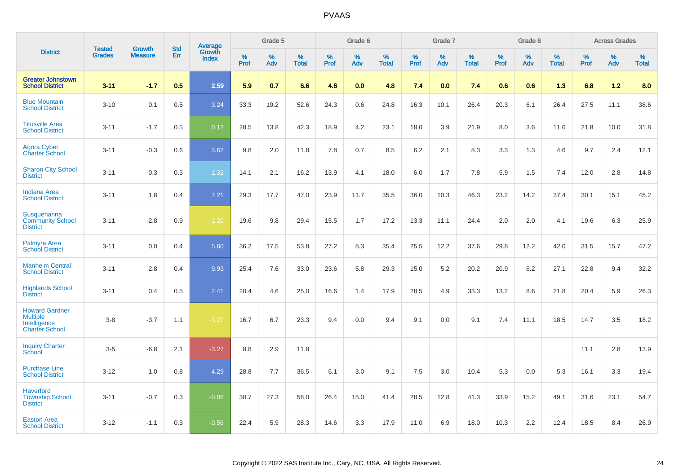|                                                                                   | <b>Tested</b> | <b>Growth</b>  | <b>Std</b> | <b>Average</b><br>Growth |              | Grade 5  |                   |              | Grade 6  |                   |           | Grade 7  |                   |                     | Grade 8  |                   |                     | <b>Across Grades</b> |                   |
|-----------------------------------------------------------------------------------|---------------|----------------|------------|--------------------------|--------------|----------|-------------------|--------------|----------|-------------------|-----------|----------|-------------------|---------------------|----------|-------------------|---------------------|----------------------|-------------------|
| <b>District</b>                                                                   | <b>Grades</b> | <b>Measure</b> | Err        | Index                    | $\%$<br>Prof | %<br>Adv | %<br><b>Total</b> | $\%$<br>Prof | %<br>Adv | %<br><b>Total</b> | %<br>Prof | %<br>Adv | %<br><b>Total</b> | $\%$<br><b>Prof</b> | %<br>Adv | %<br><b>Total</b> | $\%$<br><b>Prof</b> | $\%$<br>Adv          | %<br><b>Total</b> |
| <b>Greater Johnstown</b><br><b>School District</b>                                | $3 - 11$      | $-1.7$         | 0.5        | 2.59                     | 5.9          | 0.7      | 6.6               | 4.8          | 0.0      | 4.8               | 7.4       | 0.0      | 7.4               | 0.6                 | 0.6      | 1.3               | 6.8                 | 1.2                  | 8.0               |
| <b>Blue Mountain</b><br><b>School District</b>                                    | $3 - 10$      | 0.1            | 0.5        | 3.24                     | 33.3         | 19.2     | 52.6              | 24.3         | 0.6      | 24.8              | 16.3      | 10.1     | 26.4              | 20.3                | 6.1      | 26.4              | 27.5                | 11.1                 | 38.6              |
| <b>Titusville Area</b><br><b>School District</b>                                  | $3 - 11$      | $-1.7$         | 0.5        | 0.12                     | 28.5         | 13.8     | 42.3              | 18.9         | 4.2      | 23.1              | 18.0      | 3.9      | 21.9              | 8.0                 | 3.6      | 11.6              | 21.8                | 10.0                 | 31.8              |
| <b>Agora Cyber</b><br><b>Charter School</b>                                       | $3 - 11$      | $-0.3$         | 0.6        | 3.62                     | 9.8          | 2.0      | 11.8              | 7.8          | 0.7      | 8.5               | 6.2       | 2.1      | 8.3               | 3.3                 | 1.3      | 4.6               | 9.7                 | 2.4                  | 12.1              |
| <b>Sharon City School</b><br><b>District</b>                                      | $3 - 11$      | $-0.3$         | 0.5        | 1.32                     | 14.1         | 2.1      | 16.2              | 13.9         | 4.1      | 18.0              | 6.0       | 1.7      | 7.8               | 5.9                 | 1.5      | 7.4               | 12.0                | 2.8                  | 14.8              |
| <b>Indiana Area</b><br><b>School District</b>                                     | $3 - 11$      | 1.8            | 0.4        | 7.21                     | 29.3         | 17.7     | 47.0              | 23.9         | 11.7     | 35.5              | 36.0      | 10.3     | 46.3              | 23.2                | 14.2     | 37.4              | 30.1                | 15.1                 | 45.2              |
| Susquehanna<br><b>Community School</b><br><b>District</b>                         | $3 - 11$      | $-2.8$         | 0.9        | $-1.20$                  | 19.6         | 9.8      | 29.4              | 15.5         | 1.7      | 17.2              | 13.3      | 11.1     | 24.4              | 2.0                 | 2.0      | 4.1               | 19.6                | 6.3                  | 25.9              |
| Palmyra Area<br><b>School District</b>                                            | $3 - 11$      | 0.0            | 0.4        | 5.60                     | 36.2         | 17.5     | 53.8              | 27.2         | 8.3      | 35.4              | 25.5      | 12.2     | 37.6              | 29.8                | 12.2     | 42.0              | 31.5                | 15.7                 | 47.2              |
| <b>Manheim Central</b><br><b>School District</b>                                  | $3 - 11$      | 2.8            | 0.4        | 9.93                     | 25.4         | 7.6      | 33.0              | 23.6         | 5.8      | 29.3              | 15.0      | 5.2      | 20.2              | 20.9                | 6.2      | 27.1              | 22.8                | 9.4                  | 32.2              |
| <b>Highlands School</b><br><b>District</b>                                        | $3 - 11$      | 0.4            | 0.5        | 2.41                     | 20.4         | 4.6      | 25.0              | 16.6         | 1.4      | 17.9              | 28.5      | 4.9      | 33.3              | 13.2                | 8.6      | 21.8              | 20.4                | 5.9                  | 26.3              |
| <b>Howard Gardner</b><br><b>Multiple</b><br>Intelligence<br><b>Charter School</b> | $3-8$         | $-3.7$         | 1.1        | $-1.27$                  | 16.7         | 6.7      | 23.3              | 9.4          | 0.0      | 9.4               | 9.1       | 0.0      | 9.1               | 7.4                 | 11.1     | 18.5              | 14.7                | 3.5                  | 18.2              |
| <b>Inquiry Charter</b><br>School                                                  | $3 - 5$       | $-6.8$         | 2.1        | $-3.27$                  | 8.8          | 2.9      | 11.8              |              |          |                   |           |          |                   |                     |          |                   | 11.1                | 2.8                  | 13.9              |
| <b>Purchase Line</b><br><b>School District</b>                                    | $3 - 12$      | 1.0            | 0.8        | 4.29                     | 28.8         | 7.7      | 36.5              | 6.1          | 3.0      | 9.1               | 7.5       | 3.0      | 10.4              | 5.3                 | 0.0      | 5.3               | 16.1                | 3.3                  | 19.4              |
| <b>Haverford</b><br><b>Township School</b><br><b>District</b>                     | $3 - 11$      | $-0.7$         | 0.3        | $-0.06$                  | 30.7         | 27.3     | 58.0              | 26.4         | 15.0     | 41.4              | 28.5      | 12.8     | 41.3              | 33.9                | 15.2     | 49.1              | 31.6                | 23.1                 | 54.7              |
| <b>Easton Area</b><br><b>School District</b>                                      | $3 - 12$      | $-1.1$         | 0.3        | $-0.56$                  | 22.4         | 5.9      | 28.3              | 14.6         | 3.3      | 17.9              | 11.0      | 6.9      | 18.0              | 10.3                | 2.2      | 12.4              | 18.5                | 8.4                  | 26.9              |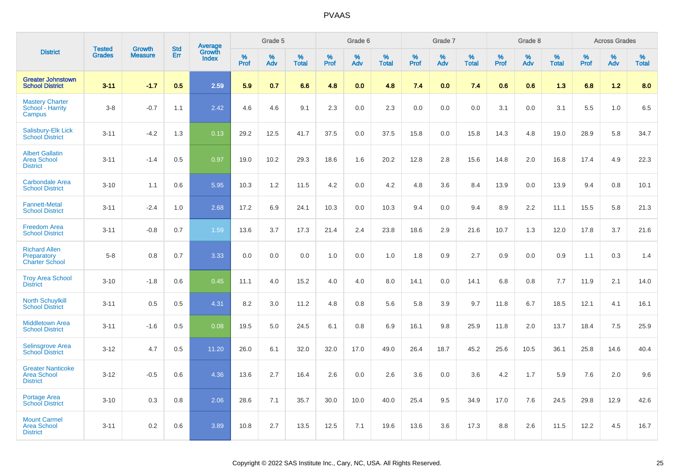|                                                                   |                                |                                 |                          |                                   |           | Grade 5  |                   |                  | Grade 6  |                   |           | Grade 7  |                   |           | Grade 8  |                   |              | <b>Across Grades</b> |                   |
|-------------------------------------------------------------------|--------------------------------|---------------------------------|--------------------------|-----------------------------------|-----------|----------|-------------------|------------------|----------|-------------------|-----------|----------|-------------------|-----------|----------|-------------------|--------------|----------------------|-------------------|
| <b>District</b>                                                   | <b>Tested</b><br><b>Grades</b> | <b>Growth</b><br><b>Measure</b> | <b>Std</b><br><b>Err</b> | <b>Average</b><br>Growth<br>Index | %<br>Prof | %<br>Adv | %<br><b>Total</b> | %<br><b>Prof</b> | %<br>Adv | %<br><b>Total</b> | %<br>Prof | %<br>Adv | %<br><b>Total</b> | %<br>Prof | %<br>Adv | %<br><b>Total</b> | $\%$<br>Prof | %<br>Adv             | %<br><b>Total</b> |
| <b>Greater Johnstown</b><br><b>School District</b>                | $3 - 11$                       | $-1.7$                          | 0.5                      | 2.59                              | 5.9       | 0.7      | 6.6               | 4.8              | 0.0      | 4.8               | 7.4       | 0.0      | 7.4               | 0.6       | 0.6      | 1.3               | 6.8          | $1.2$                | 8.0               |
| <b>Mastery Charter</b><br>School - Harrity<br>Campus              | $3-8$                          | $-0.7$                          | 1.1                      | 2.42                              | 4.6       | 4.6      | 9.1               | 2.3              | 0.0      | 2.3               | 0.0       | 0.0      | 0.0               | 3.1       | 0.0      | 3.1               | 5.5          | 1.0                  | 6.5               |
| Salisbury-Elk Lick<br><b>School District</b>                      | $3 - 11$                       | $-4.2$                          | 1.3                      | 0.13                              | 29.2      | 12.5     | 41.7              | 37.5             | 0.0      | 37.5              | 15.8      | 0.0      | 15.8              | 14.3      | 4.8      | 19.0              | 28.9         | 5.8                  | 34.7              |
| <b>Albert Gallatin</b><br><b>Area School</b><br><b>District</b>   | $3 - 11$                       | $-1.4$                          | 0.5                      | 0.97                              | 19.0      | 10.2     | 29.3              | 18.6             | 1.6      | 20.2              | 12.8      | 2.8      | 15.6              | 14.8      | 2.0      | 16.8              | 17.4         | 4.9                  | 22.3              |
| <b>Carbondale Area</b><br><b>School District</b>                  | $3 - 10$                       | 1.1                             | 0.6                      | 5.95                              | 10.3      | 1.2      | 11.5              | 4.2              | 0.0      | 4.2               | 4.8       | 3.6      | 8.4               | 13.9      | 0.0      | 13.9              | 9.4          | 0.8                  | 10.1              |
| <b>Fannett-Metal</b><br><b>School District</b>                    | $3 - 11$                       | $-2.4$                          | 1.0                      | 2.68                              | 17.2      | 6.9      | 24.1              | 10.3             | 0.0      | 10.3              | 9.4       | 0.0      | 9.4               | 8.9       | 2.2      | 11.1              | 15.5         | 5.8                  | 21.3              |
| <b>Freedom Area</b><br><b>School District</b>                     | $3 - 11$                       | $-0.8$                          | 0.7                      | 1.59                              | 13.6      | 3.7      | 17.3              | 21.4             | 2.4      | 23.8              | 18.6      | 2.9      | 21.6              | 10.7      | 1.3      | 12.0              | 17.8         | 3.7                  | 21.6              |
| <b>Richard Allen</b><br>Preparatory<br><b>Charter School</b>      | $5-8$                          | 0.8                             | 0.7                      | 3.33                              | 0.0       | 0.0      | 0.0               | 1.0              | 0.0      | 1.0               | 1.8       | 0.9      | 2.7               | 0.9       | 0.0      | 0.9               | 1.1          | 0.3                  | 1.4               |
| <b>Troy Area School</b><br><b>District</b>                        | $3 - 10$                       | $-1.8$                          | 0.6                      | 0.45                              | 11.1      | 4.0      | 15.2              | 4.0              | 4.0      | 8.0               | 14.1      | 0.0      | 14.1              | 6.8       | 0.8      | 7.7               | 11.9         | 2.1                  | 14.0              |
| <b>North Schuylkill</b><br><b>School District</b>                 | $3 - 11$                       | 0.5                             | 0.5                      | 4.31                              | 8.2       | 3.0      | 11.2              | 4.8              | 0.8      | 5.6               | 5.8       | 3.9      | 9.7               | 11.8      | 6.7      | 18.5              | 12.1         | 4.1                  | 16.1              |
| <b>Middletown Area</b><br><b>School District</b>                  | $3 - 11$                       | $-1.6$                          | 0.5                      | 0.08                              | 19.5      | 5.0      | 24.5              | 6.1              | 0.8      | 6.9               | 16.1      | 9.8      | 25.9              | 11.8      | 2.0      | 13.7              | 18.4         | 7.5                  | 25.9              |
| <b>Selinsgrove Area</b><br><b>School District</b>                 | $3 - 12$                       | 4.7                             | 0.5                      | 11.20                             | 26.0      | 6.1      | 32.0              | 32.0             | 17.0     | 49.0              | 26.4      | 18.7     | 45.2              | 25.6      | 10.5     | 36.1              | 25.8         | 14.6                 | 40.4              |
| <b>Greater Nanticoke</b><br><b>Area School</b><br><b>District</b> | $3 - 12$                       | $-0.5$                          | 0.6                      | 4.36                              | 13.6      | 2.7      | 16.4              | 2.6              | 0.0      | 2.6               | 3.6       | 0.0      | 3.6               | 4.2       | 1.7      | 5.9               | 7.6          | 2.0                  | 9.6               |
| Portage Area<br><b>School District</b>                            | $3 - 10$                       | 0.3                             | 0.8                      | 2.06                              | 28.6      | 7.1      | 35.7              | 30.0             | 10.0     | 40.0              | 25.4      | 9.5      | 34.9              | 17.0      | 7.6      | 24.5              | 29.8         | 12.9                 | 42.6              |
| <b>Mount Carmel</b><br><b>Area School</b><br><b>District</b>      | $3 - 11$                       | 0.2                             | 0.6                      | 3.89                              | 10.8      | 2.7      | 13.5              | 12.5             | 7.1      | 19.6              | 13.6      | 3.6      | 17.3              | 8.8       | 2.6      | 11.5              | 12.2         | 4.5                  | 16.7              |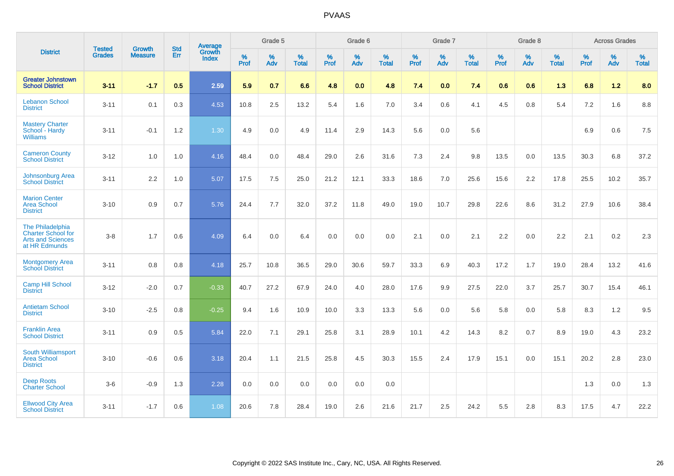|                                                                                            |                                |                                 | <b>Std</b> | Average                |                     | Grade 5  |                   |              | Grade 6  |                   |                     | Grade 7  |                   |                     | Grade 8  |                   |              | <b>Across Grades</b> |                   |
|--------------------------------------------------------------------------------------------|--------------------------------|---------------------------------|------------|------------------------|---------------------|----------|-------------------|--------------|----------|-------------------|---------------------|----------|-------------------|---------------------|----------|-------------------|--------------|----------------------|-------------------|
| <b>District</b>                                                                            | <b>Tested</b><br><b>Grades</b> | <b>Growth</b><br><b>Measure</b> | <b>Err</b> | Growth<br><b>Index</b> | $\%$<br><b>Prof</b> | %<br>Adv | %<br><b>Total</b> | $\%$<br>Prof | %<br>Adv | %<br><b>Total</b> | $\%$<br><b>Prof</b> | %<br>Adv | %<br><b>Total</b> | $\%$<br><b>Prof</b> | %<br>Adv | %<br><b>Total</b> | $\%$<br>Prof | %<br>Adv             | %<br><b>Total</b> |
| <b>Greater Johnstown</b><br><b>School District</b>                                         | $3 - 11$                       | $-1.7$                          | 0.5        | 2.59                   | 5.9                 | 0.7      | 6.6               | 4.8          | 0.0      | 4.8               | 7.4                 | 0.0      | 7.4               | 0.6                 | 0.6      | 1.3               | 6.8          | $1.2$                | 8.0               |
| <b>Lebanon School</b><br><b>District</b>                                                   | $3 - 11$                       | 0.1                             | 0.3        | 4.53                   | 10.8                | 2.5      | 13.2              | 5.4          | 1.6      | 7.0               | 3.4                 | 0.6      | 4.1               | 4.5                 | 0.8      | 5.4               | 7.2          | 1.6                  | 8.8               |
| <b>Mastery Charter</b><br>School - Hardy<br><b>Williams</b>                                | $3 - 11$                       | $-0.1$                          | 1.2        | 1.30                   | 4.9                 | 0.0      | 4.9               | 11.4         | 2.9      | 14.3              | 5.6                 | 0.0      | 5.6               |                     |          |                   | 6.9          | 0.6                  | $7.5\,$           |
| <b>Cameron County</b><br><b>School District</b>                                            | $3 - 12$                       | 1.0                             | 1.0        | 4.16                   | 48.4                | 0.0      | 48.4              | 29.0         | 2.6      | 31.6              | 7.3                 | 2.4      | 9.8               | 13.5                | 0.0      | 13.5              | 30.3         | 6.8                  | 37.2              |
| Johnsonburg Area<br><b>School District</b>                                                 | $3 - 11$                       | 2.2                             | 1.0        | 5.07                   | 17.5                | 7.5      | 25.0              | 21.2         | 12.1     | 33.3              | 18.6                | 7.0      | 25.6              | 15.6                | 2.2      | 17.8              | 25.5         | 10.2                 | 35.7              |
| <b>Marion Center</b><br>Area School<br><b>District</b>                                     | $3 - 10$                       | 0.9                             | 0.7        | 5.76                   | 24.4                | 7.7      | 32.0              | 37.2         | 11.8     | 49.0              | 19.0                | 10.7     | 29.8              | 22.6                | 8.6      | 31.2              | 27.9         | 10.6                 | 38.4              |
| The Philadelphia<br><b>Charter School for</b><br><b>Arts and Sciences</b><br>at HR Edmunds | $3-8$                          | 1.7                             | 0.6        | 4.09                   | 6.4                 | 0.0      | 6.4               | 0.0          | 0.0      | 0.0               | 2.1                 | 0.0      | 2.1               | 2.2                 | 0.0      | 2.2               | 2.1          | 0.2                  | 2.3               |
| <b>Montgomery Area</b><br><b>School District</b>                                           | $3 - 11$                       | 0.8                             | 0.8        | 4.18                   | 25.7                | 10.8     | 36.5              | 29.0         | 30.6     | 59.7              | 33.3                | 6.9      | 40.3              | 17.2                | 1.7      | 19.0              | 28.4         | 13.2                 | 41.6              |
| <b>Camp Hill School</b><br><b>District</b>                                                 | $3 - 12$                       | $-2.0$                          | 0.7        | $-0.33$                | 40.7                | 27.2     | 67.9              | 24.0         | 4.0      | 28.0              | 17.6                | 9.9      | 27.5              | 22.0                | 3.7      | 25.7              | 30.7         | 15.4                 | 46.1              |
| <b>Antietam School</b><br><b>District</b>                                                  | $3 - 10$                       | $-2.5$                          | 0.8        | $-0.25$                | 9.4                 | 1.6      | 10.9              | 10.0         | 3.3      | 13.3              | 5.6                 | 0.0      | 5.6               | 5.8                 | 0.0      | 5.8               | 8.3          | 1.2                  | 9.5               |
| <b>Franklin Area</b><br><b>School District</b>                                             | $3 - 11$                       | 0.9                             | 0.5        | 5.84                   | 22.0                | 7.1      | 29.1              | 25.8         | 3.1      | 28.9              | 10.1                | 4.2      | 14.3              | 8.2                 | 0.7      | 8.9               | 19.0         | 4.3                  | 23.2              |
| South Williamsport<br><b>Area School</b><br><b>District</b>                                | $3 - 10$                       | $-0.6$                          | 0.6        | 3.18                   | 20.4                | 1.1      | 21.5              | 25.8         | 4.5      | 30.3              | 15.5                | 2.4      | 17.9              | 15.1                | 0.0      | 15.1              | 20.2         | 2.8                  | 23.0              |
| <b>Deep Roots</b><br><b>Charter School</b>                                                 | $3-6$                          | $-0.9$                          | 1.3        | 2.28                   | 0.0                 | 0.0      | 0.0               | 0.0          | 0.0      | 0.0               |                     |          |                   |                     |          |                   | 1.3          | 0.0                  | 1.3               |
| <b>Ellwood City Area</b><br><b>School District</b>                                         | $3 - 11$                       | $-1.7$                          | 0.6        | 1.08                   | 20.6                | 7.8      | 28.4              | 19.0         | 2.6      | 21.6              | 21.7                | 2.5      | 24.2              | 5.5                 | 2.8      | 8.3               | 17.5         | 4.7                  | 22.2              |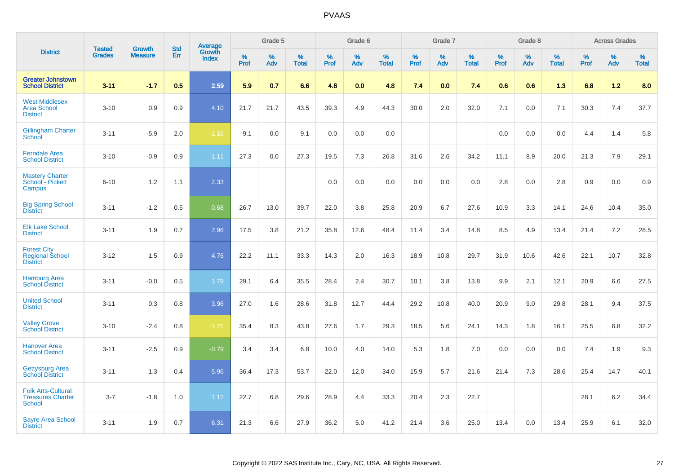|                                                                 |                                | <b>Growth</b>  | <b>Std</b> |                                   |              | Grade 5  |                   |              | Grade 6  |                   |              | Grade 7  |                   |              | Grade 8  |                   |              | <b>Across Grades</b> |                   |
|-----------------------------------------------------------------|--------------------------------|----------------|------------|-----------------------------------|--------------|----------|-------------------|--------------|----------|-------------------|--------------|----------|-------------------|--------------|----------|-------------------|--------------|----------------------|-------------------|
| <b>District</b>                                                 | <b>Tested</b><br><b>Grades</b> | <b>Measure</b> | <b>Err</b> | Average<br>Growth<br><b>Index</b> | $\%$<br>Prof | %<br>Adv | %<br><b>Total</b> | $\%$<br>Prof | %<br>Adv | %<br><b>Total</b> | $\%$<br>Prof | %<br>Adv | %<br><b>Total</b> | $\%$<br>Prof | %<br>Adv | %<br><b>Total</b> | $\%$<br>Prof | %<br>Adv             | %<br><b>Total</b> |
| <b>Greater Johnstown</b><br><b>School District</b>              | $3 - 11$                       | $-1.7$         | 0.5        | 2.59                              | 5.9          | 0.7      | 6.6               | 4.8          | 0.0      | 4.8               | 7.4          | 0.0      | 7.4               | 0.6          | 0.6      | 1.3               | 6.8          | $1.2$                | 8.0               |
| <b>West Middlesex</b><br><b>Area School</b><br><b>District</b>  | $3 - 10$                       | 0.9            | 0.9        | 4.10                              | 21.7         | 21.7     | 43.5              | 39.3         | 4.9      | 44.3              | 30.0         | 2.0      | 32.0              | 7.1          | 0.0      | 7.1               | 30.3         | 7.4                  | 37.7              |
| <b>Gillingham Charter</b><br>School                             | $3 - 11$                       | $-5.9$         | 2.0        | $-1.16$                           | 9.1          | 0.0      | 9.1               | 0.0          | 0.0      | 0.0               |              |          |                   | 0.0          | 0.0      | 0.0               | 4.4          | 1.4                  | 5.8               |
| <b>Ferndale Area</b><br><b>School District</b>                  | $3 - 10$                       | $-0.9$         | 0.9        | 1.11                              | 27.3         | 0.0      | 27.3              | 19.5         | 7.3      | 26.8              | 31.6         | 2.6      | 34.2              | 11.1         | 8.9      | 20.0              | 21.3         | 7.9                  | 29.1              |
| <b>Mastery Charter</b><br>School - Pickett<br>Campus            | $6 - 10$                       | 1.2            | 1.1        | 2.33                              |              |          |                   | 0.0          | 0.0      | 0.0               | 0.0          | 0.0      | 0.0               | 2.8          | 0.0      | 2.8               | 0.9          | 0.0                  | 0.9               |
| <b>Big Spring School</b><br><b>District</b>                     | $3 - 11$                       | $-1.2$         | 0.5        | 0.68                              | 26.7         | 13.0     | 39.7              | 22.0         | 3.8      | 25.8              | 20.9         | 6.7      | 27.6              | 10.9         | 3.3      | 14.1              | 24.6         | 10.4                 | 35.0              |
| <b>Elk Lake School</b><br><b>District</b>                       | $3 - 11$                       | 1.9            | 0.7        | 7.96                              | 17.5         | 3.8      | 21.2              | 35.8         | 12.6     | 48.4              | 11.4         | 3.4      | 14.8              | 8.5          | 4.9      | 13.4              | 21.4         | 7.2                  | 28.5              |
| <b>Forest City</b><br><b>Regional School</b><br><b>District</b> | $3 - 12$                       | 1.5            | 0.9        | 4.76                              | 22.2         | 11.1     | 33.3              | 14.3         | 2.0      | 16.3              | 18.9         | 10.8     | 29.7              | 31.9         | 10.6     | 42.6              | 22.1         | 10.7                 | 32.8              |
| <b>Hamburg Area</b><br><b>School District</b>                   | $3 - 11$                       | $-0.0$         | 0.5        | 1.79                              | 29.1         | 6.4      | 35.5              | 28.4         | 2.4      | 30.7              | 10.1         | 3.8      | 13.8              | 9.9          | 2.1      | 12.1              | 20.9         | 6.6                  | 27.5              |
| <b>United School</b><br><b>District</b>                         | $3 - 11$                       | 0.3            | 0.8        | 3.96                              | 27.0         | 1.6      | 28.6              | 31.8         | 12.7     | 44.4              | 29.2         | 10.8     | 40.0              | 20.9         | 9.0      | 29.8              | 28.1         | 9.4                  | 37.5              |
| <b>Valley Grove</b><br><b>School District</b>                   | $3 - 10$                       | $-2.4$         | 0.8        | $-1.21$                           | 35.4         | 8.3      | 43.8              | 27.6         | 1.7      | 29.3              | 18.5         | 5.6      | 24.1              | 14.3         | 1.8      | 16.1              | 25.5         | 6.8                  | 32.2              |
| <b>Hanover Area</b><br><b>School District</b>                   | $3 - 11$                       | $-2.5$         | 0.9        | $-0.79$                           | 3.4          | 3.4      | 6.8               | 10.0         | 4.0      | 14.0              | 5.3          | 1.8      | 7.0               | 0.0          | 0.0      | 0.0               | 7.4          | 1.9                  | 9.3               |
| <b>Gettysburg Area</b><br><b>School District</b>                | $3 - 11$                       | 1.3            | 0.4        | 5.96                              | 36.4         | 17.3     | 53.7              | 22.0         | 12.0     | 34.0              | 15.9         | 5.7      | 21.6              | 21.4         | 7.3      | 28.6              | 25.4         | 14.7                 | 40.1              |
| <b>Folk Arts-Cultural</b><br><b>Treasures Charter</b><br>School | $3 - 7$                        | $-1.8$         | 1.0        | 1.12                              | 22.7         | 6.8      | 29.6              | 28.9         | 4.4      | 33.3              | 20.4         | 2.3      | 22.7              |              |          |                   | 28.1         | 6.2                  | 34.4              |
| <b>Sayre Area School</b><br><b>District</b>                     | $3 - 11$                       | 1.9            | 0.7        | 6.31                              | 21.3         | 6.6      | 27.9              | 36.2         | 5.0      | 41.2              | 21.4         | 3.6      | 25.0              | 13.4         | 0.0      | 13.4              | 25.9         | 6.1                  | 32.0              |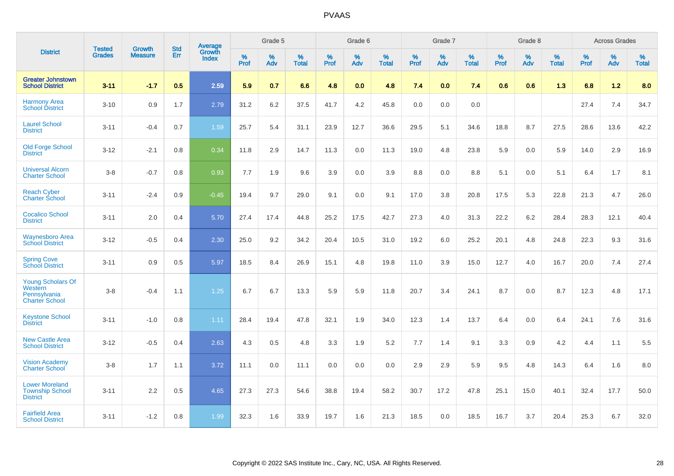|                                                                       |                                |                                 | <b>Std</b> | Average         |           | Grade 5  |                   |           | Grade 6  |                   |           | Grade 7  |                   |           | Grade 8  |                   |           | <b>Across Grades</b> |                   |
|-----------------------------------------------------------------------|--------------------------------|---------------------------------|------------|-----------------|-----------|----------|-------------------|-----------|----------|-------------------|-----------|----------|-------------------|-----------|----------|-------------------|-----------|----------------------|-------------------|
| <b>District</b>                                                       | <b>Tested</b><br><b>Grades</b> | <b>Growth</b><br><b>Measure</b> | Err        | Growth<br>Index | %<br>Prof | %<br>Adv | %<br><b>Total</b> | %<br>Prof | %<br>Adv | %<br><b>Total</b> | %<br>Prof | %<br>Adv | %<br><b>Total</b> | %<br>Prof | %<br>Adv | %<br><b>Total</b> | %<br>Prof | %<br>Adv             | %<br><b>Total</b> |
| <b>Greater Johnstown</b><br><b>School District</b>                    | $3 - 11$                       | $-1.7$                          | 0.5        | 2.59            | 5.9       | 0.7      | 6.6               | 4.8       | 0.0      | 4.8               | 7.4       | 0.0      | 7.4               | 0.6       | 0.6      | 1.3               | 6.8       | 1.2                  | 8.0               |
| <b>Harmony Area</b><br><b>School District</b>                         | $3 - 10$                       | 0.9                             | 1.7        | 2.79            | 31.2      | 6.2      | 37.5              | 41.7      | 4.2      | 45.8              | 0.0       | 0.0      | 0.0               |           |          |                   | 27.4      | 7.4                  | 34.7              |
| <b>Laurel School</b><br><b>District</b>                               | $3 - 11$                       | $-0.4$                          | 0.7        | 1.59            | 25.7      | 5.4      | 31.1              | 23.9      | 12.7     | 36.6              | 29.5      | 5.1      | 34.6              | 18.8      | 8.7      | 27.5              | 28.6      | 13.6                 | 42.2              |
| <b>Old Forge School</b><br><b>District</b>                            | $3 - 12$                       | $-2.1$                          | 0.8        | 0.34            | 11.8      | 2.9      | 14.7              | 11.3      | 0.0      | 11.3              | 19.0      | 4.8      | 23.8              | 5.9       | 0.0      | 5.9               | 14.0      | 2.9                  | 16.9              |
| <b>Universal Alcorn</b><br><b>Charter School</b>                      | $3 - 8$                        | $-0.7$                          | 0.8        | 0.93            | 7.7       | 1.9      | 9.6               | 3.9       | 0.0      | 3.9               | 8.8       | 0.0      | 8.8               | 5.1       | 0.0      | 5.1               | 6.4       | 1.7                  | 8.1               |
| <b>Reach Cyber</b><br><b>Charter School</b>                           | $3 - 11$                       | $-2.4$                          | 0.9        | $-0.45$         | 19.4      | 9.7      | 29.0              | 9.1       | 0.0      | 9.1               | 17.0      | 3.8      | 20.8              | 17.5      | 5.3      | 22.8              | 21.3      | 4.7                  | 26.0              |
| <b>Cocalico School</b><br><b>District</b>                             | $3 - 11$                       | 2.0                             | 0.4        | 5.70            | 27.4      | 17.4     | 44.8              | 25.2      | 17.5     | 42.7              | 27.3      | 4.0      | 31.3              | 22.2      | $6.2\,$  | 28.4              | 28.3      | 12.1                 | 40.4              |
| <b>Waynesboro Area</b><br><b>School District</b>                      | $3 - 12$                       | $-0.5$                          | 0.4        | 2.30            | 25.0      | 9.2      | 34.2              | 20.4      | 10.5     | 31.0              | 19.2      | 6.0      | 25.2              | 20.1      | 4.8      | 24.8              | 22.3      | 9.3                  | 31.6              |
| <b>Spring Cove</b><br><b>School District</b>                          | $3 - 11$                       | 0.9                             | 0.5        | 5.97            | 18.5      | 8.4      | 26.9              | 15.1      | 4.8      | 19.8              | 11.0      | 3.9      | 15.0              | 12.7      | 4.0      | 16.7              | 20.0      | 7.4                  | 27.4              |
| Young Scholars Of<br>Western<br>Pennsylvania<br><b>Charter School</b> | $3 - 8$                        | $-0.4$                          | 1.1        | 1.25            | 6.7       | 6.7      | 13.3              | 5.9       | 5.9      | 11.8              | 20.7      | 3.4      | 24.1              | 8.7       | 0.0      | 8.7               | 12.3      | 4.8                  | 17.1              |
| <b>Keystone School</b><br><b>District</b>                             | $3 - 11$                       | $-1.0$                          | 0.8        | 1.11            | 28.4      | 19.4     | 47.8              | 32.1      | 1.9      | 34.0              | 12.3      | 1.4      | 13.7              | 6.4       | 0.0      | 6.4               | 24.1      | 7.6                  | 31.6              |
| <b>New Castle Area</b><br><b>School District</b>                      | $3 - 12$                       | $-0.5$                          | 0.4        | 2.63            | 4.3       | 0.5      | 4.8               | 3.3       | 1.9      | 5.2               | 7.7       | 1.4      | 9.1               | 3.3       | 0.9      | 4.2               | 4.4       | 1.1                  | 5.5               |
| <b>Vision Academy</b><br><b>Charter School</b>                        | $3 - 8$                        | 1.7                             | 1.1        | 3.72            | 11.1      | 0.0      | 11.1              | 0.0       | 0.0      | 0.0               | 2.9       | 2.9      | 5.9               | 9.5       | 4.8      | 14.3              | 6.4       | 1.6                  | 8.0               |
| <b>Lower Moreland</b><br><b>Township School</b><br><b>District</b>    | $3 - 11$                       | 2.2                             | 0.5        | 4.65            | 27.3      | 27.3     | 54.6              | 38.8      | 19.4     | 58.2              | 30.7      | 17.2     | 47.8              | 25.1      | 15.0     | 40.1              | 32.4      | 17.7                 | 50.0              |
| <b>Fairfield Area</b><br><b>School District</b>                       | $3 - 11$                       | $-1.2$                          | 0.8        | 1.99            | 32.3      | 1.6      | 33.9              | 19.7      | 1.6      | 21.3              | 18.5      | 0.0      | 18.5              | 16.7      | 3.7      | 20.4              | 25.3      | 6.7                  | 32.0              |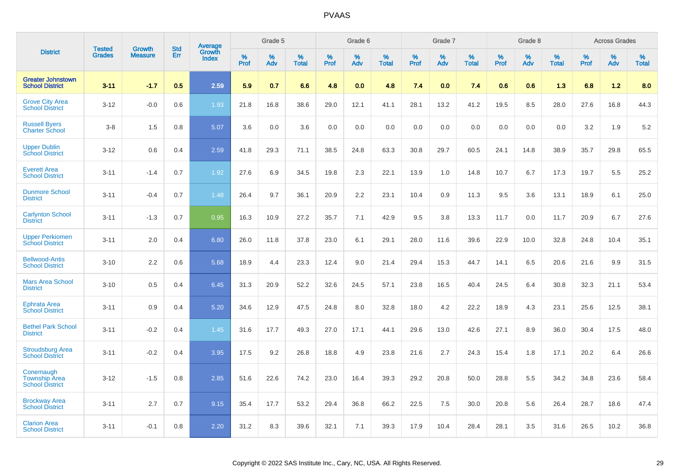|                                                             |                                |                          | <b>Std</b> |                                          |                     | Grade 5  |                      |              | Grade 6     |                      |              | Grade 7  |                      |              | Grade 8     |                      |              | <b>Across Grades</b> |                      |
|-------------------------------------------------------------|--------------------------------|--------------------------|------------|------------------------------------------|---------------------|----------|----------------------|--------------|-------------|----------------------|--------------|----------|----------------------|--------------|-------------|----------------------|--------------|----------------------|----------------------|
| <b>District</b>                                             | <b>Tested</b><br><b>Grades</b> | Growth<br><b>Measure</b> | Err        | <b>Average</b><br>Growth<br><b>Index</b> | $\%$<br><b>Prof</b> | %<br>Adv | $\%$<br><b>Total</b> | $\%$<br>Prof | $\%$<br>Adv | $\%$<br><b>Total</b> | $\%$<br>Prof | %<br>Adv | $\%$<br><b>Total</b> | $\%$<br>Prof | $\%$<br>Adv | $\%$<br><b>Total</b> | $\%$<br>Prof | $\%$<br>Adv          | $\%$<br><b>Total</b> |
| <b>Greater Johnstown</b><br><b>School District</b>          | $3 - 11$                       | $-1.7$                   | 0.5        | 2.59                                     | 5.9                 | 0.7      | 6.6                  | 4.8          | 0.0         | 4.8                  | 7.4          | 0.0      | 7.4                  | 0.6          | 0.6         | 1.3                  | 6.8          | 1.2                  | 8.0                  |
| <b>Grove City Area</b><br><b>School District</b>            | $3 - 12$                       | $-0.0$                   | 0.6        | 1.93                                     | 21.8                | 16.8     | 38.6                 | 29.0         | 12.1        | 41.1                 | 28.1         | 13.2     | 41.2                 | 19.5         | 8.5         | 28.0                 | 27.6         | 16.8                 | 44.3                 |
| <b>Russell Byers</b><br><b>Charter School</b>               | $3 - 8$                        | 1.5                      | 0.8        | 5.07                                     | 3.6                 | 0.0      | 3.6                  | 0.0          | 0.0         | 0.0                  | 0.0          | 0.0      | 0.0                  | 0.0          | 0.0         | 0.0                  | 3.2          | 1.9                  | 5.2                  |
| <b>Upper Dublin</b><br><b>School District</b>               | $3 - 12$                       | 0.6                      | 0.4        | 2.59                                     | 41.8                | 29.3     | 71.1                 | 38.5         | 24.8        | 63.3                 | 30.8         | 29.7     | 60.5                 | 24.1         | 14.8        | 38.9                 | 35.7         | 29.8                 | 65.5                 |
| <b>Everett Area</b><br><b>School District</b>               | $3 - 11$                       | $-1.4$                   | 0.7        | 1.92                                     | 27.6                | 6.9      | 34.5                 | 19.8         | 2.3         | 22.1                 | 13.9         | 1.0      | 14.8                 | 10.7         | 6.7         | 17.3                 | 19.7         | 5.5                  | 25.2                 |
| <b>Dunmore School</b><br><b>District</b>                    | $3 - 11$                       | $-0.4$                   | 0.7        | 1.48                                     | 26.4                | 9.7      | 36.1                 | 20.9         | 2.2         | 23.1                 | 10.4         | 0.9      | 11.3                 | 9.5          | 3.6         | 13.1                 | 18.9         | 6.1                  | 25.0                 |
| <b>Carlynton School</b><br><b>District</b>                  | $3 - 11$                       | $-1.3$                   | 0.7        | 0.95                                     | 16.3                | 10.9     | 27.2                 | 35.7         | 7.1         | 42.9                 | 9.5          | 3.8      | 13.3                 | 11.7         | 0.0         | 11.7                 | 20.9         | 6.7                  | 27.6                 |
| <b>Upper Perkiomen</b><br><b>School District</b>            | $3 - 11$                       | 2.0                      | 0.4        | 6.80                                     | 26.0                | 11.8     | 37.8                 | 23.0         | 6.1         | 29.1                 | 28.0         | 11.6     | 39.6                 | 22.9         | 10.0        | 32.8                 | 24.8         | 10.4                 | 35.1                 |
| <b>Bellwood-Antis</b><br><b>School District</b>             | $3 - 10$                       | 2.2                      | 0.6        | 5.68                                     | 18.9                | 4.4      | 23.3                 | 12.4         | 9.0         | 21.4                 | 29.4         | 15.3     | 44.7                 | 14.1         | 6.5         | 20.6                 | 21.6         | 9.9                  | 31.5                 |
| <b>Mars Area School</b><br><b>District</b>                  | $3 - 10$                       | 0.5                      | 0.4        | 6.45                                     | 31.3                | 20.9     | 52.2                 | 32.6         | 24.5        | 57.1                 | 23.8         | 16.5     | 40.4                 | 24.5         | 6.4         | 30.8                 | 32.3         | 21.1                 | 53.4                 |
| <b>Ephrata Area</b><br><b>School District</b>               | $3 - 11$                       | 0.9                      | 0.4        | 5.20                                     | 34.6                | 12.9     | 47.5                 | 24.8         | 8.0         | 32.8                 | 18.0         | 4.2      | 22.2                 | 18.9         | 4.3         | 23.1                 | 25.6         | 12.5                 | 38.1                 |
| <b>Bethel Park School</b><br><b>District</b>                | $3 - 11$                       | $-0.2$                   | 0.4        | 1.45                                     | 31.6                | 17.7     | 49.3                 | 27.0         | 17.1        | 44.1                 | 29.6         | 13.0     | 42.6                 | 27.1         | 8.9         | 36.0                 | 30.4         | 17.5                 | 48.0                 |
| <b>Stroudsburg Area</b><br><b>School District</b>           | $3 - 11$                       | $-0.2$                   | 0.4        | 3.95                                     | 17.5                | 9.2      | 26.8                 | 18.8         | 4.9         | 23.8                 | 21.6         | 2.7      | 24.3                 | 15.4         | 1.8         | 17.1                 | 20.2         | 6.4                  | 26.6                 |
| Conemaugh<br><b>Township Area</b><br><b>School District</b> | $3 - 12$                       | $-1.5$                   | 0.8        | 2.85                                     | 51.6                | 22.6     | 74.2                 | 23.0         | 16.4        | 39.3                 | 29.2         | 20.8     | 50.0                 | 28.8         | 5.5         | 34.2                 | 34.8         | 23.6                 | 58.4                 |
| <b>Brockway Area</b><br><b>School District</b>              | $3 - 11$                       | 2.7                      | 0.7        | 9.15                                     | 35.4                | 17.7     | 53.2                 | 29.4         | 36.8        | 66.2                 | 22.5         | 7.5      | 30.0                 | 20.8         | 5.6         | 26.4                 | 28.7         | 18.6                 | 47.4                 |
| <b>Clarion Area</b><br><b>School District</b>               | $3 - 11$                       | $-0.1$                   | 0.8        | 2.20                                     | 31.2                | 8.3      | 39.6                 | 32.1         | 7.1         | 39.3                 | 17.9         | 10.4     | 28.4                 | 28.1         | 3.5         | 31.6                 | 26.5         | 10.2                 | 36.8                 |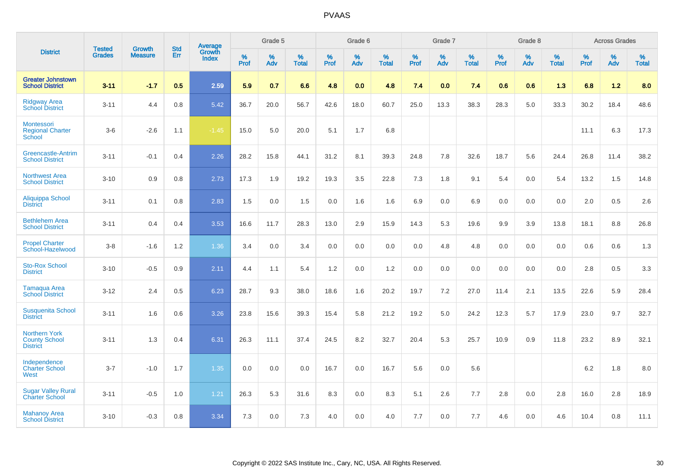|                                                                 | <b>Tested</b> | <b>Growth</b>  | <b>Std</b> | Average                |           | Grade 5  |                   |           | Grade 6  |                   |           | Grade 7  |                   |           | Grade 8  |                   |           | <b>Across Grades</b> |                   |
|-----------------------------------------------------------------|---------------|----------------|------------|------------------------|-----------|----------|-------------------|-----------|----------|-------------------|-----------|----------|-------------------|-----------|----------|-------------------|-----------|----------------------|-------------------|
| <b>District</b>                                                 | <b>Grades</b> | <b>Measure</b> | Err        | Growth<br><b>Index</b> | %<br>Prof | %<br>Adv | %<br><b>Total</b> | %<br>Prof | %<br>Adv | %<br><b>Total</b> | %<br>Prof | %<br>Adv | %<br><b>Total</b> | %<br>Prof | %<br>Adv | %<br><b>Total</b> | %<br>Prof | %<br>Adv             | %<br><b>Total</b> |
| <b>Greater Johnstown</b><br><b>School District</b>              | $3 - 11$      | $-1.7$         | 0.5        | 2.59                   | 5.9       | 0.7      | 6.6               | 4.8       | 0.0      | 4.8               | 7.4       | 0.0      | 7.4               | 0.6       | 0.6      | 1.3               | 6.8       | $1.2$                | 8.0               |
| <b>Ridgway Area</b><br><b>School District</b>                   | $3 - 11$      | 4.4            | 0.8        | 5.42                   | 36.7      | 20.0     | 56.7              | 42.6      | 18.0     | 60.7              | 25.0      | 13.3     | 38.3              | 28.3      | 5.0      | 33.3              | 30.2      | 18.4                 | 48.6              |
| Montessori<br><b>Regional Charter</b><br>School                 | $3-6$         | $-2.6$         | 1.1        | $-1.45$                | 15.0      | 5.0      | 20.0              | 5.1       | 1.7      | 6.8               |           |          |                   |           |          |                   | 11.1      | 6.3                  | 17.3              |
| Greencastle-Antrim<br><b>School District</b>                    | $3 - 11$      | $-0.1$         | 0.4        | 2.26                   | 28.2      | 15.8     | 44.1              | 31.2      | 8.1      | 39.3              | 24.8      | 7.8      | 32.6              | 18.7      | 5.6      | 24.4              | 26.8      | 11.4                 | 38.2              |
| <b>Northwest Area</b><br><b>School District</b>                 | $3 - 10$      | 0.9            | 0.8        | 2.73                   | 17.3      | 1.9      | 19.2              | 19.3      | 3.5      | 22.8              | 7.3       | 1.8      | 9.1               | 5.4       | 0.0      | 5.4               | 13.2      | 1.5                  | 14.8              |
| Aliquippa School<br><b>District</b>                             | $3 - 11$      | 0.1            | 0.8        | 2.83                   | 1.5       | 0.0      | 1.5               | 0.0       | 1.6      | 1.6               | 6.9       | 0.0      | 6.9               | 0.0       | 0.0      | 0.0               | 2.0       | 0.5                  | 2.6               |
| <b>Bethlehem Area</b><br><b>School District</b>                 | $3 - 11$      | 0.4            | 0.4        | 3.53                   | 16.6      | 11.7     | 28.3              | 13.0      | 2.9      | 15.9              | 14.3      | 5.3      | 19.6              | 9.9       | 3.9      | 13.8              | 18.1      | 8.8                  | 26.8              |
| <b>Propel Charter</b><br>School-Hazelwood                       | $3 - 8$       | $-1.6$         | $1.2$      | 1.36                   | 3.4       | 0.0      | 3.4               | 0.0       | 0.0      | 0.0               | 0.0       | 4.8      | 4.8               | 0.0       | 0.0      | 0.0               | 0.6       | 0.6                  | 1.3               |
| <b>Sto-Rox School</b><br><b>District</b>                        | $3 - 10$      | $-0.5$         | 0.9        | 2.11                   | 4.4       | 1.1      | 5.4               | 1.2       | 0.0      | 1.2               | 0.0       | 0.0      | 0.0               | 0.0       | 0.0      | 0.0               | 2.8       | 0.5                  | 3.3               |
| Tamaqua Area<br><b>School District</b>                          | $3 - 12$      | 2.4            | 0.5        | 6.23                   | 28.7      | 9.3      | 38.0              | 18.6      | 1.6      | 20.2              | 19.7      | $7.2\,$  | 27.0              | 11.4      | 2.1      | 13.5              | 22.6      | 5.9                  | 28.4              |
| <b>Susquenita School</b><br><b>District</b>                     | $3 - 11$      | 1.6            | 0.6        | 3.26                   | 23.8      | 15.6     | 39.3              | 15.4      | 5.8      | 21.2              | 19.2      | 5.0      | 24.2              | 12.3      | 5.7      | 17.9              | 23.0      | 9.7                  | 32.7              |
| <b>Northern York</b><br><b>County School</b><br><b>District</b> | $3 - 11$      | 1.3            | 0.4        | 6.31                   | 26.3      | 11.1     | 37.4              | 24.5      | 8.2      | 32.7              | 20.4      | 5.3      | 25.7              | 10.9      | 0.9      | 11.8              | 23.2      | 8.9                  | 32.1              |
| Independence<br><b>Charter School</b><br>West                   | $3 - 7$       | $-1.0$         | 1.7        | 1.35                   | 0.0       | 0.0      | 0.0               | 16.7      | 0.0      | 16.7              | 5.6       | 0.0      | 5.6               |           |          |                   | $6.2\,$   | 1.8                  | $8.0\,$           |
| <b>Sugar Valley Rural</b><br><b>Charter School</b>              | $3 - 11$      | $-0.5$         | 1.0        | 1.21                   | 26.3      | 5.3      | 31.6              | 8.3       | 0.0      | 8.3               | 5.1       | 2.6      | 7.7               | 2.8       | 0.0      | 2.8               | 16.0      | 2.8                  | 18.9              |
| <b>Mahanoy Area</b><br><b>School District</b>                   | $3 - 10$      | $-0.3$         | 0.8        | 3.34                   | 7.3       | 0.0      | 7.3               | 4.0       | 0.0      | 4.0               | 7.7       | 0.0      | 7.7               | 4.6       | 0.0      | 4.6               | 10.4      | 0.8                  | 11.1              |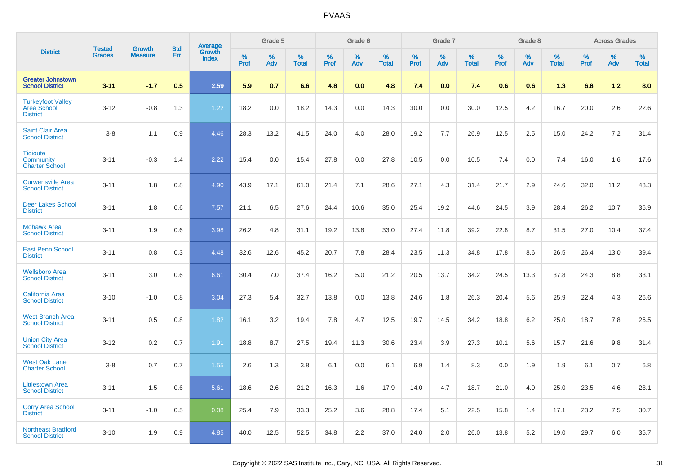|                                                                   | <b>Tested</b> |                                 | <b>Std</b> |                                          |              | Grade 5  |                   |              | Grade 6  |                   |              | Grade 7  |                   |              | Grade 8  |                   |              | <b>Across Grades</b> |                   |
|-------------------------------------------------------------------|---------------|---------------------------------|------------|------------------------------------------|--------------|----------|-------------------|--------------|----------|-------------------|--------------|----------|-------------------|--------------|----------|-------------------|--------------|----------------------|-------------------|
| <b>District</b>                                                   | <b>Grades</b> | <b>Growth</b><br><b>Measure</b> | Err        | <b>Average</b><br>Growth<br><b>Index</b> | $\%$<br>Prof | %<br>Adv | %<br><b>Total</b> | $\%$<br>Prof | %<br>Adv | %<br><b>Total</b> | $\%$<br>Prof | %<br>Adv | %<br><b>Total</b> | $\%$<br>Prof | %<br>Adv | %<br><b>Total</b> | $\%$<br>Prof | %<br>Adv             | %<br><b>Total</b> |
| <b>Greater Johnstown</b><br><b>School District</b>                | $3 - 11$      | $-1.7$                          | 0.5        | 2.59                                     | 5.9          | 0.7      | 6.6               | 4.8          | 0.0      | 4.8               | 7.4          | 0.0      | 7.4               | 0.6          | 0.6      | 1.3               | 6.8          | 1.2                  | 8.0               |
| <b>Turkeyfoot Valley</b><br><b>Area School</b><br><b>District</b> | $3 - 12$      | $-0.8$                          | 1.3        | 1.22                                     | 18.2         | 0.0      | 18.2              | 14.3         | 0.0      | 14.3              | 30.0         | 0.0      | 30.0              | 12.5         | 4.2      | 16.7              | 20.0         | 2.6                  | 22.6              |
| <b>Saint Clair Area</b><br><b>School District</b>                 | $3 - 8$       | 1.1                             | 0.9        | 4.46                                     | 28.3         | 13.2     | 41.5              | 24.0         | 4.0      | 28.0              | 19.2         | 7.7      | 26.9              | 12.5         | 2.5      | 15.0              | 24.2         | 7.2                  | 31.4              |
| <b>Tidioute</b><br>Community<br><b>Charter School</b>             | $3 - 11$      | $-0.3$                          | 1.4        | 2.22                                     | 15.4         | 0.0      | 15.4              | 27.8         | 0.0      | 27.8              | 10.5         | 0.0      | 10.5              | 7.4          | 0.0      | 7.4               | 16.0         | 1.6                  | 17.6              |
| <b>Curwensville Area</b><br><b>School District</b>                | $3 - 11$      | 1.8                             | 0.8        | 4.90                                     | 43.9         | 17.1     | 61.0              | 21.4         | 7.1      | 28.6              | 27.1         | 4.3      | 31.4              | 21.7         | 2.9      | 24.6              | 32.0         | 11.2                 | 43.3              |
| <b>Deer Lakes School</b><br><b>District</b>                       | $3 - 11$      | 1.8                             | 0.6        | 7.57                                     | 21.1         | 6.5      | 27.6              | 24.4         | 10.6     | 35.0              | 25.4         | 19.2     | 44.6              | 24.5         | 3.9      | 28.4              | 26.2         | 10.7                 | 36.9              |
| <b>Mohawk Area</b><br><b>School District</b>                      | $3 - 11$      | 1.9                             | 0.6        | 3.98                                     | 26.2         | 4.8      | 31.1              | 19.2         | 13.8     | 33.0              | 27.4         | 11.8     | 39.2              | 22.8         | 8.7      | 31.5              | 27.0         | 10.4                 | 37.4              |
| <b>East Penn School</b><br><b>District</b>                        | $3 - 11$      | 0.8                             | 0.3        | 4.48                                     | 32.6         | 12.6     | 45.2              | 20.7         | 7.8      | 28.4              | 23.5         | 11.3     | 34.8              | 17.8         | 8.6      | 26.5              | 26.4         | 13.0                 | 39.4              |
| <b>Wellsboro Area</b><br><b>School District</b>                   | $3 - 11$      | 3.0                             | 0.6        | 6.61                                     | 30.4         | 7.0      | 37.4              | 16.2         | 5.0      | 21.2              | 20.5         | 13.7     | 34.2              | 24.5         | 13.3     | 37.8              | 24.3         | 8.8                  | 33.1              |
| <b>California Area</b><br><b>School District</b>                  | $3 - 10$      | $-1.0$                          | 0.8        | 3.04                                     | 27.3         | 5.4      | 32.7              | 13.8         | 0.0      | 13.8              | 24.6         | 1.8      | 26.3              | 20.4         | 5.6      | 25.9              | 22.4         | 4.3                  | 26.6              |
| <b>West Branch Area</b><br><b>School District</b>                 | $3 - 11$      | 0.5                             | 0.8        | 1.82                                     | 16.1         | 3.2      | 19.4              | 7.8          | 4.7      | 12.5              | 19.7         | 14.5     | 34.2              | 18.8         | 6.2      | 25.0              | 18.7         | 7.8                  | 26.5              |
| <b>Union City Area</b><br><b>School District</b>                  | $3 - 12$      | 0.2                             | 0.7        | 1.91                                     | 18.8         | 8.7      | 27.5              | 19.4         | 11.3     | 30.6              | 23.4         | 3.9      | 27.3              | 10.1         | 5.6      | 15.7              | 21.6         | 9.8                  | 31.4              |
| <b>West Oak Lane</b><br><b>Charter School</b>                     | $3 - 8$       | 0.7                             | 0.7        | 1.55                                     | 2.6          | 1.3      | 3.8               | 6.1          | 0.0      | 6.1               | 6.9          | 1.4      | 8.3               | 0.0          | 1.9      | 1.9               | 6.1          | 0.7                  | 6.8               |
| <b>Littlestown Area</b><br><b>School District</b>                 | $3 - 11$      | 1.5                             | 0.6        | 5.61                                     | 18.6         | 2.6      | 21.2              | 16.3         | 1.6      | 17.9              | 14.0         | 4.7      | 18.7              | 21.0         | 4.0      | 25.0              | 23.5         | 4.6                  | 28.1              |
| <b>Corry Area School</b><br><b>District</b>                       | $3 - 11$      | $-1.0$                          | 0.5        | 0.08                                     | 25.4         | 7.9      | 33.3              | 25.2         | 3.6      | 28.8              | 17.4         | 5.1      | 22.5              | 15.8         | 1.4      | 17.1              | 23.2         | 7.5                  | 30.7              |
| <b>Northeast Bradford</b><br><b>School District</b>               | $3 - 10$      | 1.9                             | 0.9        | 4.85                                     | 40.0         | 12.5     | 52.5              | 34.8         | 2.2      | 37.0              | 24.0         | 2.0      | 26.0              | 13.8         | 5.2      | 19.0              | 29.7         | 6.0                  | 35.7              |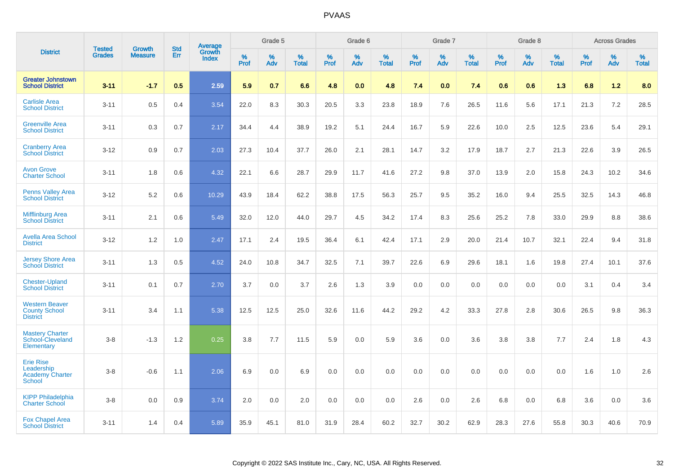|                                                                           | <b>Tested</b> | <b>Growth</b>  | <b>Std</b> | Average         |           | Grade 5  |                   |                  | Grade 6  |                   |           | Grade 7  |                   |                  | Grade 8  |                   |                     | <b>Across Grades</b> |                   |
|---------------------------------------------------------------------------|---------------|----------------|------------|-----------------|-----------|----------|-------------------|------------------|----------|-------------------|-----------|----------|-------------------|------------------|----------|-------------------|---------------------|----------------------|-------------------|
| <b>District</b>                                                           | <b>Grades</b> | <b>Measure</b> | Err        | Growth<br>Index | %<br>Prof | %<br>Adv | %<br><b>Total</b> | %<br><b>Prof</b> | %<br>Adv | %<br><b>Total</b> | %<br>Prof | %<br>Adv | %<br><b>Total</b> | %<br><b>Prof</b> | %<br>Adv | %<br><b>Total</b> | $\%$<br><b>Prof</b> | $\%$<br>Adv          | %<br><b>Total</b> |
| <b>Greater Johnstown</b><br><b>School District</b>                        | $3 - 11$      | $-1.7$         | 0.5        | 2.59            | 5.9       | 0.7      | 6.6               | 4.8              | 0.0      | 4.8               | 7.4       | 0.0      | 7.4               | 0.6              | 0.6      | 1.3               | 6.8                 | 1.2                  | 8.0               |
| <b>Carlisle Area</b><br><b>School District</b>                            | $3 - 11$      | 0.5            | 0.4        | 3.54            | 22.0      | 8.3      | 30.3              | 20.5             | 3.3      | 23.8              | 18.9      | 7.6      | 26.5              | 11.6             | 5.6      | 17.1              | 21.3                | 7.2                  | 28.5              |
| <b>Greenville Area</b><br><b>School District</b>                          | $3 - 11$      | 0.3            | 0.7        | 2.17            | 34.4      | 4.4      | 38.9              | 19.2             | 5.1      | 24.4              | 16.7      | 5.9      | 22.6              | 10.0             | 2.5      | 12.5              | 23.6                | 5.4                  | 29.1              |
| <b>Cranberry Area</b><br><b>School District</b>                           | $3 - 12$      | 0.9            | 0.7        | 2.03            | 27.3      | 10.4     | 37.7              | 26.0             | 2.1      | 28.1              | 14.7      | 3.2      | 17.9              | 18.7             | 2.7      | 21.3              | 22.6                | 3.9                  | 26.5              |
| <b>Avon Grove</b><br><b>Charter School</b>                                | $3 - 11$      | 1.8            | 0.6        | 4.32            | 22.1      | 6.6      | 28.7              | 29.9             | 11.7     | 41.6              | 27.2      | 9.8      | 37.0              | 13.9             | 2.0      | 15.8              | 24.3                | 10.2                 | 34.6              |
| <b>Penns Valley Area</b><br><b>School District</b>                        | $3 - 12$      | 5.2            | 0.6        | 10.29           | 43.9      | 18.4     | 62.2              | 38.8             | 17.5     | 56.3              | 25.7      | 9.5      | 35.2              | 16.0             | 9.4      | 25.5              | 32.5                | 14.3                 | 46.8              |
| <b>Mifflinburg Area</b><br><b>School District</b>                         | $3 - 11$      | 2.1            | 0.6        | 5.49            | 32.0      | 12.0     | 44.0              | 29.7             | 4.5      | 34.2              | 17.4      | 8.3      | 25.6              | 25.2             | 7.8      | 33.0              | 29.9                | 8.8                  | 38.6              |
| <b>Avella Area School</b><br><b>District</b>                              | $3 - 12$      | 1.2            | 1.0        | 2.47            | 17.1      | 2.4      | 19.5              | 36.4             | 6.1      | 42.4              | 17.1      | 2.9      | 20.0              | 21.4             | 10.7     | 32.1              | 22.4                | 9.4                  | 31.8              |
| <b>Jersey Shore Area</b><br><b>School District</b>                        | $3 - 11$      | 1.3            | 0.5        | 4.52            | 24.0      | 10.8     | 34.7              | 32.5             | 7.1      | 39.7              | 22.6      | 6.9      | 29.6              | 18.1             | 1.6      | 19.8              | 27.4                | 10.1                 | 37.6              |
| <b>Chester-Upland</b><br><b>School District</b>                           | $3 - 11$      | 0.1            | 0.7        | 2.70            | 3.7       | 0.0      | 3.7               | 2.6              | 1.3      | 3.9               | 0.0       | 0.0      | 0.0               | 0.0              | 0.0      | 0.0               | 3.1                 | 0.4                  | 3.4               |
| <b>Western Beaver</b><br><b>County School</b><br><b>District</b>          | $3 - 11$      | 3.4            | 1.1        | 5.38            | 12.5      | 12.5     | 25.0              | 32.6             | 11.6     | 44.2              | 29.2      | 4.2      | 33.3              | 27.8             | 2.8      | 30.6              | 26.5                | 9.8                  | 36.3              |
| <b>Mastery Charter</b><br>School-Cleveland<br>Elementary                  | $3 - 8$       | $-1.3$         | 1.2        | 0.25            | 3.8       | 7.7      | 11.5              | 5.9              | 0.0      | 5.9               | 3.6       | 0.0      | 3.6               | 3.8              | 3.8      | 7.7               | 2.4                 | 1.8                  | 4.3               |
| <b>Erie Rise</b><br>Leadership<br><b>Academy Charter</b><br><b>School</b> | $3 - 8$       | $-0.6$         | 1.1        | 2.06            | 6.9       | 0.0      | 6.9               | 0.0              | 0.0      | 0.0               | 0.0       | 0.0      | 0.0               | 0.0              | 0.0      | 0.0               | 1.6                 | 1.0                  | 2.6               |
| <b>KIPP Philadelphia</b><br><b>Charter School</b>                         | $3 - 8$       | 0.0            | 0.9        | 3.74            | 2.0       | 0.0      | 2.0               | 0.0              | 0.0      | 0.0               | 2.6       | 0.0      | 2.6               | 6.8              | 0.0      | 6.8               | 3.6                 | 0.0                  | 3.6               |
| <b>Fox Chapel Area</b><br><b>School District</b>                          | $3 - 11$      | 1.4            | 0.4        | 5.89            | 35.9      | 45.1     | 81.0              | 31.9             | 28.4     | 60.2              | 32.7      | 30.2     | 62.9              | 28.3             | 27.6     | 55.8              | 30.3                | 40.6                 | 70.9              |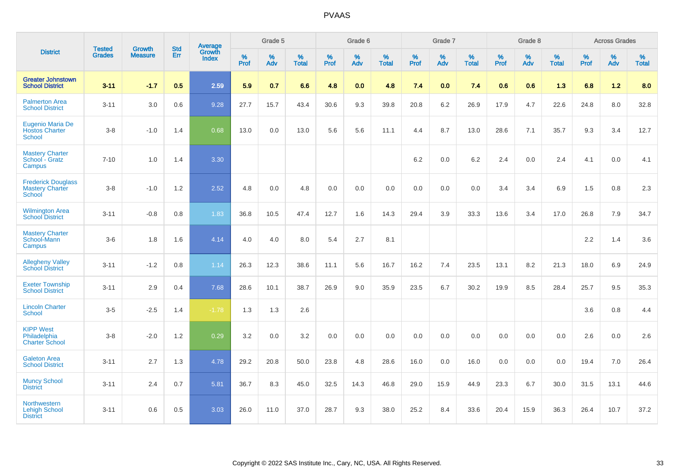|                                                               | <b>Tested</b> | <b>Growth</b>  | <b>Std</b> | Average                       |              | Grade 5  |                   |              | Grade 6  |                   |              | Grade 7  |                   |              | Grade 8  |                   |              | <b>Across Grades</b> |                   |
|---------------------------------------------------------------|---------------|----------------|------------|-------------------------------|--------------|----------|-------------------|--------------|----------|-------------------|--------------|----------|-------------------|--------------|----------|-------------------|--------------|----------------------|-------------------|
| <b>District</b>                                               | <b>Grades</b> | <b>Measure</b> | Err        | <b>Growth</b><br><b>Index</b> | $\%$<br>Prof | %<br>Adv | %<br><b>Total</b> | $\%$<br>Prof | %<br>Adv | %<br><b>Total</b> | $\%$<br>Prof | %<br>Adv | %<br><b>Total</b> | $\%$<br>Prof | %<br>Adv | %<br><b>Total</b> | $\%$<br>Prof | %<br>Adv             | %<br><b>Total</b> |
| <b>Greater Johnstown</b><br><b>School District</b>            | $3 - 11$      | $-1.7$         | 0.5        | 2.59                          | 5.9          | 0.7      | 6.6               | 4.8          | 0.0      | 4.8               | 7.4          | 0.0      | 7.4               | 0.6          | 0.6      | 1.3               | 6.8          | $1.2$                | 8.0               |
| <b>Palmerton Area</b><br><b>School District</b>               | $3 - 11$      | 3.0            | 0.6        | 9.28                          | 27.7         | 15.7     | 43.4              | 30.6         | 9.3      | 39.8              | 20.8         | 6.2      | 26.9              | 17.9         | 4.7      | 22.6              | 24.8         | 8.0                  | 32.8              |
| Eugenio Maria De<br><b>Hostos Charter</b><br><b>School</b>    | $3 - 8$       | $-1.0$         | 1.4        | 0.68                          | 13.0         | 0.0      | 13.0              | 5.6          | 5.6      | 11.1              | 4.4          | 8.7      | 13.0              | 28.6         | 7.1      | 35.7              | 9.3          | 3.4                  | 12.7              |
| <b>Mastery Charter</b><br>School - Gratz<br>Campus            | $7 - 10$      | 1.0            | 1.4        | 3.30                          |              |          |                   |              |          |                   | 6.2          | 0.0      | 6.2               | 2.4          | $0.0\,$  | 2.4               | 4.1          | $0.0\,$              | 4.1               |
| <b>Frederick Douglass</b><br><b>Mastery Charter</b><br>School | $3 - 8$       | $-1.0$         | 1.2        | 2.52                          | 4.8          | 0.0      | 4.8               | 0.0          | 0.0      | 0.0               | 0.0          | 0.0      | 0.0               | 3.4          | 3.4      | 6.9               | 1.5          | 0.8                  | $2.3\,$           |
| <b>Wilmington Area</b><br><b>School District</b>              | $3 - 11$      | $-0.8$         | 0.8        | 1.83                          | 36.8         | 10.5     | 47.4              | 12.7         | 1.6      | 14.3              | 29.4         | 3.9      | 33.3              | 13.6         | 3.4      | 17.0              | 26.8         | 7.9                  | 34.7              |
| <b>Mastery Charter</b><br>School-Mann<br>Campus               | $3-6$         | 1.8            | 1.6        | 4.14                          | 4.0          | 4.0      | 8.0               | 5.4          | 2.7      | 8.1               |              |          |                   |              |          |                   | 2.2          | 1.4                  | 3.6               |
| <b>Allegheny Valley</b><br><b>School District</b>             | $3 - 11$      | $-1.2$         | $0.8\,$    | 1.14                          | 26.3         | 12.3     | 38.6              | 11.1         | 5.6      | 16.7              | 16.2         | 7.4      | 23.5              | 13.1         | 8.2      | 21.3              | 18.0         | 6.9                  | 24.9              |
| <b>Exeter Township</b><br><b>School District</b>              | $3 - 11$      | 2.9            | 0.4        | 7.68                          | 28.6         | 10.1     | 38.7              | 26.9         | 9.0      | 35.9              | 23.5         | 6.7      | 30.2              | 19.9         | 8.5      | 28.4              | 25.7         | 9.5                  | 35.3              |
| <b>Lincoln Charter</b><br><b>School</b>                       | $3-5$         | $-2.5$         | 1.4        | $-1.78$                       | 1.3          | 1.3      | 2.6               |              |          |                   |              |          |                   |              |          |                   | 3.6          | 0.8                  | 4.4               |
| <b>KIPP West</b><br>Philadelphia<br><b>Charter School</b>     | $3 - 8$       | $-2.0$         | 1.2        | 0.29                          | 3.2          | 0.0      | 3.2               | 0.0          | 0.0      | 0.0               | 0.0          | 0.0      | 0.0               | 0.0          | 0.0      | 0.0               | 2.6          | 0.0                  | 2.6               |
| <b>Galeton Area</b><br><b>School District</b>                 | $3 - 11$      | 2.7            | 1.3        | 4.78                          | 29.2         | 20.8     | 50.0              | 23.8         | 4.8      | 28.6              | 16.0         | 0.0      | 16.0              | 0.0          | 0.0      | 0.0               | 19.4         | 7.0                  | 26.4              |
| <b>Muncy School</b><br><b>District</b>                        | $3 - 11$      | 2.4            | 0.7        | 5.81                          | 36.7         | 8.3      | 45.0              | 32.5         | 14.3     | 46.8              | 29.0         | 15.9     | 44.9              | 23.3         | 6.7      | 30.0              | 31.5         | 13.1                 | 44.6              |
| Northwestern<br><b>Lehigh School</b><br><b>District</b>       | $3 - 11$      | 0.6            | 0.5        | 3.03                          | 26.0         | 11.0     | 37.0              | 28.7         | 9.3      | 38.0              | 25.2         | 8.4      | 33.6              | 20.4         | 15.9     | 36.3              | 26.4         | 10.7                 | 37.2              |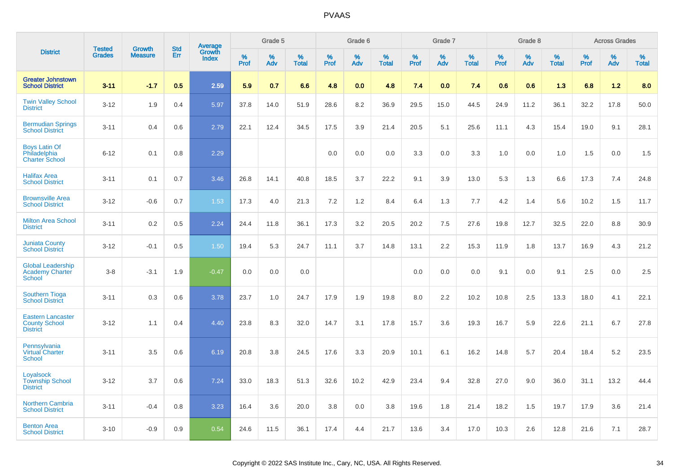|                                                                     | <b>Tested</b> | <b>Growth</b>  | <b>Std</b> |                                   |           | Grade 5  |                   |           | Grade 6  |                   |           | Grade 7  |                   |           | Grade 8  |                   |           | <b>Across Grades</b> |                   |
|---------------------------------------------------------------------|---------------|----------------|------------|-----------------------------------|-----------|----------|-------------------|-----------|----------|-------------------|-----------|----------|-------------------|-----------|----------|-------------------|-----------|----------------------|-------------------|
| <b>District</b>                                                     | <b>Grades</b> | <b>Measure</b> | Err        | <b>Average</b><br>Growth<br>Index | %<br>Prof | %<br>Adv | %<br><b>Total</b> | %<br>Prof | %<br>Adv | %<br><b>Total</b> | %<br>Prof | %<br>Adv | %<br><b>Total</b> | %<br>Prof | %<br>Adv | %<br><b>Total</b> | %<br>Prof | %<br>Adv             | %<br><b>Total</b> |
| <b>Greater Johnstown</b><br><b>School District</b>                  | $3 - 11$      | $-1.7$         | 0.5        | 2.59                              | 5.9       | 0.7      | 6.6               | 4.8       | 0.0      | 4.8               | 7.4       | 0.0      | 7.4               | 0.6       | 0.6      | 1.3               | 6.8       | $1.2$                | 8.0               |
| <b>Twin Valley School</b><br><b>District</b>                        | $3 - 12$      | 1.9            | 0.4        | 5.97                              | 37.8      | 14.0     | 51.9              | 28.6      | 8.2      | 36.9              | 29.5      | 15.0     | 44.5              | 24.9      | 11.2     | 36.1              | 32.2      | 17.8                 | 50.0              |
| <b>Bermudian Springs</b><br><b>School District</b>                  | $3 - 11$      | 0.4            | 0.6        | 2.79                              | 22.1      | 12.4     | 34.5              | 17.5      | 3.9      | 21.4              | 20.5      | 5.1      | 25.6              | 11.1      | 4.3      | 15.4              | 19.0      | 9.1                  | 28.1              |
| <b>Boys Latin Of</b><br>Philadelphia<br><b>Charter School</b>       | $6 - 12$      | 0.1            | 0.8        | 2.29                              |           |          |                   | 0.0       | 0.0      | 0.0               | 3.3       | 0.0      | 3.3               | 1.0       | 0.0      | 1.0               | 1.5       | 0.0                  | 1.5               |
| <b>Halifax Area</b><br><b>School District</b>                       | $3 - 11$      | 0.1            | 0.7        | 3.46                              | 26.8      | 14.1     | 40.8              | 18.5      | 3.7      | 22.2              | 9.1       | 3.9      | 13.0              | 5.3       | 1.3      | 6.6               | 17.3      | 7.4                  | 24.8              |
| <b>Brownsville Area</b><br><b>School District</b>                   | $3 - 12$      | $-0.6$         | 0.7        | 1.53                              | 17.3      | 4.0      | 21.3              | 7.2       | 1.2      | 8.4               | 6.4       | 1.3      | 7.7               | 4.2       | 1.4      | 5.6               | 10.2      | 1.5                  | 11.7              |
| <b>Milton Area School</b><br><b>District</b>                        | $3 - 11$      | 0.2            | 0.5        | 2.24                              | 24.4      | 11.8     | 36.1              | 17.3      | 3.2      | 20.5              | 20.2      | 7.5      | 27.6              | 19.8      | 12.7     | 32.5              | 22.0      | 8.8                  | 30.9              |
| <b>Juniata County</b><br><b>School District</b>                     | $3 - 12$      | $-0.1$         | 0.5        | 1.50                              | 19.4      | 5.3      | 24.7              | 11.1      | 3.7      | 14.8              | 13.1      | 2.2      | 15.3              | 11.9      | 1.8      | 13.7              | 16.9      | 4.3                  | 21.2              |
| <b>Global Leadership</b><br><b>Academy Charter</b><br><b>School</b> | $3 - 8$       | $-3.1$         | 1.9        | $-0.47$                           | 0.0       | 0.0      | 0.0               |           |          |                   | 0.0       | 0.0      | 0.0               | 9.1       | 0.0      | 9.1               | 2.5       | 0.0                  | 2.5               |
| <b>Southern Tioga</b><br><b>School District</b>                     | $3 - 11$      | 0.3            | 0.6        | 3.78                              | 23.7      | 1.0      | 24.7              | 17.9      | 1.9      | 19.8              | 8.0       | 2.2      | 10.2              | 10.8      | 2.5      | 13.3              | 18.0      | 4.1                  | 22.1              |
| <b>Eastern Lancaster</b><br><b>County School</b><br><b>District</b> | $3 - 12$      | 1.1            | 0.4        | 4.40                              | 23.8      | 8.3      | 32.0              | 14.7      | 3.1      | 17.8              | 15.7      | 3.6      | 19.3              | 16.7      | 5.9      | 22.6              | 21.1      | 6.7                  | 27.8              |
| Pennsylvania<br><b>Virtual Charter</b><br><b>School</b>             | $3 - 11$      | 3.5            | 0.6        | 6.19                              | 20.8      | 3.8      | 24.5              | 17.6      | 3.3      | 20.9              | 10.1      | 6.1      | 16.2              | 14.8      | 5.7      | 20.4              | 18.4      | 5.2                  | 23.5              |
| Loyalsock<br><b>Township School</b><br><b>District</b>              | $3 - 12$      | 3.7            | 0.6        | 7.24                              | 33.0      | 18.3     | 51.3              | 32.6      | 10.2     | 42.9              | 23.4      | 9.4      | 32.8              | 27.0      | 9.0      | 36.0              | 31.1      | 13.2                 | 44.4              |
| <b>Northern Cambria</b><br><b>School District</b>                   | $3 - 11$      | $-0.4$         | 0.8        | 3.23                              | 16.4      | 3.6      | 20.0              | 3.8       | 0.0      | 3.8               | 19.6      | 1.8      | 21.4              | 18.2      | 1.5      | 19.7              | 17.9      | 3.6                  | 21.4              |
| <b>Benton Area</b><br><b>School District</b>                        | $3 - 10$      | $-0.9$         | 0.9        | 0.54                              | 24.6      | 11.5     | 36.1              | 17.4      | 4.4      | 21.7              | 13.6      | 3.4      | 17.0              | 10.3      | 2.6      | 12.8              | 21.6      | 7.1                  | 28.7              |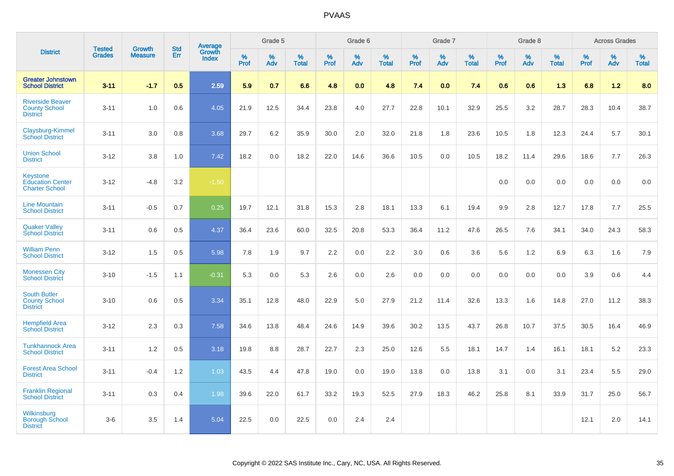|                                                                     |                                |                                 | <b>Std</b> | Average                |              | Grade 5  |                   |           | Grade 6  |                   |           | Grade 7  |                   |           | Grade 8  |                   |              | <b>Across Grades</b> |                   |
|---------------------------------------------------------------------|--------------------------------|---------------------------------|------------|------------------------|--------------|----------|-------------------|-----------|----------|-------------------|-----------|----------|-------------------|-----------|----------|-------------------|--------------|----------------------|-------------------|
| <b>District</b>                                                     | <b>Tested</b><br><b>Grades</b> | <b>Growth</b><br><b>Measure</b> | Err        | Growth<br><b>Index</b> | $\%$<br>Prof | %<br>Adv | %<br><b>Total</b> | %<br>Prof | %<br>Adv | %<br><b>Total</b> | %<br>Prof | %<br>Adv | %<br><b>Total</b> | %<br>Prof | %<br>Adv | %<br><b>Total</b> | $\%$<br>Prof | %<br>Adv             | %<br><b>Total</b> |
| <b>Greater Johnstown</b><br><b>School District</b>                  | $3 - 11$                       | $-1.7$                          | 0.5        | 2.59                   | 5.9          | 0.7      | 6.6               | 4.8       | 0.0      | 4.8               | 7.4       | 0.0      | 7.4               | 0.6       | 0.6      | 1.3               | 6.8          | $1.2$                | 8.0               |
| <b>Riverside Beaver</b><br><b>County School</b><br><b>District</b>  | $3 - 11$                       | 1.0                             | 0.6        | 4.05                   | 21.9         | 12.5     | 34.4              | 23.8      | 4.0      | 27.7              | 22.8      | 10.1     | 32.9              | 25.5      | 3.2      | 28.7              | 28.3         | 10.4                 | 38.7              |
| Claysburg-Kimmel<br><b>School District</b>                          | $3 - 11$                       | 3.0                             | 0.8        | 3.68                   | 29.7         | 6.2      | 35.9              | 30.0      | 2.0      | 32.0              | 21.8      | 1.8      | 23.6              | 10.5      | 1.8      | 12.3              | 24.4         | 5.7                  | 30.1              |
| <b>Union School</b><br><b>District</b>                              | $3 - 12$                       | 3.8                             | 1.0        | 7.42                   | 18.2         | 0.0      | 18.2              | 22.0      | 14.6     | 36.6              | 10.5      | 0.0      | 10.5              | 18.2      | 11.4     | 29.6              | 18.6         | 7.7                  | 26.3              |
| <b>Keystone</b><br><b>Education Center</b><br><b>Charter School</b> | $3 - 12$                       | $-4.8$                          | 3.2        | $-1.50$                |              |          |                   |           |          |                   |           |          |                   | 0.0       | 0.0      | 0.0               | 0.0          | 0.0                  | 0.0               |
| <b>Line Mountain</b><br><b>School District</b>                      | $3 - 11$                       | $-0.5$                          | 0.7        | 0.25                   | 19.7         | 12.1     | 31.8              | 15.3      | 2.8      | 18.1              | 13.3      | 6.1      | 19.4              | 9.9       | 2.8      | 12.7              | 17.8         | 7.7                  | 25.5              |
| <b>Quaker Valley</b><br><b>School District</b>                      | $3 - 11$                       | 0.6                             | 0.5        | 4.37                   | 36.4         | 23.6     | 60.0              | 32.5      | 20.8     | 53.3              | 36.4      | 11.2     | 47.6              | 26.5      | 7.6      | 34.1              | 34.0         | 24.3                 | 58.3              |
| <b>William Penn</b><br><b>School District</b>                       | $3 - 12$                       | 1.5                             | 0.5        | 5.98                   | 7.8          | 1.9      | 9.7               | 2.2       | 0.0      | 2.2               | 3.0       | 0.6      | 3.6               | 5.6       | 1.2      | 6.9               | 6.3          | 1.6                  | 7.9               |
| <b>Monessen City</b><br><b>School District</b>                      | $3 - 10$                       | $-1.5$                          | 1.1        | $-0.31$                | 5.3          | 0.0      | 5.3               | 2.6       | 0.0      | 2.6               | 0.0       | 0.0      | 0.0               | 0.0       | 0.0      | 0.0               | 3.9          | 0.6                  | 4.4               |
| <b>South Butler</b><br><b>County School</b><br><b>District</b>      | $3 - 10$                       | 0.6                             | 0.5        | 3.34                   | 35.1         | 12.8     | 48.0              | 22.9      | 5.0      | 27.9              | 21.2      | 11.4     | 32.6              | 13.3      | 1.6      | 14.8              | 27.0         | 11.2                 | 38.3              |
| <b>Hempfield Area</b><br><b>School District</b>                     | $3 - 12$                       | 2.3                             | 0.3        | 7.58                   | 34.6         | 13.8     | 48.4              | 24.6      | 14.9     | 39.6              | 30.2      | 13.5     | 43.7              | 26.8      | 10.7     | 37.5              | 30.5         | 16.4                 | 46.9              |
| <b>Tunkhannock Area</b><br><b>School District</b>                   | $3 - 11$                       | 1.2                             | 0.5        | 3.18                   | 19.8         | 8.8      | 28.7              | 22.7      | 2.3      | 25.0              | 12.6      | 5.5      | 18.1              | 14.7      | 1.4      | 16.1              | 18.1         | 5.2                  | 23.3              |
| <b>Forest Area School</b><br><b>District</b>                        | $3 - 11$                       | $-0.4$                          | 1.2        | 1.03                   | 43.5         | 4.4      | 47.8              | 19.0      | 0.0      | 19.0              | 13.8      | 0.0      | 13.8              | 3.1       | 0.0      | 3.1               | 23.4         | 5.5                  | 29.0              |
| <b>Franklin Regional</b><br><b>School District</b>                  | $3 - 11$                       | 0.3                             | 0.4        | 1.98                   | 39.6         | 22.0     | 61.7              | 33.2      | 19.3     | 52.5              | 27.9      | 18.3     | 46.2              | 25.8      | 8.1      | 33.9              | 31.7         | 25.0                 | 56.7              |
| Wilkinsburg<br><b>Borough School</b><br><b>District</b>             | $3 - 6$                        | 3.5                             | 1.4        | 5.04                   | 22.5         | 0.0      | 22.5              | 0.0       | 2.4      | 2.4               |           |          |                   |           |          |                   | 12.1         | 2.0                  | 14.1              |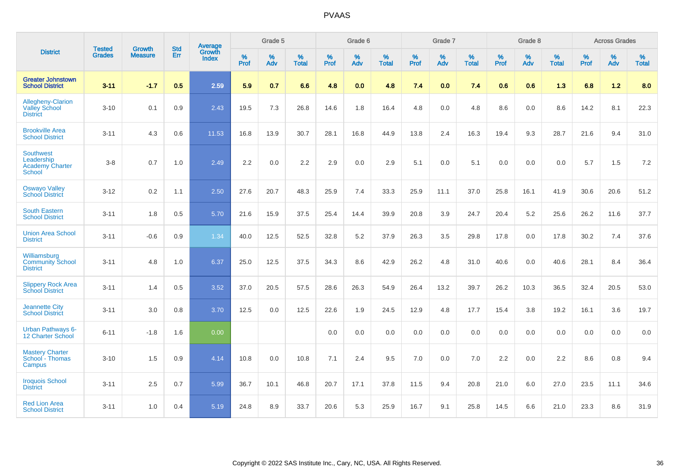|                                                                    | <b>Tested</b> | <b>Growth</b>  | <b>Std</b> | Average                |                     | Grade 5  |                   |                     | Grade 6  |                   |              | Grade 7  |                   |                     | Grade 8  |                   |                     | <b>Across Grades</b> |                   |
|--------------------------------------------------------------------|---------------|----------------|------------|------------------------|---------------------|----------|-------------------|---------------------|----------|-------------------|--------------|----------|-------------------|---------------------|----------|-------------------|---------------------|----------------------|-------------------|
| <b>District</b>                                                    | <b>Grades</b> | <b>Measure</b> | <b>Err</b> | Growth<br><b>Index</b> | $\%$<br><b>Prof</b> | %<br>Adv | %<br><b>Total</b> | $\%$<br><b>Prof</b> | %<br>Adv | %<br><b>Total</b> | $\%$<br>Prof | %<br>Adv | %<br><b>Total</b> | $\%$<br><b>Prof</b> | %<br>Adv | %<br><b>Total</b> | $\%$<br><b>Prof</b> | %<br>Adv             | %<br><b>Total</b> |
| <b>Greater Johnstown</b><br><b>School District</b>                 | $3 - 11$      | $-1.7$         | 0.5        | 2.59                   | 5.9                 | 0.7      | 6.6               | 4.8                 | 0.0      | 4.8               | 7.4          | 0.0      | 7.4               | 0.6                 | 0.6      | 1.3               | 6.8                 | 1.2                  | 8.0               |
| Allegheny-Clarion<br><b>Valley School</b><br><b>District</b>       | $3 - 10$      | 0.1            | 0.9        | 2.43                   | 19.5                | 7.3      | 26.8              | 14.6                | 1.8      | 16.4              | 4.8          | 0.0      | 4.8               | 8.6                 | 0.0      | 8.6               | 14.2                | 8.1                  | 22.3              |
| <b>Brookville Area</b><br><b>School District</b>                   | $3 - 11$      | 4.3            | 0.6        | 11.53                  | 16.8                | 13.9     | 30.7              | 28.1                | 16.8     | 44.9              | 13.8         | 2.4      | 16.3              | 19.4                | 9.3      | 28.7              | 21.6                | 9.4                  | 31.0              |
| <b>Southwest</b><br>Leadership<br><b>Academy Charter</b><br>School | $3 - 8$       | 0.7            | 1.0        | 2.49                   | 2.2                 | 0.0      | 2.2               | 2.9                 | 0.0      | 2.9               | 5.1          | 0.0      | 5.1               | 0.0                 | 0.0      | 0.0               | 5.7                 | 1.5                  | 7.2               |
| <b>Oswayo Valley</b><br><b>School District</b>                     | $3 - 12$      | 0.2            | 1.1        | 2.50                   | 27.6                | 20.7     | 48.3              | 25.9                | 7.4      | 33.3              | 25.9         | 11.1     | 37.0              | 25.8                | 16.1     | 41.9              | 30.6                | 20.6                 | 51.2              |
| <b>South Eastern</b><br><b>School District</b>                     | $3 - 11$      | 1.8            | 0.5        | 5.70                   | 21.6                | 15.9     | 37.5              | 25.4                | 14.4     | 39.9              | 20.8         | 3.9      | 24.7              | 20.4                | 5.2      | 25.6              | 26.2                | 11.6                 | 37.7              |
| <b>Union Area School</b><br><b>District</b>                        | $3 - 11$      | $-0.6$         | 0.9        | 1.34                   | 40.0                | 12.5     | 52.5              | 32.8                | 5.2      | 37.9              | 26.3         | 3.5      | 29.8              | 17.8                | 0.0      | 17.8              | 30.2                | 7.4                  | 37.6              |
| Williamsburg<br><b>Community School</b><br><b>District</b>         | $3 - 11$      | 4.8            | 1.0        | 6.37                   | 25.0                | 12.5     | 37.5              | 34.3                | 8.6      | 42.9              | 26.2         | 4.8      | 31.0              | 40.6                | 0.0      | 40.6              | 28.1                | 8.4                  | 36.4              |
| <b>Slippery Rock Area</b><br><b>School District</b>                | $3 - 11$      | 1.4            | 0.5        | 3.52                   | 37.0                | 20.5     | 57.5              | 28.6                | 26.3     | 54.9              | 26.4         | 13.2     | 39.7              | 26.2                | 10.3     | 36.5              | 32.4                | 20.5                 | 53.0              |
| <b>Jeannette City</b><br><b>School District</b>                    | $3 - 11$      | 3.0            | 0.8        | 3.70                   | 12.5                | 0.0      | 12.5              | 22.6                | 1.9      | 24.5              | 12.9         | 4.8      | 17.7              | 15.4                | 3.8      | 19.2              | 16.1                | 3.6                  | 19.7              |
| <b>Urban Pathways 6-</b><br><b>12 Charter School</b>               | $6 - 11$      | $-1.8$         | 1.6        | 0.00                   |                     |          |                   | $0.0\,$             | $0.0\,$  | 0.0               | $0.0\,$      | $0.0\,$  | 0.0               | 0.0                 | $0.0\,$  | 0.0               | 0.0                 | $0.0\,$              | $0.0\,$           |
| <b>Mastery Charter</b><br>School - Thomas<br>Campus                | $3 - 10$      | 1.5            | 0.9        | 4.14                   | 10.8                | 0.0      | 10.8              | 7.1                 | 2.4      | 9.5               | 7.0          | 0.0      | 7.0               | 2.2                 | 0.0      | 2.2               | 8.6                 | 0.8                  | 9.4               |
| <b>Iroquois School</b><br><b>District</b>                          | $3 - 11$      | 2.5            | 0.7        | 5.99                   | 36.7                | 10.1     | 46.8              | 20.7                | 17.1     | 37.8              | 11.5         | 9.4      | 20.8              | 21.0                | 6.0      | 27.0              | 23.5                | 11.1                 | 34.6              |
| <b>Red Lion Area</b><br><b>School District</b>                     | $3 - 11$      | 1.0            | 0.4        | 5.19                   | 24.8                | 8.9      | 33.7              | 20.6                | 5.3      | 25.9              | 16.7         | 9.1      | 25.8              | 14.5                | 6.6      | 21.0              | 23.3                | 8.6                  | 31.9              |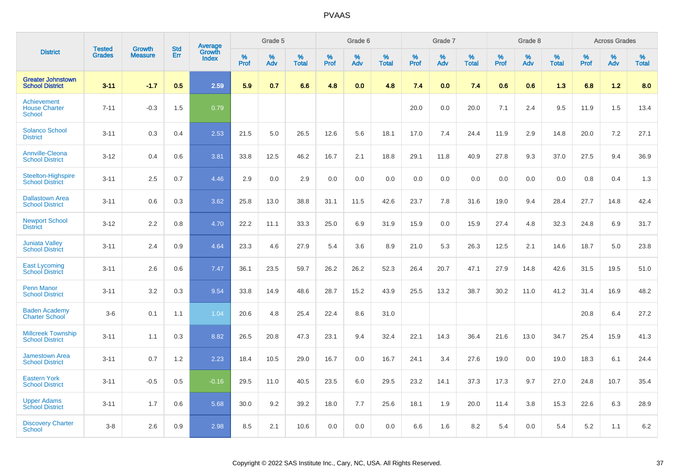|                                                      |                                |                                 | <b>Std</b> | Average                |           | Grade 5  |                      |                  | Grade 6  |                   |           | Grade 7  |                   |           | Grade 8  |                   |           | <b>Across Grades</b> |                   |
|------------------------------------------------------|--------------------------------|---------------------------------|------------|------------------------|-----------|----------|----------------------|------------------|----------|-------------------|-----------|----------|-------------------|-----------|----------|-------------------|-----------|----------------------|-------------------|
| <b>District</b>                                      | <b>Tested</b><br><b>Grades</b> | <b>Growth</b><br><b>Measure</b> | Err        | Growth<br><b>Index</b> | %<br>Prof | %<br>Adv | $\%$<br><b>Total</b> | %<br><b>Prof</b> | %<br>Adv | %<br><b>Total</b> | %<br>Prof | %<br>Adv | %<br><b>Total</b> | %<br>Prof | %<br>Adv | %<br><b>Total</b> | %<br>Prof | %<br>Adv             | %<br><b>Total</b> |
| <b>Greater Johnstown</b><br><b>School District</b>   | $3 - 11$                       | $-1.7$                          | 0.5        | 2.59                   | 5.9       | 0.7      | 6.6                  | 4.8              | 0.0      | 4.8               | 7.4       | 0.0      | 7.4               | 0.6       | 0.6      | 1.3               | 6.8       | 1.2                  | 8.0               |
| Achievement<br><b>House Charter</b><br><b>School</b> | $7 - 11$                       | $-0.3$                          | 1.5        | 0.79                   |           |          |                      |                  |          |                   | 20.0      | 0.0      | 20.0              | 7.1       | 2.4      | 9.5               | 11.9      | 1.5                  | 13.4              |
| <b>Solanco School</b><br><b>District</b>             | $3 - 11$                       | 0.3                             | 0.4        | 2.53                   | 21.5      | 5.0      | 26.5                 | 12.6             | 5.6      | 18.1              | 17.0      | 7.4      | 24.4              | 11.9      | 2.9      | 14.8              | 20.0      | 7.2                  | 27.1              |
| <b>Annville-Cleona</b><br><b>School District</b>     | $3 - 12$                       | 0.4                             | 0.6        | 3.81                   | 33.8      | 12.5     | 46.2                 | 16.7             | 2.1      | 18.8              | 29.1      | 11.8     | 40.9              | 27.8      | 9.3      | 37.0              | 27.5      | 9.4                  | 36.9              |
| <b>Steelton-Highspire</b><br><b>School District</b>  | $3 - 11$                       | 2.5                             | 0.7        | 4.46                   | 2.9       | 0.0      | 2.9                  | 0.0              | 0.0      | 0.0               | 0.0       | 0.0      | 0.0               | 0.0       | 0.0      | 0.0               | 0.8       | 0.4                  | 1.3               |
| <b>Dallastown Area</b><br><b>School District</b>     | $3 - 11$                       | 0.6                             | 0.3        | 3.62                   | 25.8      | 13.0     | 38.8                 | 31.1             | 11.5     | 42.6              | 23.7      | 7.8      | 31.6              | 19.0      | 9.4      | 28.4              | 27.7      | 14.8                 | 42.4              |
| <b>Newport School</b><br><b>District</b>             | $3 - 12$                       | 2.2                             | 0.8        | 4.70                   | 22.2      | 11.1     | 33.3                 | 25.0             | 6.9      | 31.9              | 15.9      | 0.0      | 15.9              | 27.4      | 4.8      | 32.3              | 24.8      | 6.9                  | 31.7              |
| <b>Juniata Valley</b><br><b>School District</b>      | $3 - 11$                       | 2.4                             | 0.9        | 4.64                   | 23.3      | 4.6      | 27.9                 | 5.4              | 3.6      | 8.9               | 21.0      | 5.3      | 26.3              | 12.5      | 2.1      | 14.6              | 18.7      | 5.0                  | 23.8              |
| <b>East Lycoming</b><br><b>School District</b>       | $3 - 11$                       | 2.6                             | 0.6        | 7.47                   | 36.1      | 23.5     | 59.7                 | 26.2             | 26.2     | 52.3              | 26.4      | 20.7     | 47.1              | 27.9      | 14.8     | 42.6              | 31.5      | 19.5                 | 51.0              |
| <b>Penn Manor</b><br><b>School District</b>          | $3 - 11$                       | 3.2                             | 0.3        | 9.54                   | 33.8      | 14.9     | 48.6                 | 28.7             | 15.2     | 43.9              | 25.5      | 13.2     | 38.7              | 30.2      | 11.0     | 41.2              | 31.4      | 16.9                 | 48.2              |
| <b>Baden Academy</b><br><b>Charter School</b>        | $3-6$                          | 0.1                             | 1.1        | 1.04                   | 20.6      | 4.8      | 25.4                 | 22.4             | 8.6      | 31.0              |           |          |                   |           |          |                   | 20.8      | 6.4                  | 27.2              |
| <b>Millcreek Township</b><br><b>School District</b>  | $3 - 11$                       | 1.1                             | 0.3        | 8.82                   | 26.5      | 20.8     | 47.3                 | 23.1             | 9.4      | 32.4              | 22.1      | 14.3     | 36.4              | 21.6      | 13.0     | 34.7              | 25.4      | 15.9                 | 41.3              |
| <b>Jamestown Area</b><br><b>School District</b>      | $3 - 11$                       | 0.7                             | 1.2        | 2.23                   | 18.4      | 10.5     | 29.0                 | 16.7             | 0.0      | 16.7              | 24.1      | 3.4      | 27.6              | 19.0      | 0.0      | 19.0              | 18.3      | 6.1                  | 24.4              |
| <b>Eastern York</b><br><b>School District</b>        | $3 - 11$                       | $-0.5$                          | 0.5        | $-0.16$                | 29.5      | 11.0     | 40.5                 | 23.5             | 6.0      | 29.5              | 23.2      | 14.1     | 37.3              | 17.3      | 9.7      | 27.0              | 24.8      | 10.7                 | 35.4              |
| <b>Upper Adams</b><br><b>School District</b>         | $3 - 11$                       | 1.7                             | 0.6        | 5.68                   | 30.0      | 9.2      | 39.2                 | 18.0             | 7.7      | 25.6              | 18.1      | 1.9      | 20.0              | 11.4      | 3.8      | 15.3              | 22.6      | 6.3                  | 28.9              |
| <b>Discovery Charter</b><br>School                   | $3 - 8$                        | 2.6                             | 0.9        | 2.98                   | 8.5       | 2.1      | 10.6                 | 0.0              | 0.0      | 0.0               | 6.6       | 1.6      | 8.2               | 5.4       | $0.0\,$  | 5.4               | 5.2       | 1.1                  | 6.2               |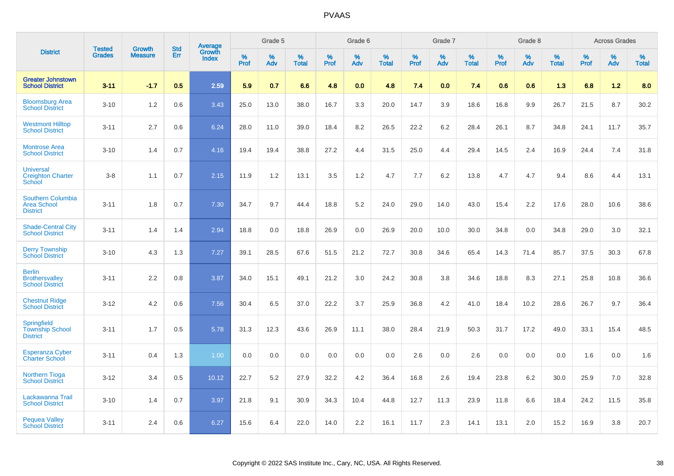|                                                                   | <b>Tested</b> | <b>Growth</b>  | <b>Std</b> | Average                |              | Grade 5  |                   |           | Grade 6  |                   |              | Grade 7  |                   |           | Grade 8  |                   |              | <b>Across Grades</b> |                   |
|-------------------------------------------------------------------|---------------|----------------|------------|------------------------|--------------|----------|-------------------|-----------|----------|-------------------|--------------|----------|-------------------|-----------|----------|-------------------|--------------|----------------------|-------------------|
| <b>District</b>                                                   | <b>Grades</b> | <b>Measure</b> | Err        | Growth<br><b>Index</b> | $\%$<br>Prof | %<br>Adv | %<br><b>Total</b> | %<br>Prof | %<br>Adv | %<br><b>Total</b> | $\%$<br>Prof | %<br>Adv | %<br><b>Total</b> | %<br>Prof | %<br>Adv | %<br><b>Total</b> | $\%$<br>Prof | %<br>Adv             | %<br><b>Total</b> |
| <b>Greater Johnstown</b><br><b>School District</b>                | $3 - 11$      | $-1.7$         | 0.5        | 2.59                   | 5.9          | 0.7      | 6.6               | 4.8       | 0.0      | 4.8               | 7.4          | 0.0      | 7.4               | 0.6       | 0.6      | 1.3               | 6.8          | 1.2                  | 8.0               |
| <b>Bloomsburg Area</b><br><b>School District</b>                  | $3 - 10$      | 1.2            | 0.6        | 3.43                   | 25.0         | 13.0     | 38.0              | 16.7      | 3.3      | 20.0              | 14.7         | 3.9      | 18.6              | 16.8      | 9.9      | 26.7              | 21.5         | 8.7                  | 30.2              |
| <b>Westmont Hilltop</b><br><b>School District</b>                 | $3 - 11$      | 2.7            | 0.6        | 6.24                   | 28.0         | 11.0     | 39.0              | 18.4      | 8.2      | 26.5              | 22.2         | 6.2      | 28.4              | 26.1      | 8.7      | 34.8              | 24.1         | 11.7                 | 35.7              |
| <b>Montrose Area</b><br><b>School District</b>                    | $3 - 10$      | 1.4            | 0.7        | 4.16                   | 19.4         | 19.4     | 38.8              | 27.2      | 4.4      | 31.5              | 25.0         | 4.4      | 29.4              | 14.5      | 2.4      | 16.9              | 24.4         | 7.4                  | 31.8              |
| <b>Universal</b><br><b>Creighton Charter</b><br><b>School</b>     | $3 - 8$       | 1.1            | 0.7        | 2.15                   | 11.9         | 1.2      | 13.1              | 3.5       | 1.2      | 4.7               | 7.7          | 6.2      | 13.8              | 4.7       | 4.7      | 9.4               | 8.6          | 4.4                  | 13.1              |
| <b>Southern Columbia</b><br><b>Area School</b><br><b>District</b> | $3 - 11$      | 1.8            | 0.7        | 7.30                   | 34.7         | 9.7      | 44.4              | 18.8      | 5.2      | 24.0              | 29.0         | 14.0     | 43.0              | 15.4      | 2.2      | 17.6              | 28.0         | 10.6                 | 38.6              |
| <b>Shade-Central City</b><br><b>School District</b>               | $3 - 11$      | 1.4            | 1.4        | 2.94                   | 18.8         | 0.0      | 18.8              | 26.9      | 0.0      | 26.9              | 20.0         | 10.0     | 30.0              | 34.8      | 0.0      | 34.8              | 29.0         | 3.0                  | 32.1              |
| <b>Derry Township</b><br><b>School District</b>                   | $3 - 10$      | 4.3            | 1.3        | 7.27                   | 39.1         | 28.5     | 67.6              | 51.5      | 21.2     | 72.7              | 30.8         | 34.6     | 65.4              | 14.3      | 71.4     | 85.7              | 37.5         | 30.3                 | 67.8              |
| <b>Berlin</b><br><b>Brothersvalley</b><br><b>School District</b>  | $3 - 11$      | 2.2            | 0.8        | 3.87                   | 34.0         | 15.1     | 49.1              | 21.2      | 3.0      | 24.2              | 30.8         | 3.8      | 34.6              | 18.8      | 8.3      | 27.1              | 25.8         | 10.8                 | 36.6              |
| <b>Chestnut Ridge</b><br><b>School District</b>                   | $3 - 12$      | 4.2            | 0.6        | 7.56                   | 30.4         | 6.5      | 37.0              | 22.2      | 3.7      | 25.9              | 36.8         | 4.2      | 41.0              | 18.4      | 10.2     | 28.6              | 26.7         | 9.7                  | 36.4              |
| Springfield<br><b>Township School</b><br><b>District</b>          | $3 - 11$      | 1.7            | 0.5        | 5.78                   | 31.3         | 12.3     | 43.6              | 26.9      | 11.1     | 38.0              | 28.4         | 21.9     | 50.3              | 31.7      | 17.2     | 49.0              | 33.1         | 15.4                 | 48.5              |
| <b>Esperanza Cyber</b><br><b>Charter School</b>                   | $3 - 11$      | 0.4            | 1.3        | 1.00                   | 0.0          | 0.0      | 0.0               | 0.0       | 0.0      | 0.0               | 2.6          | 0.0      | 2.6               | 0.0       | 0.0      | 0.0               | 1.6          | 0.0                  | 1.6               |
| <b>Northern Tioga</b><br><b>School District</b>                   | $3 - 12$      | 3.4            | 0.5        | 10.12                  | 22.7         | 5.2      | 27.9              | 32.2      | 4.2      | 36.4              | 16.8         | 2.6      | 19.4              | 23.8      | 6.2      | 30.0              | 25.9         | 7.0                  | 32.8              |
| Lackawanna Trail<br><b>School District</b>                        | $3 - 10$      | 1.4            | 0.7        | 3.97                   | 21.8         | 9.1      | 30.9              | 34.3      | 10.4     | 44.8              | 12.7         | 11.3     | 23.9              | 11.8      | 6.6      | 18.4              | 24.2         | 11.5                 | 35.8              |
| <b>Pequea Valley</b><br><b>School District</b>                    | $3 - 11$      | 2.4            | 0.6        | 6.27                   | 15.6         | 6.4      | 22.0              | 14.0      | 2.2      | 16.1              | 11.7         | 2.3      | 14.1              | 13.1      | 2.0      | 15.2              | 16.9         | 3.8                  | 20.7              |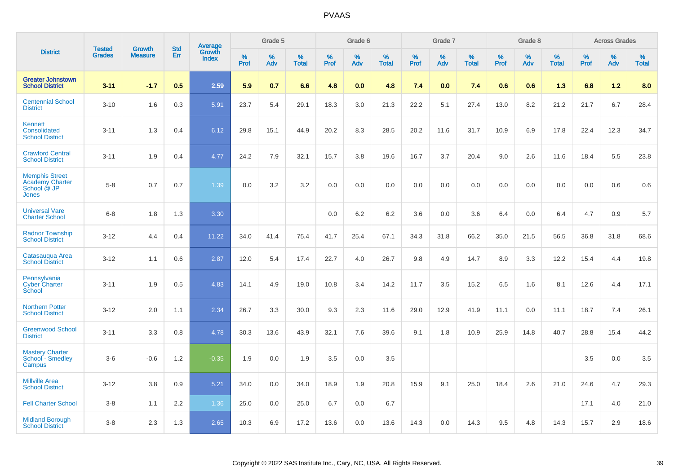|                                                                         | <b>Tested</b> | <b>Growth</b>  | <b>Std</b> | <b>Average</b>         |              | Grade 5  |                   |           | Grade 6  |                   |           | Grade 7  |                   |                  | Grade 8  |                   |                  | <b>Across Grades</b> |                   |
|-------------------------------------------------------------------------|---------------|----------------|------------|------------------------|--------------|----------|-------------------|-----------|----------|-------------------|-----------|----------|-------------------|------------------|----------|-------------------|------------------|----------------------|-------------------|
| <b>District</b>                                                         | <b>Grades</b> | <b>Measure</b> | Err        | Growth<br><b>Index</b> | $\%$<br>Prof | %<br>Adv | %<br><b>Total</b> | %<br>Prof | %<br>Adv | %<br><b>Total</b> | %<br>Prof | %<br>Adv | %<br><b>Total</b> | %<br><b>Prof</b> | %<br>Adv | %<br><b>Total</b> | %<br><b>Prof</b> | %<br>Adv             | %<br><b>Total</b> |
| <b>Greater Johnstown</b><br><b>School District</b>                      | $3 - 11$      | $-1.7$         | 0.5        | 2.59                   | 5.9          | 0.7      | 6.6               | 4.8       | 0.0      | 4.8               | 7.4       | 0.0      | 7.4               | 0.6              | 0.6      | 1.3               | 6.8              | 1.2                  | 8.0               |
| <b>Centennial School</b><br><b>District</b>                             | $3 - 10$      | 1.6            | 0.3        | 5.91                   | 23.7         | 5.4      | 29.1              | 18.3      | 3.0      | 21.3              | 22.2      | 5.1      | 27.4              | 13.0             | 8.2      | 21.2              | 21.7             | 6.7                  | 28.4              |
| <b>Kennett</b><br>Consolidated<br><b>School District</b>                | $3 - 11$      | 1.3            | 0.4        | 6.12                   | 29.8         | 15.1     | 44.9              | 20.2      | 8.3      | 28.5              | 20.2      | 11.6     | 31.7              | 10.9             | 6.9      | 17.8              | 22.4             | 12.3                 | 34.7              |
| <b>Crawford Central</b><br><b>School District</b>                       | $3 - 11$      | 1.9            | 0.4        | 4.77                   | 24.2         | 7.9      | 32.1              | 15.7      | 3.8      | 19.6              | 16.7      | 3.7      | 20.4              | 9.0              | 2.6      | 11.6              | 18.4             | 5.5                  | 23.8              |
| <b>Memphis Street</b><br><b>Academy Charter</b><br>School @ JP<br>Jones | $5 - 8$       | 0.7            | 0.7        | 1.39                   | 0.0          | 3.2      | 3.2               | 0.0       | 0.0      | 0.0               | 0.0       | 0.0      | $0.0\,$           | 0.0              | 0.0      | 0.0               | 0.0              | 0.6                  | 0.6               |
| <b>Universal Vare</b><br><b>Charter School</b>                          | $6-8$         | 1.8            | 1.3        | 3.30                   |              |          |                   | 0.0       | 6.2      | 6.2               | 3.6       | 0.0      | 3.6               | 6.4              | 0.0      | 6.4               | 4.7              | 0.9                  | 5.7               |
| <b>Radnor Township</b><br><b>School District</b>                        | $3 - 12$      | 4.4            | 0.4        | 11.22                  | 34.0         | 41.4     | 75.4              | 41.7      | 25.4     | 67.1              | 34.3      | 31.8     | 66.2              | 35.0             | 21.5     | 56.5              | 36.8             | 31.8                 | 68.6              |
| Catasaugua Area<br><b>School District</b>                               | $3 - 12$      | 1.1            | 0.6        | 2.87                   | 12.0         | 5.4      | 17.4              | 22.7      | 4.0      | 26.7              | 9.8       | 4.9      | 14.7              | 8.9              | 3.3      | 12.2              | 15.4             | 4.4                  | 19.8              |
| Pennsylvania<br><b>Cyber Charter</b><br>School                          | $3 - 11$      | 1.9            | 0.5        | 4.83                   | 14.1         | 4.9      | 19.0              | 10.8      | 3.4      | 14.2              | 11.7      | 3.5      | 15.2              | 6.5              | 1.6      | 8.1               | 12.6             | 4.4                  | 17.1              |
| <b>Northern Potter</b><br><b>School District</b>                        | $3 - 12$      | 2.0            | 1.1        | 2.34                   | 26.7         | 3.3      | 30.0              | 9.3       | 2.3      | 11.6              | 29.0      | 12.9     | 41.9              | 11.1             | 0.0      | 11.1              | 18.7             | 7.4                  | 26.1              |
| <b>Greenwood School</b><br><b>District</b>                              | $3 - 11$      | 3.3            | 0.8        | 4.78                   | 30.3         | 13.6     | 43.9              | 32.1      | 7.6      | 39.6              | 9.1       | 1.8      | 10.9              | 25.9             | 14.8     | 40.7              | 28.8             | 15.4                 | 44.2              |
| <b>Mastery Charter</b><br>School - Smedley<br>Campus                    | $3-6$         | $-0.6$         | 1.2        | $-0.35$                | 1.9          | 0.0      | 1.9               | 3.5       | 0.0      | 3.5               |           |          |                   |                  |          |                   | 3.5              | 0.0                  | 3.5               |
| <b>Millville Area</b><br><b>School District</b>                         | $3 - 12$      | 3.8            | 0.9        | 5.21                   | 34.0         | 0.0      | 34.0              | 18.9      | 1.9      | 20.8              | 15.9      | 9.1      | 25.0              | 18.4             | 2.6      | 21.0              | 24.6             | 4.7                  | 29.3              |
| <b>Fell Charter School</b>                                              | $3 - 8$       | 1.1            | 2.2        | 1.36                   | 25.0         | 0.0      | 25.0              | 6.7       | 0.0      | 6.7               |           |          |                   |                  |          |                   | 17.1             | 4.0                  | 21.0              |
| <b>Midland Borough</b><br><b>School District</b>                        | $3 - 8$       | 2.3            | 1.3        | 2.65                   | 10.3         | 6.9      | 17.2              | 13.6      | 0.0      | 13.6              | 14.3      | 0.0      | 14.3              | 9.5              | 4.8      | 14.3              | 15.7             | 2.9                  | 18.6              |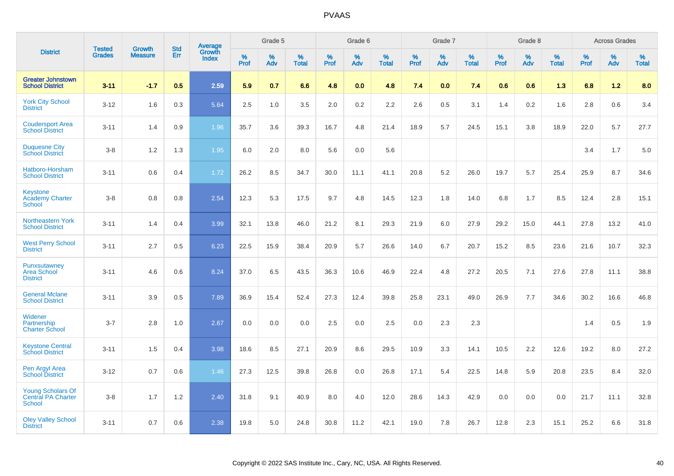|                                                                        |                                |                                 | <b>Std</b> | Average         |              | Grade 5  |                   |           | Grade 6  |                   |              | Grade 7  |                   |              | Grade 8  |                   |              | <b>Across Grades</b> |                   |
|------------------------------------------------------------------------|--------------------------------|---------------------------------|------------|-----------------|--------------|----------|-------------------|-----------|----------|-------------------|--------------|----------|-------------------|--------------|----------|-------------------|--------------|----------------------|-------------------|
| <b>District</b>                                                        | <b>Tested</b><br><b>Grades</b> | <b>Growth</b><br><b>Measure</b> | Err        | Growth<br>Index | $\%$<br>Prof | %<br>Adv | %<br><b>Total</b> | %<br>Prof | %<br>Adv | %<br><b>Total</b> | $\%$<br>Prof | %<br>Adv | %<br><b>Total</b> | $\%$<br>Prof | %<br>Adv | %<br><b>Total</b> | $\%$<br>Prof | %<br>Adv             | %<br><b>Total</b> |
| <b>Greater Johnstown</b><br><b>School District</b>                     | $3 - 11$                       | $-1.7$                          | 0.5        | 2.59            | 5.9          | 0.7      | 6.6               | 4.8       | 0.0      | 4.8               | 7.4          | 0.0      | 7.4               | 0.6          | 0.6      | 1.3               | 6.8          | 1.2                  | 8.0               |
| <b>York City School</b><br><b>District</b>                             | $3 - 12$                       | 1.6                             | 0.3        | 5.64            | 2.5          | 1.0      | 3.5               | 2.0       | 0.2      | 2.2               | 2.6          | 0.5      | 3.1               | 1.4          | 0.2      | 1.6               | 2.8          | 0.6                  | 3.4               |
| <b>Coudersport Area</b><br><b>School District</b>                      | $3 - 11$                       | 1.4                             | 0.9        | 1.96            | 35.7         | 3.6      | 39.3              | 16.7      | 4.8      | 21.4              | 18.9         | 5.7      | 24.5              | 15.1         | 3.8      | 18.9              | 22.0         | 5.7                  | 27.7              |
| <b>Duquesne City</b><br><b>School District</b>                         | $3 - 8$                        | 1.2                             | 1.3        | 1.95            | 6.0          | 2.0      | 8.0               | 5.6       | 0.0      | 5.6               |              |          |                   |              |          |                   | 3.4          | 1.7                  | 5.0               |
| Hatboro-Horsham<br><b>School District</b>                              | $3 - 11$                       | 0.6                             | 0.4        | 1.72            | 26.2         | 8.5      | 34.7              | 30.0      | 11.1     | 41.1              | 20.8         | 5.2      | 26.0              | 19.7         | 5.7      | 25.4              | 25.9         | 8.7                  | 34.6              |
| <b>Keystone</b><br><b>Academy Charter</b><br>School                    | $3 - 8$                        | 0.8                             | 0.8        | 2.54            | 12.3         | 5.3      | 17.5              | 9.7       | 4.8      | 14.5              | 12.3         | 1.8      | 14.0              | 6.8          | 1.7      | 8.5               | 12.4         | 2.8                  | 15.1              |
| <b>Northeastern York</b><br><b>School District</b>                     | $3 - 11$                       | 1.4                             | 0.4        | 3.99            | 32.1         | 13.8     | 46.0              | 21.2      | 8.1      | 29.3              | 21.9         | 6.0      | 27.9              | 29.2         | 15.0     | 44.1              | 27.8         | 13.2                 | 41.0              |
| <b>West Perry School</b><br><b>District</b>                            | $3 - 11$                       | 2.7                             | 0.5        | 6.23            | 22.5         | 15.9     | 38.4              | 20.9      | 5.7      | 26.6              | 14.0         | 6.7      | 20.7              | 15.2         | 8.5      | 23.6              | 21.6         | 10.7                 | 32.3              |
| Punxsutawney<br><b>Area School</b><br><b>District</b>                  | $3 - 11$                       | 4.6                             | 0.6        | 8.24            | 37.0         | 6.5      | 43.5              | 36.3      | 10.6     | 46.9              | 22.4         | 4.8      | 27.2              | 20.5         | 7.1      | 27.6              | 27.8         | 11.1                 | 38.8              |
| <b>General Mclane</b><br><b>School District</b>                        | $3 - 11$                       | 3.9                             | 0.5        | 7.89            | 36.9         | 15.4     | 52.4              | 27.3      | 12.4     | 39.8              | 25.8         | 23.1     | 49.0              | 26.9         | 7.7      | 34.6              | 30.2         | 16.6                 | 46.8              |
| <b>Widener</b><br>Partnership<br><b>Charter School</b>                 | $3 - 7$                        | 2.8                             | 1.0        | 2.67            | 0.0          | 0.0      | 0.0               | 2.5       | 0.0      | 2.5               | 0.0          | 2.3      | 2.3               |              |          |                   | 1.4          | 0.5                  | 1.9               |
| <b>Keystone Central</b><br><b>School District</b>                      | $3 - 11$                       | 1.5                             | 0.4        | 3.98            | 18.6         | 8.5      | 27.1              | 20.9      | 8.6      | 29.5              | 10.9         | 3.3      | 14.1              | 10.5         | 2.2      | 12.6              | 19.2         | 8.0                  | 27.2              |
| Pen Argyl Area<br><b>School District</b>                               | $3 - 12$                       | 0.7                             | 0.6        | 1.46            | 27.3         | 12.5     | 39.8              | 26.8      | 0.0      | 26.8              | 17.1         | 5.4      | 22.5              | 14.8         | 5.9      | 20.8              | 23.5         | 8.4                  | 32.0              |
| <b>Young Scholars Of</b><br><b>Central PA Charter</b><br><b>School</b> | $3-8$                          | 1.7                             | 1.2        | 2.40            | 31.8         | 9.1      | 40.9              | 8.0       | 4.0      | 12.0              | 28.6         | 14.3     | 42.9              | 0.0          | 0.0      | 0.0               | 21.7         | 11.1                 | 32.8              |
| <b>Oley Valley School</b><br><b>District</b>                           | $3 - 11$                       | 0.7                             | 0.6        | 2.38            | 19.8         | 5.0      | 24.8              | 30.8      | 11.2     | 42.1              | 19.0         | 7.8      | 26.7              | 12.8         | 2.3      | 15.1              | 25.2         | 6.6                  | 31.8              |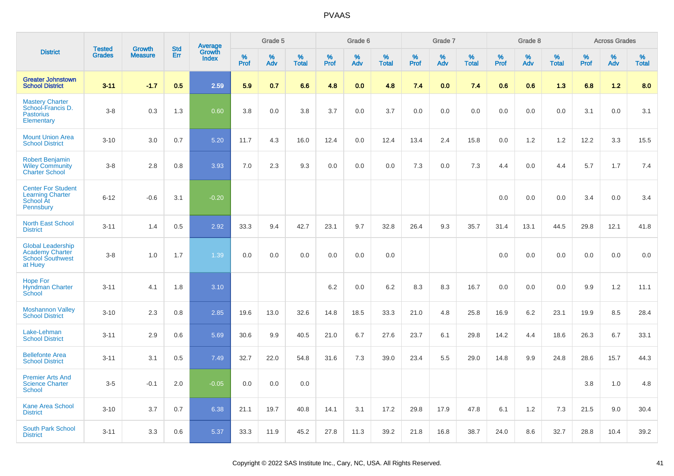|                                                                                          | <b>Tested</b> | <b>Growth</b>  | <b>Std</b> |                                          |              | Grade 5  |                   |              | Grade 6  |                   |              | Grade 7  |                   |              | Grade 8  |                   |              | <b>Across Grades</b> |                   |
|------------------------------------------------------------------------------------------|---------------|----------------|------------|------------------------------------------|--------------|----------|-------------------|--------------|----------|-------------------|--------------|----------|-------------------|--------------|----------|-------------------|--------------|----------------------|-------------------|
| <b>District</b>                                                                          | <b>Grades</b> | <b>Measure</b> | Err        | <b>Average</b><br>Growth<br><b>Index</b> | $\%$<br>Prof | %<br>Adv | %<br><b>Total</b> | $\%$<br>Prof | %<br>Adv | %<br><b>Total</b> | $\%$<br>Prof | %<br>Adv | %<br><b>Total</b> | $\%$<br>Prof | %<br>Adv | %<br><b>Total</b> | $\%$<br>Prof | %<br>Adv             | %<br><b>Total</b> |
| <b>Greater Johnstown</b><br><b>School District</b>                                       | $3 - 11$      | $-1.7$         | 0.5        | 2.59                                     | 5.9          | 0.7      | 6.6               | 4.8          | 0.0      | 4.8               | 7.4          | 0.0      | 7.4               | 0.6          | 0.6      | 1.3               | 6.8          | 1.2                  | 8.0               |
| <b>Mastery Charter</b><br>School-Francis D.<br><b>Pastorius</b><br>Elementary            | $3 - 8$       | 0.3            | 1.3        | 0.60                                     | 3.8          | 0.0      | 3.8               | 3.7          | 0.0      | 3.7               | 0.0          | 0.0      | 0.0               | 0.0          | 0.0      | 0.0               | 3.1          | 0.0                  | 3.1               |
| <b>Mount Union Area</b><br><b>School District</b>                                        | $3 - 10$      | 3.0            | 0.7        | 5.20                                     | 11.7         | 4.3      | 16.0              | 12.4         | 0.0      | 12.4              | 13.4         | 2.4      | 15.8              | 0.0          | 1.2      | 1.2               | 12.2         | 3.3                  | 15.5              |
| <b>Robert Benjamin</b><br><b>Wiley Community</b><br><b>Charter School</b>                | $3 - 8$       | 2.8            | 0.8        | 3.93                                     | 7.0          | 2.3      | 9.3               | 0.0          | 0.0      | 0.0               | 7.3          | 0.0      | 7.3               | 4.4          | 0.0      | 4.4               | 5.7          | 1.7                  | 7.4               |
| <b>Center For Student</b><br><b>Learning Charter</b><br>School At<br>Pennsbury           | $6 - 12$      | $-0.6$         | 3.1        | $-0.20$                                  |              |          |                   |              |          |                   |              |          |                   | 0.0          | 0.0      | 0.0               | 3.4          | 0.0                  | 3.4               |
| <b>North East School</b><br><b>District</b>                                              | $3 - 11$      | 1.4            | 0.5        | 2.92                                     | 33.3         | 9.4      | 42.7              | 23.1         | 9.7      | 32.8              | 26.4         | 9.3      | 35.7              | 31.4         | 13.1     | 44.5              | 29.8         | 12.1                 | 41.8              |
| <b>Global Leadership</b><br><b>Academy Charter</b><br><b>School Southwest</b><br>at Huey | $3 - 8$       | 1.0            | 1.7        | 1.39                                     | 0.0          | 0.0      | 0.0               | 0.0          | 0.0      | 0.0               |              |          |                   | 0.0          | 0.0      | 0.0               | 0.0          | 0.0                  | 0.0               |
| <b>Hope For</b><br><b>Hyndman Charter</b><br>School                                      | $3 - 11$      | 4.1            | 1.8        | 3.10                                     |              |          |                   | 6.2          | 0.0      | 6.2               | 8.3          | 8.3      | 16.7              | 0.0          | 0.0      | 0.0               | 9.9          | $1.2$                | 11.1              |
| <b>Moshannon Valley</b><br><b>School District</b>                                        | $3 - 10$      | 2.3            | 0.8        | 2.85                                     | 19.6         | 13.0     | 32.6              | 14.8         | 18.5     | 33.3              | 21.0         | 4.8      | 25.8              | 16.9         | 6.2      | 23.1              | 19.9         | 8.5                  | 28.4              |
| Lake-Lehman<br><b>School District</b>                                                    | $3 - 11$      | 2.9            | 0.6        | 5.69                                     | 30.6         | 9.9      | 40.5              | 21.0         | 6.7      | 27.6              | 23.7         | 6.1      | 29.8              | 14.2         | 4.4      | 18.6              | 26.3         | 6.7                  | 33.1              |
| <b>Bellefonte Area</b><br><b>School District</b>                                         | $3 - 11$      | 3.1            | 0.5        | 7.49                                     | 32.7         | 22.0     | 54.8              | 31.6         | 7.3      | 39.0              | 23.4         | 5.5      | 29.0              | 14.8         | 9.9      | 24.8              | 28.6         | 15.7                 | 44.3              |
| <b>Premier Arts And</b><br><b>Science Charter</b><br>School                              | $3-5$         | $-0.1$         | 2.0        | $-0.05$                                  | 0.0          | 0.0      | 0.0               |              |          |                   |              |          |                   |              |          |                   | 3.8          | 1.0                  | 4.8               |
| Kane Area School<br><b>District</b>                                                      | $3 - 10$      | 3.7            | 0.7        | 6.38                                     | 21.1         | 19.7     | 40.8              | 14.1         | 3.1      | 17.2              | 29.8         | 17.9     | 47.8              | 6.1          | 1.2      | 7.3               | 21.5         | 9.0                  | 30.4              |
| <b>South Park School</b><br><b>District</b>                                              | $3 - 11$      | 3.3            | 0.6        | 5.37                                     | 33.3         | 11.9     | 45.2              | 27.8         | 11.3     | 39.2              | 21.8         | 16.8     | 38.7              | 24.0         | 8.6      | 32.7              | 28.8         | 10.4                 | 39.2              |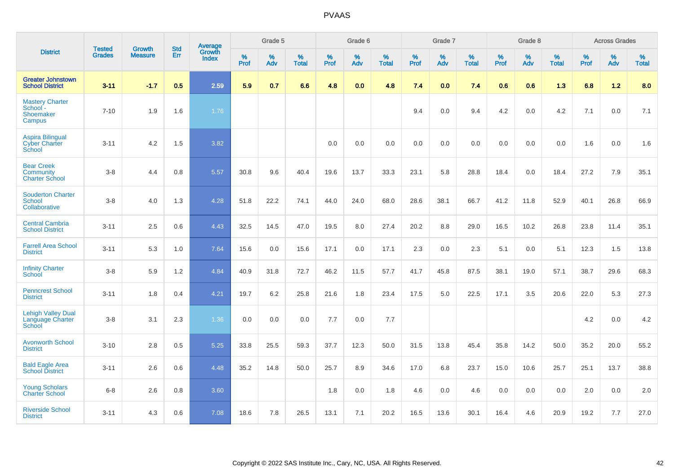|                                                            | <b>Tested</b> |                                 | <b>Std</b> | Average                       |              | Grade 5  |                   |           | Grade 6  |                   |           | Grade 7  |                   |           | Grade 8  |                   |           | <b>Across Grades</b> |                   |
|------------------------------------------------------------|---------------|---------------------------------|------------|-------------------------------|--------------|----------|-------------------|-----------|----------|-------------------|-----------|----------|-------------------|-----------|----------|-------------------|-----------|----------------------|-------------------|
| <b>District</b>                                            | <b>Grades</b> | <b>Growth</b><br><b>Measure</b> | Err        | <b>Growth</b><br><b>Index</b> | $\%$<br>Prof | %<br>Adv | %<br><b>Total</b> | %<br>Prof | %<br>Adv | %<br><b>Total</b> | %<br>Prof | %<br>Adv | %<br><b>Total</b> | %<br>Prof | %<br>Adv | %<br><b>Total</b> | %<br>Prof | %<br>Adv             | %<br><b>Total</b> |
| <b>Greater Johnstown</b><br><b>School District</b>         | $3 - 11$      | $-1.7$                          | 0.5        | 2.59                          | 5.9          | 0.7      | 6.6               | 4.8       | 0.0      | 4.8               | 7.4       | 0.0      | 7.4               | 0.6       | 0.6      | 1.3               | 6.8       | 1.2                  | 8.0               |
| <b>Mastery Charter</b><br>School -<br>Shoemaker<br>Campus  | $7 - 10$      | 1.9                             | 1.6        | 1.76                          |              |          |                   |           |          |                   | 9.4       | 0.0      | 9.4               | 4.2       | 0.0      | 4.2               | 7.1       | 0.0                  | 7.1               |
| <b>Aspira Bilingual</b><br><b>Cyber Charter</b><br>School  | $3 - 11$      | 4.2                             | 1.5        | 3.82                          |              |          |                   | 0.0       | 0.0      | 0.0               | 0.0       | 0.0      | 0.0               | 0.0       | 0.0      | 0.0               | 1.6       | 0.0                  | 1.6               |
| <b>Bear Creek</b><br>Community<br><b>Charter School</b>    | $3 - 8$       | 4.4                             | 0.8        | 5.57                          | 30.8         | 9.6      | 40.4              | 19.6      | 13.7     | 33.3              | 23.1      | 5.8      | 28.8              | 18.4      | 0.0      | 18.4              | 27.2      | 7.9                  | 35.1              |
| <b>Souderton Charter</b><br><b>School</b><br>Collaborative | $3-8$         | 4.0                             | 1.3        | 4.28                          | 51.8         | 22.2     | 74.1              | 44.0      | 24.0     | 68.0              | 28.6      | 38.1     | 66.7              | 41.2      | 11.8     | 52.9              | 40.1      | 26.8                 | 66.9              |
| <b>Central Cambria</b><br><b>School District</b>           | $3 - 11$      | 2.5                             | 0.6        | 4.43                          | 32.5         | 14.5     | 47.0              | 19.5      | 8.0      | 27.4              | 20.2      | 8.8      | 29.0              | 16.5      | 10.2     | 26.8              | 23.8      | 11.4                 | 35.1              |
| <b>Farrell Area School</b><br><b>District</b>              | $3 - 11$      | 5.3                             | 1.0        | 7.64                          | 15.6         | 0.0      | 15.6              | 17.1      | 0.0      | 17.1              | 2.3       | 0.0      | 2.3               | 5.1       | 0.0      | 5.1               | 12.3      | 1.5                  | 13.8              |
| <b>Infinity Charter</b><br>School                          | $3 - 8$       | 5.9                             | 1.2        | 4.84                          | 40.9         | 31.8     | 72.7              | 46.2      | 11.5     | 57.7              | 41.7      | 45.8     | 87.5              | 38.1      | 19.0     | 57.1              | 38.7      | 29.6                 | 68.3              |
| <b>Penncrest School</b><br><b>District</b>                 | $3 - 11$      | 1.8                             | 0.4        | 4.21                          | 19.7         | $6.2\,$  | 25.8              | 21.6      | 1.8      | 23.4              | 17.5      | 5.0      | 22.5              | 17.1      | 3.5      | 20.6              | 22.0      | 5.3                  | 27.3              |
| <b>Lehigh Valley Dual</b><br>Language Charter<br>School    | $3 - 8$       | 3.1                             | 2.3        | 1.36                          | 0.0          | 0.0      | 0.0               | 7.7       | 0.0      | 7.7               |           |          |                   |           |          |                   | 4.2       | 0.0                  | 4.2               |
| <b>Avonworth School</b><br><b>District</b>                 | $3 - 10$      | 2.8                             | 0.5        | 5.25                          | 33.8         | 25.5     | 59.3              | 37.7      | 12.3     | 50.0              | 31.5      | 13.8     | 45.4              | 35.8      | 14.2     | 50.0              | 35.2      | 20.0                 | 55.2              |
| <b>Bald Eagle Area</b><br><b>School District</b>           | $3 - 11$      | 2.6                             | 0.6        | 4.48                          | 35.2         | 14.8     | 50.0              | 25.7      | 8.9      | 34.6              | 17.0      | 6.8      | 23.7              | 15.0      | 10.6     | 25.7              | 25.1      | 13.7                 | 38.8              |
| <b>Young Scholars</b><br><b>Charter School</b>             | $6 - 8$       | 2.6                             | 0.8        | 3.60                          |              |          |                   | 1.8       | 0.0      | 1.8               | 4.6       | 0.0      | 4.6               | 0.0       | 0.0      | 0.0               | 2.0       | 0.0                  | 2.0               |
| <b>Riverside School</b><br><b>District</b>                 | $3 - 11$      | 4.3                             | 0.6        | 7.08                          | 18.6         | 7.8      | 26.5              | 13.1      | 7.1      | 20.2              | 16.5      | 13.6     | 30.1              | 16.4      | 4.6      | 20.9              | 19.2      | 7.7                  | 27.0              |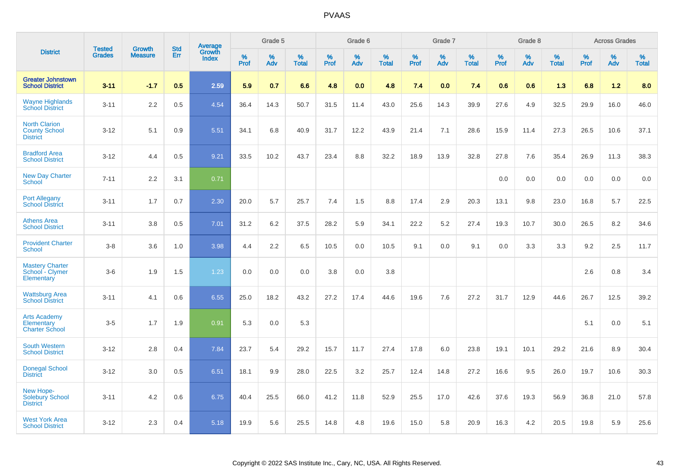|                                                                 |                                | <b>Growth</b>  | <b>Std</b> | <b>Average</b>         |              | Grade 5  |                   |           | Grade 6  |                   |           | Grade 7  |                   |           | Grade 8  |                   |           | <b>Across Grades</b> |                   |
|-----------------------------------------------------------------|--------------------------------|----------------|------------|------------------------|--------------|----------|-------------------|-----------|----------|-------------------|-----------|----------|-------------------|-----------|----------|-------------------|-----------|----------------------|-------------------|
| <b>District</b>                                                 | <b>Tested</b><br><b>Grades</b> | <b>Measure</b> | <b>Err</b> | Growth<br><b>Index</b> | $\%$<br>Prof | %<br>Adv | %<br><b>Total</b> | %<br>Prof | %<br>Adv | %<br><b>Total</b> | %<br>Prof | %<br>Adv | %<br><b>Total</b> | %<br>Prof | %<br>Adv | %<br><b>Total</b> | %<br>Prof | %<br>Adv             | %<br><b>Total</b> |
| <b>Greater Johnstown</b><br><b>School District</b>              | $3 - 11$                       | $-1.7$         | 0.5        | 2.59                   | 5.9          | 0.7      | 6.6               | 4.8       | 0.0      | 4.8               | 7.4       | 0.0      | 7.4               | 0.6       | 0.6      | 1.3               | 6.8       | 1.2                  | 8.0               |
| <b>Wayne Highlands</b><br><b>School District</b>                | $3 - 11$                       | 2.2            | 0.5        | 4.54                   | 36.4         | 14.3     | 50.7              | 31.5      | 11.4     | 43.0              | 25.6      | 14.3     | 39.9              | 27.6      | 4.9      | 32.5              | 29.9      | 16.0                 | 46.0              |
| <b>North Clarion</b><br><b>County School</b><br><b>District</b> | $3 - 12$                       | 5.1            | 0.9        | 5.51                   | 34.1         | 6.8      | 40.9              | 31.7      | 12.2     | 43.9              | 21.4      | 7.1      | 28.6              | 15.9      | 11.4     | 27.3              | 26.5      | 10.6                 | 37.1              |
| <b>Bradford Area</b><br><b>School District</b>                  | $3 - 12$                       | 4.4            | 0.5        | 9.21                   | 33.5         | 10.2     | 43.7              | 23.4      | 8.8      | 32.2              | 18.9      | 13.9     | 32.8              | 27.8      | 7.6      | 35.4              | 26.9      | 11.3                 | 38.3              |
| <b>New Day Charter</b><br><b>School</b>                         | $7 - 11$                       | 2.2            | 3.1        | 0.71                   |              |          |                   |           |          |                   |           |          |                   | 0.0       | 0.0      | 0.0               | 0.0       | 0.0                  | 0.0               |
| <b>Port Allegany</b><br><b>School District</b>                  | $3 - 11$                       | 1.7            | 0.7        | 2.30                   | 20.0         | 5.7      | 25.7              | 7.4       | 1.5      | 8.8               | 17.4      | 2.9      | 20.3              | 13.1      | 9.8      | 23.0              | 16.8      | 5.7                  | 22.5              |
| <b>Athens Area</b><br><b>School District</b>                    | $3 - 11$                       | 3.8            | 0.5        | 7.01                   | 31.2         | 6.2      | 37.5              | 28.2      | 5.9      | 34.1              | 22.2      | 5.2      | 27.4              | 19.3      | 10.7     | 30.0              | 26.5      | 8.2                  | 34.6              |
| <b>Provident Charter</b><br>School                              | $3 - 8$                        | 3.6            | 1.0        | 3.98                   | 4.4          | 2.2      | 6.5               | 10.5      | 0.0      | 10.5              | 9.1       | 0.0      | 9.1               | 0.0       | 3.3      | 3.3               | 9.2       | 2.5                  | 11.7              |
| <b>Mastery Charter</b><br>School - Clymer<br>Elementary         | $3-6$                          | 1.9            | 1.5        | 1.23                   | 0.0          | 0.0      | 0.0               | 3.8       | 0.0      | 3.8               |           |          |                   |           |          |                   | 2.6       | 0.8                  | 3.4               |
| <b>Wattsburg Area</b><br><b>School District</b>                 | $3 - 11$                       | 4.1            | 0.6        | 6.55                   | 25.0         | 18.2     | 43.2              | 27.2      | 17.4     | 44.6              | 19.6      | 7.6      | 27.2              | 31.7      | 12.9     | 44.6              | 26.7      | 12.5                 | 39.2              |
| <b>Arts Academy</b><br>Elementary<br><b>Charter School</b>      | $3-5$                          | 1.7            | 1.9        | 0.91                   | 5.3          | 0.0      | 5.3               |           |          |                   |           |          |                   |           |          |                   | 5.1       | 0.0                  | 5.1               |
| <b>South Western</b><br><b>School District</b>                  | $3 - 12$                       | 2.8            | 0.4        | 7.84                   | 23.7         | 5.4      | 29.2              | 15.7      | 11.7     | 27.4              | 17.8      | 6.0      | 23.8              | 19.1      | 10.1     | 29.2              | 21.6      | 8.9                  | 30.4              |
| <b>Donegal School</b><br><b>District</b>                        | $3 - 12$                       | 3.0            | 0.5        | 6.51                   | 18.1         | 9.9      | 28.0              | 22.5      | 3.2      | 25.7              | 12.4      | 14.8     | 27.2              | 16.6      | 9.5      | 26.0              | 19.7      | 10.6                 | 30.3              |
| New Hope-<br><b>Solebury School</b><br><b>District</b>          | $3 - 11$                       | 4.2            | 0.6        | 6.75                   | 40.4         | 25.5     | 66.0              | 41.2      | 11.8     | 52.9              | 25.5      | 17.0     | 42.6              | 37.6      | 19.3     | 56.9              | 36.8      | 21.0                 | 57.8              |
| <b>West York Area</b><br><b>School District</b>                 | $3 - 12$                       | 2.3            | 0.4        | 5.18                   | 19.9         | 5.6      | 25.5              | 14.8      | 4.8      | 19.6              | 15.0      | 5.8      | 20.9              | 16.3      | 4.2      | 20.5              | 19.8      | 5.9                  | 25.6              |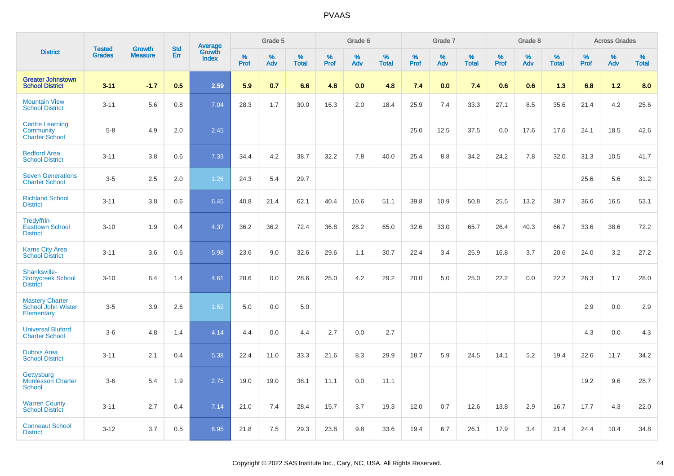|                                                              |                                |                                 |                   |                                   |              | Grade 5  |                   |              | Grade 6  |                   |              | Grade 7  |                   |              | Grade 8  |                   |              | <b>Across Grades</b> |                   |
|--------------------------------------------------------------|--------------------------------|---------------------------------|-------------------|-----------------------------------|--------------|----------|-------------------|--------------|----------|-------------------|--------------|----------|-------------------|--------------|----------|-------------------|--------------|----------------------|-------------------|
| <b>District</b>                                              | <b>Tested</b><br><b>Grades</b> | <b>Growth</b><br><b>Measure</b> | <b>Std</b><br>Err | Average<br>Growth<br><b>Index</b> | $\%$<br>Prof | %<br>Adv | %<br><b>Total</b> | $\%$<br>Prof | %<br>Adv | %<br><b>Total</b> | $\%$<br>Prof | %<br>Adv | %<br><b>Total</b> | $\%$<br>Prof | %<br>Adv | %<br><b>Total</b> | $\%$<br>Prof | %<br>Adv             | %<br><b>Total</b> |
| <b>Greater Johnstown</b><br><b>School District</b>           | $3 - 11$                       | $-1.7$                          | 0.5               | 2.59                              | 5.9          | 0.7      | 6.6               | 4.8          | 0.0      | 4.8               | 7.4          | 0.0      | 7.4               | 0.6          | 0.6      | 1.3               | 6.8          | $1.2$                | 8.0               |
| <b>Mountain View</b><br><b>School District</b>               | $3 - 11$                       | 5.6                             | 0.8               | 7.04                              | 28.3         | 1.7      | 30.0              | 16.3         | 2.0      | 18.4              | 25.9         | 7.4      | 33.3              | 27.1         | 8.5      | 35.6              | 21.4         | 4.2                  | 25.6              |
| <b>Centre Learning</b><br>Community<br><b>Charter School</b> | $5-8$                          | 4.9                             | 2.0               | 2.45                              |              |          |                   |              |          |                   | 25.0         | 12.5     | 37.5              | 0.0          | 17.6     | 17.6              | 24.1         | 18.5                 | 42.6              |
| <b>Bedford Area</b><br><b>School District</b>                | $3 - 11$                       | 3.8                             | 0.6               | 7.33                              | 34.4         | 4.2      | 38.7              | 32.2         | 7.8      | 40.0              | 25.4         | 8.8      | 34.2              | 24.2         | 7.8      | 32.0              | 31.3         | 10.5                 | 41.7              |
| <b>Seven Generations</b><br><b>Charter School</b>            | $3 - 5$                        | 2.5                             | 2.0               | 1.26                              | 24.3         | 5.4      | 29.7              |              |          |                   |              |          |                   |              |          |                   | 25.6         | 5.6                  | 31.2              |
| <b>Richland School</b><br><b>District</b>                    | $3 - 11$                       | 3.8                             | 0.6               | 6.45                              | 40.8         | 21.4     | 62.1              | 40.4         | 10.6     | 51.1              | 39.8         | 10.9     | 50.8              | 25.5         | 13.2     | 38.7              | 36.6         | 16.5                 | 53.1              |
| Tredyffrin-<br><b>Easttown School</b><br><b>District</b>     | $3 - 10$                       | 1.9                             | 0.4               | 4.37                              | 36.2         | 36.2     | 72.4              | 36.8         | 28.2     | 65.0              | 32.6         | 33.0     | 65.7              | 26.4         | 40.3     | 66.7              | 33.6         | 38.6                 | 72.2              |
| <b>Karns City Area</b><br><b>School District</b>             | $3 - 11$                       | 3.6                             | 0.6               | 5.98                              | 23.6         | 9.0      | 32.6              | 29.6         | 1.1      | 30.7              | 22.4         | 3.4      | 25.9              | 16.8         | 3.7      | 20.6              | 24.0         | 3.2                  | 27.2              |
| Shanksville-<br><b>Stonycreek School</b><br><b>District</b>  | $3 - 10$                       | 6.4                             | 1.4               | 4.61                              | 28.6         | 0.0      | 28.6              | 25.0         | 4.2      | 29.2              | 20.0         | 5.0      | 25.0              | 22.2         | 0.0      | 22.2              | 26.3         | 1.7                  | 28.0              |
| <b>Mastery Charter</b><br>School John Wister<br>Elementary   | $3-5$                          | 3.9                             | 2.6               | 1.52                              | 5.0          | 0.0      | 5.0               |              |          |                   |              |          |                   |              |          |                   | 2.9          | 0.0                  | 2.9               |
| <b>Universal Bluford</b><br><b>Charter School</b>            | $3-6$                          | 4.8                             | 1.4               | 4.14                              | 4.4          | 0.0      | 4.4               | 2.7          | 0.0      | 2.7               |              |          |                   |              |          |                   | 4.3          | 0.0                  | 4.3               |
| <b>Dubois Area</b><br><b>School District</b>                 | $3 - 11$                       | 2.1                             | 0.4               | 5.38                              | 22.4         | 11.0     | 33.3              | 21.6         | 8.3      | 29.9              | 18.7         | 5.9      | 24.5              | 14.1         | 5.2      | 19.4              | 22.6         | 11.7                 | 34.2              |
| Gettysburg<br><b>Montessori Charter</b><br><b>School</b>     | $3-6$                          | 5.4                             | 1.9               | 2.75                              | 19.0         | 19.0     | 38.1              | 11.1         | 0.0      | 11.1              |              |          |                   |              |          |                   | 19.2         | 9.6                  | 28.7              |
| <b>Warren County</b><br><b>School District</b>               | $3 - 11$                       | 2.7                             | 0.4               | 7.14                              | 21.0         | 7.4      | 28.4              | 15.7         | 3.7      | 19.3              | 12.0         | 0.7      | 12.6              | 13.8         | 2.9      | 16.7              | 17.7         | 4.3                  | 22.0              |
| <b>Conneaut School</b><br><b>District</b>                    | $3 - 12$                       | 3.7                             | 0.5               | 6.95                              | 21.8         | 7.5      | 29.3              | 23.8         | 9.8      | 33.6              | 19.4         | 6.7      | 26.1              | 17.9         | 3.4      | 21.4              | 24.4         | 10.4                 | 34.8              |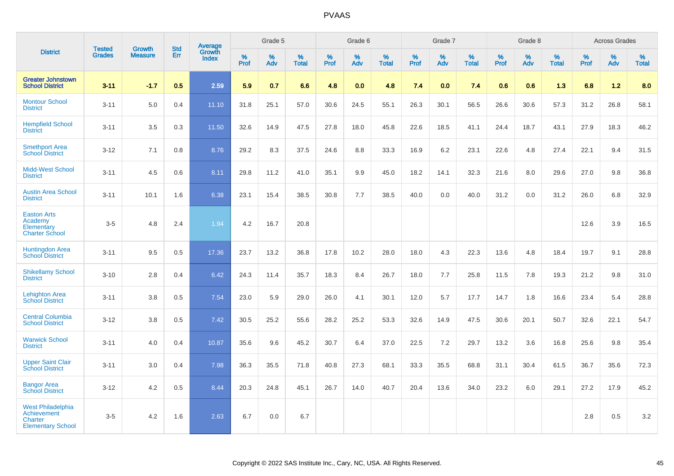|                                                                                              |                                |                                 | <b>Std</b> | Average                |              | Grade 5  |                   |           | Grade 6  |                   |           | Grade 7  |                   |           | Grade 8  |                   |           | <b>Across Grades</b> |                   |
|----------------------------------------------------------------------------------------------|--------------------------------|---------------------------------|------------|------------------------|--------------|----------|-------------------|-----------|----------|-------------------|-----------|----------|-------------------|-----------|----------|-------------------|-----------|----------------------|-------------------|
| <b>District</b>                                                                              | <b>Tested</b><br><b>Grades</b> | <b>Growth</b><br><b>Measure</b> | Err        | Growth<br><b>Index</b> | $\%$<br>Prof | %<br>Adv | %<br><b>Total</b> | %<br>Prof | %<br>Adv | %<br><b>Total</b> | %<br>Prof | %<br>Adv | %<br><b>Total</b> | %<br>Prof | %<br>Adv | %<br><b>Total</b> | %<br>Prof | %<br>Adv             | %<br><b>Total</b> |
| <b>Greater Johnstown</b><br><b>School District</b>                                           | $3 - 11$                       | $-1.7$                          | 0.5        | 2.59                   | 5.9          | 0.7      | 6.6               | 4.8       | 0.0      | 4.8               | 7.4       | 0.0      | 7.4               | 0.6       | 0.6      | 1.3               | 6.8       | 1.2                  | 8.0               |
| <b>Montour School</b><br><b>District</b>                                                     | $3 - 11$                       | 5.0                             | 0.4        | 11.10                  | 31.8         | 25.1     | 57.0              | 30.6      | 24.5     | 55.1              | 26.3      | 30.1     | 56.5              | 26.6      | 30.6     | 57.3              | 31.2      | 26.8                 | 58.1              |
| <b>Hempfield School</b><br><b>District</b>                                                   | $3 - 11$                       | 3.5                             | 0.3        | 11.50                  | 32.6         | 14.9     | 47.5              | 27.8      | 18.0     | 45.8              | 22.6      | 18.5     | 41.1              | 24.4      | 18.7     | 43.1              | 27.9      | 18.3                 | 46.2              |
| <b>Smethport Area</b><br><b>School District</b>                                              | $3 - 12$                       | 7.1                             | 0.8        | 8.76                   | 29.2         | 8.3      | 37.5              | 24.6      | 8.8      | 33.3              | 16.9      | 6.2      | 23.1              | 22.6      | 4.8      | 27.4              | 22.1      | 9.4                  | 31.5              |
| <b>Midd-West School</b><br><b>District</b>                                                   | $3 - 11$                       | 4.5                             | 0.6        | 8.11                   | 29.8         | 11.2     | 41.0              | 35.1      | 9.9      | 45.0              | 18.2      | 14.1     | 32.3              | 21.6      | 8.0      | 29.6              | 27.0      | 9.8                  | 36.8              |
| <b>Austin Area School</b><br><b>District</b>                                                 | $3 - 11$                       | 10.1                            | 1.6        | 6.38                   | 23.1         | 15.4     | 38.5              | 30.8      | 7.7      | 38.5              | 40.0      | 0.0      | 40.0              | 31.2      | 0.0      | 31.2              | 26.0      | 6.8                  | 32.9              |
| <b>Easton Arts</b><br>Academy<br>Elementary<br><b>Charter School</b>                         | $3-5$                          | 4.8                             | 2.4        | 1.94                   | 4.2          | 16.7     | 20.8              |           |          |                   |           |          |                   |           |          |                   | 12.6      | 3.9                  | 16.5              |
| <b>Huntingdon Area</b><br><b>School District</b>                                             | $3 - 11$                       | 9.5                             | 0.5        | 17.36                  | 23.7         | 13.2     | 36.8              | 17.8      | 10.2     | 28.0              | 18.0      | 4.3      | 22.3              | 13.6      | 4.8      | 18.4              | 19.7      | 9.1                  | 28.8              |
| <b>Shikellamy School</b><br><b>District</b>                                                  | $3 - 10$                       | 2.8                             | 0.4        | 6.42                   | 24.3         | 11.4     | 35.7              | 18.3      | 8.4      | 26.7              | 18.0      | 7.7      | 25.8              | 11.5      | 7.8      | 19.3              | 21.2      | 9.8                  | 31.0              |
| <b>Lehighton Area</b><br><b>School District</b>                                              | $3 - 11$                       | 3.8                             | 0.5        | 7.54                   | 23.0         | 5.9      | 29.0              | 26.0      | 4.1      | 30.1              | 12.0      | 5.7      | 17.7              | 14.7      | 1.8      | 16.6              | 23.4      | 5.4                  | 28.8              |
| <b>Central Columbia</b><br><b>School District</b>                                            | $3 - 12$                       | 3.8                             | 0.5        | 7.42                   | 30.5         | 25.2     | 55.6              | 28.2      | 25.2     | 53.3              | 32.6      | 14.9     | 47.5              | 30.6      | 20.1     | 50.7              | 32.6      | 22.1                 | 54.7              |
| <b>Warwick School</b><br><b>District</b>                                                     | $3 - 11$                       | 4.0                             | 0.4        | 10.87                  | 35.6         | 9.6      | 45.2              | 30.7      | 6.4      | 37.0              | 22.5      | 7.2      | 29.7              | 13.2      | 3.6      | 16.8              | 25.6      | 9.8                  | 35.4              |
| <b>Upper Saint Clair</b><br><b>School District</b>                                           | $3 - 11$                       | 3.0                             | 0.4        | 7.98                   | 36.3         | 35.5     | 71.8              | 40.8      | 27.3     | 68.1              | 33.3      | 35.5     | 68.8              | 31.1      | 30.4     | 61.5              | 36.7      | 35.6                 | 72.3              |
| <b>Bangor Area</b><br><b>School District</b>                                                 | $3 - 12$                       | 4.2                             | 0.5        | 8.44                   | 20.3         | 24.8     | 45.1              | 26.7      | 14.0     | 40.7              | 20.4      | 13.6     | 34.0              | 23.2      | 6.0      | 29.1              | 27.2      | 17.9                 | 45.2              |
| <b>West Philadelphia</b><br><b>Achievement</b><br><b>Charter</b><br><b>Elementary School</b> | $3-5$                          | 4.2                             | 1.6        | 2.63                   | 6.7          | 0.0      | 6.7               |           |          |                   |           |          |                   |           |          |                   | 2.8       | 0.5                  | $3.2\,$           |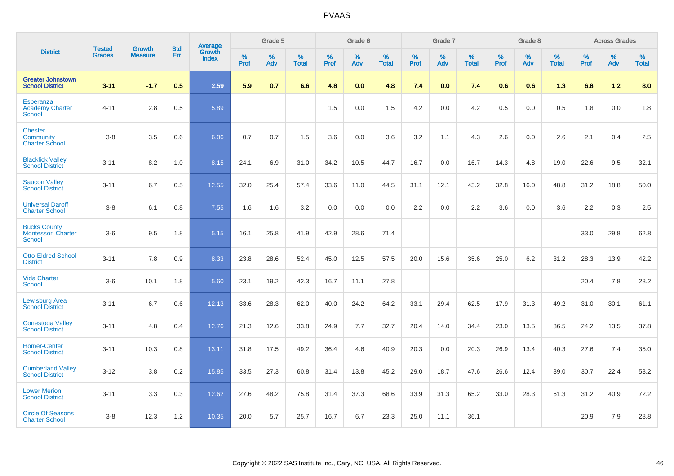|                                                                   | <b>Tested</b> | <b>Growth</b>  | <b>Std</b> | Average                |              | Grade 5  |                   |           | Grade 6  |                   |           | Grade 7  |                   |              | Grade 8  |                   |              | <b>Across Grades</b> |                   |
|-------------------------------------------------------------------|---------------|----------------|------------|------------------------|--------------|----------|-------------------|-----------|----------|-------------------|-----------|----------|-------------------|--------------|----------|-------------------|--------------|----------------------|-------------------|
| <b>District</b>                                                   | <b>Grades</b> | <b>Measure</b> | Err        | Growth<br><b>Index</b> | $\%$<br>Prof | %<br>Adv | %<br><b>Total</b> | %<br>Prof | %<br>Adv | %<br><b>Total</b> | %<br>Prof | %<br>Adv | %<br><b>Total</b> | $\%$<br>Prof | %<br>Adv | %<br><b>Total</b> | $\%$<br>Prof | %<br>Adv             | %<br><b>Total</b> |
| <b>Greater Johnstown</b><br><b>School District</b>                | $3 - 11$      | $-1.7$         | 0.5        | 2.59                   | 5.9          | 0.7      | 6.6               | 4.8       | 0.0      | 4.8               | 7.4       | 0.0      | 7.4               | 0.6          | 0.6      | 1.3               | 6.8          | 1.2                  | 8.0               |
| Esperanza<br><b>Academy Charter</b><br><b>School</b>              | $4 - 11$      | 2.8            | 0.5        | 5.89                   |              |          |                   | 1.5       | 0.0      | 1.5               | 4.2       | 0.0      | 4.2               | 0.5          | 0.0      | 0.5               | 1.8          | 0.0                  | 1.8               |
| <b>Chester</b><br><b>Community</b><br><b>Charter School</b>       | $3 - 8$       | 3.5            | 0.6        | 6.06                   | 0.7          | 0.7      | 1.5               | 3.6       | 0.0      | 3.6               | 3.2       | 1.1      | 4.3               | 2.6          | 0.0      | 2.6               | 2.1          | 0.4                  | 2.5               |
| <b>Blacklick Valley</b><br><b>School District</b>                 | $3 - 11$      | 8.2            | 1.0        | 8.15                   | 24.1         | 6.9      | 31.0              | 34.2      | 10.5     | 44.7              | 16.7      | 0.0      | 16.7              | 14.3         | 4.8      | 19.0              | 22.6         | 9.5                  | 32.1              |
| <b>Saucon Valley</b><br><b>School District</b>                    | $3 - 11$      | 6.7            | 0.5        | 12.55                  | 32.0         | 25.4     | 57.4              | 33.6      | 11.0     | 44.5              | 31.1      | 12.1     | 43.2              | 32.8         | 16.0     | 48.8              | 31.2         | 18.8                 | 50.0              |
| <b>Universal Daroff</b><br><b>Charter School</b>                  | $3 - 8$       | 6.1            | 0.8        | 7.55                   | 1.6          | 1.6      | 3.2               | 0.0       | 0.0      | 0.0               | 2.2       | 0.0      | 2.2               | 3.6          | 0.0      | 3.6               | 2.2          | 0.3                  | 2.5               |
| <b>Bucks County</b><br><b>Montessori Charter</b><br><b>School</b> | $3-6$         | 9.5            | 1.8        | 5.15                   | 16.1         | 25.8     | 41.9              | 42.9      | 28.6     | 71.4              |           |          |                   |              |          |                   | 33.0         | 29.8                 | 62.8              |
| <b>Otto-Eldred School</b><br><b>District</b>                      | $3 - 11$      | 7.8            | 0.9        | 8.33                   | 23.8         | 28.6     | 52.4              | 45.0      | 12.5     | 57.5              | 20.0      | 15.6     | 35.6              | 25.0         | 6.2      | 31.2              | 28.3         | 13.9                 | 42.2              |
| <b>Vida Charter</b><br><b>School</b>                              | $3-6$         | 10.1           | 1.8        | 5.60                   | 23.1         | 19.2     | 42.3              | 16.7      | 11.1     | 27.8              |           |          |                   |              |          |                   | 20.4         | 7.8                  | 28.2              |
| Lewisburg Area<br><b>School District</b>                          | $3 - 11$      | 6.7            | 0.6        | 12.13                  | 33.6         | 28.3     | 62.0              | 40.0      | 24.2     | 64.2              | 33.1      | 29.4     | 62.5              | 17.9         | 31.3     | 49.2              | 31.0         | 30.1                 | 61.1              |
| <b>Conestoga Valley</b><br><b>School District</b>                 | $3 - 11$      | 4.8            | 0.4        | 12.76                  | 21.3         | 12.6     | 33.8              | 24.9      | 7.7      | 32.7              | 20.4      | 14.0     | 34.4              | 23.0         | 13.5     | 36.5              | 24.2         | 13.5                 | 37.8              |
| <b>Homer-Center</b><br><b>School District</b>                     | $3 - 11$      | 10.3           | 0.8        | 13.11                  | 31.8         | 17.5     | 49.2              | 36.4      | 4.6      | 40.9              | 20.3      | 0.0      | 20.3              | 26.9         | 13.4     | 40.3              | 27.6         | 7.4                  | 35.0              |
| <b>Cumberland Valley</b><br><b>School District</b>                | $3 - 12$      | 3.8            | 0.2        | 15.85                  | 33.5         | 27.3     | 60.8              | 31.4      | 13.8     | 45.2              | 29.0      | 18.7     | 47.6              | 26.6         | 12.4     | 39.0              | 30.7         | 22.4                 | 53.2              |
| <b>Lower Merion</b><br><b>School District</b>                     | $3 - 11$      | 3.3            | 0.3        | 12.62                  | 27.6         | 48.2     | 75.8              | 31.4      | 37.3     | 68.6              | 33.9      | 31.3     | 65.2              | 33.0         | 28.3     | 61.3              | 31.2         | 40.9                 | 72.2              |
| <b>Circle Of Seasons</b><br><b>Charter School</b>                 | $3-8$         | 12.3           | 1.2        | 10.35                  | 20.0         | 5.7      | 25.7              | 16.7      | 6.7      | 23.3              | 25.0      | 11.1     | 36.1              |              |          |                   | 20.9         | 7.9                  | 28.8              |